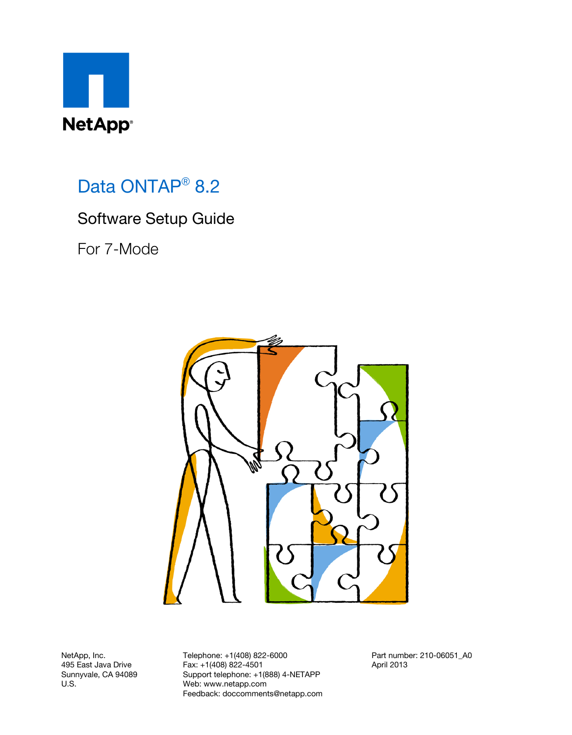

## Data ONTAP<sup>®</sup> 8.2

## Software Setup Guide

For 7-Mode



NetApp, Inc. 495 East Java Drive Sunnyvale, CA 94089 U.S.

Telephone: +1(408) 822-6000 Fax: +1(408) 822-4501 Support telephone: +1(888) 4-NETAPP Web: www.netapp.com Feedback: doccomments@netapp.com

Part number: 210-06051\_A0 April 2013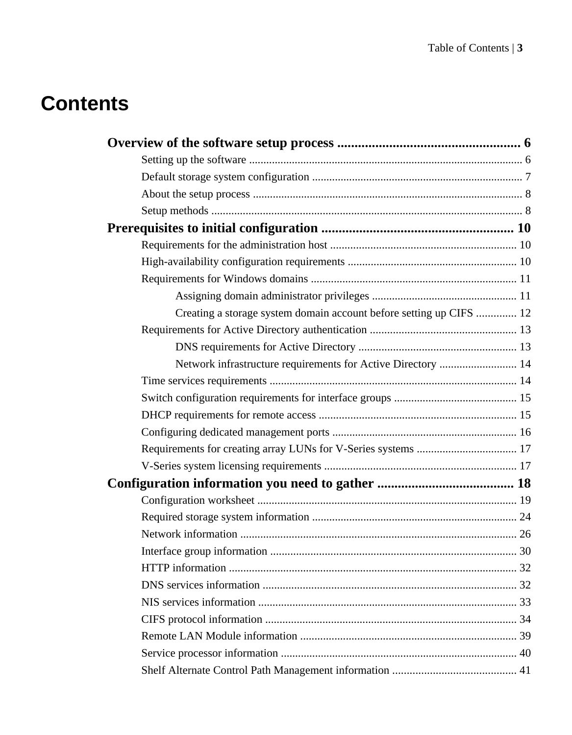# **Contents**

| Creating a storage system domain account before setting up CIFS  12 |  |
|---------------------------------------------------------------------|--|
|                                                                     |  |
|                                                                     |  |
| Network infrastructure requirements for Active Directory  14        |  |
|                                                                     |  |
|                                                                     |  |
|                                                                     |  |
|                                                                     |  |
|                                                                     |  |
|                                                                     |  |
|                                                                     |  |
|                                                                     |  |
|                                                                     |  |
|                                                                     |  |
|                                                                     |  |
|                                                                     |  |
|                                                                     |  |
|                                                                     |  |
|                                                                     |  |
|                                                                     |  |
|                                                                     |  |
|                                                                     |  |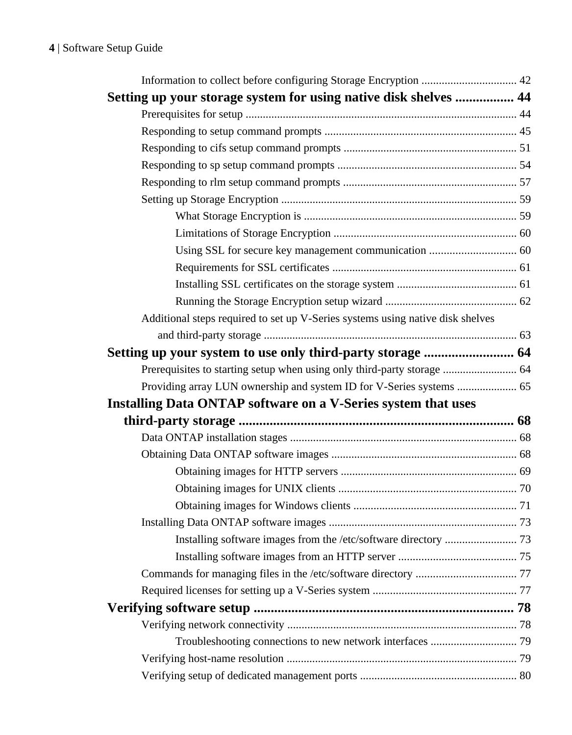| Setting up your storage system for using native disk shelves  44               |  |
|--------------------------------------------------------------------------------|--|
|                                                                                |  |
|                                                                                |  |
|                                                                                |  |
|                                                                                |  |
|                                                                                |  |
|                                                                                |  |
|                                                                                |  |
|                                                                                |  |
|                                                                                |  |
|                                                                                |  |
|                                                                                |  |
|                                                                                |  |
| Additional steps required to set up V-Series systems using native disk shelves |  |
|                                                                                |  |
|                                                                                |  |
| Prerequisites to starting setup when using only third-party storage  64        |  |
| Providing array LUN ownership and system ID for V-Series systems  65           |  |
| Installing Data ONTAP software on a V-Series system that uses                  |  |
|                                                                                |  |
|                                                                                |  |
|                                                                                |  |
|                                                                                |  |
|                                                                                |  |
|                                                                                |  |
|                                                                                |  |
|                                                                                |  |
|                                                                                |  |
|                                                                                |  |
|                                                                                |  |
|                                                                                |  |
|                                                                                |  |
|                                                                                |  |
|                                                                                |  |
|                                                                                |  |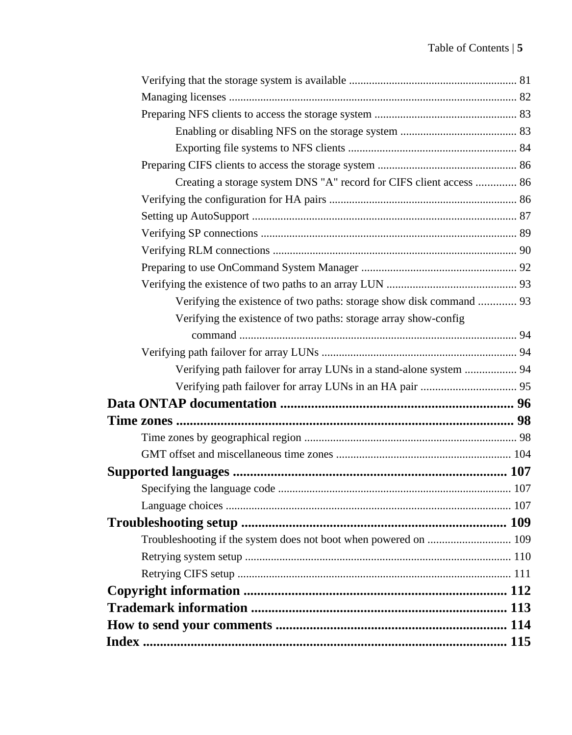| Creating a storage system DNS "A" record for CIFS client access  86 |  |
|---------------------------------------------------------------------|--|
|                                                                     |  |
|                                                                     |  |
|                                                                     |  |
|                                                                     |  |
|                                                                     |  |
|                                                                     |  |
| Verifying the existence of two paths: storage show disk command  93 |  |
| Verifying the existence of two paths: storage array show-config     |  |
|                                                                     |  |
|                                                                     |  |
| Verifying path failover for array LUNs in a stand-alone system  94  |  |
|                                                                     |  |
|                                                                     |  |
|                                                                     |  |
|                                                                     |  |
|                                                                     |  |
|                                                                     |  |
|                                                                     |  |
|                                                                     |  |
|                                                                     |  |
|                                                                     |  |
|                                                                     |  |
|                                                                     |  |
|                                                                     |  |
|                                                                     |  |
|                                                                     |  |
|                                                                     |  |
|                                                                     |  |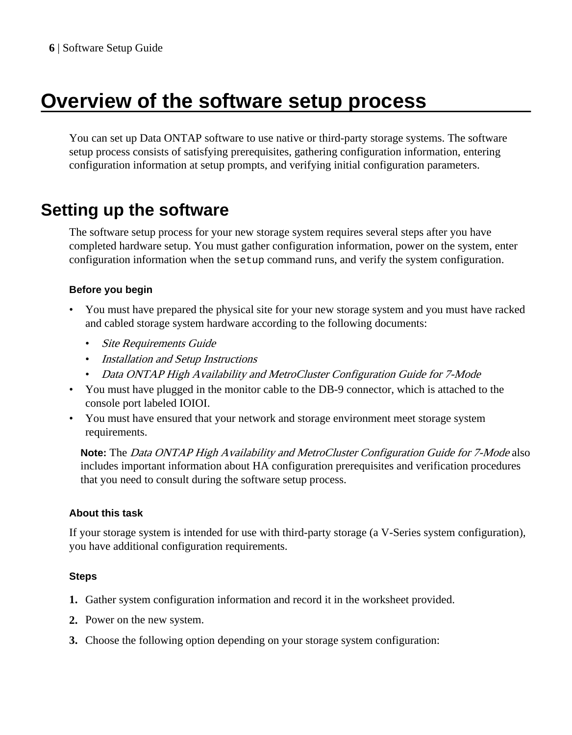# <span id="page-5-0"></span>**Overview of the software setup process**

You can set up Data ONTAP software to use native or third-party storage systems. The software setup process consists of satisfying prerequisites, gathering configuration information, entering configuration information at setup prompts, and verifying initial configuration parameters.

## **Setting up the software**

The software setup process for your new storage system requires several steps after you have completed hardware setup. You must gather configuration information, power on the system, enter configuration information when the setup command runs, and verify the system configuration.

### **Before you begin**

- You must have prepared the physical site for your new storage system and you must have racked and cabled storage system hardware according to the following documents:
	- Site Requirements Guide
	- Installation and Setup Instructions
	- Data ONTAP High Availability and MetroCluster Configuration Guide for 7-Mode
- You must have plugged in the monitor cable to the DB-9 connector, which is attached to the console port labeled IOIOI.
- You must have ensured that your network and storage environment meet storage system requirements.

**Note:** The Data ONTAP High Availability and MetroCluster Configuration Guide for 7-Mode also includes important information about HA configuration prerequisites and verification procedures that you need to consult during the software setup process.

### **About this task**

If your storage system is intended for use with third-party storage (a V-Series system configuration), you have additional configuration requirements.

### **Steps**

- **1.** Gather system configuration information and record it in the worksheet provided.
- **2.** Power on the new system.
- **3.** Choose the following option depending on your storage system configuration: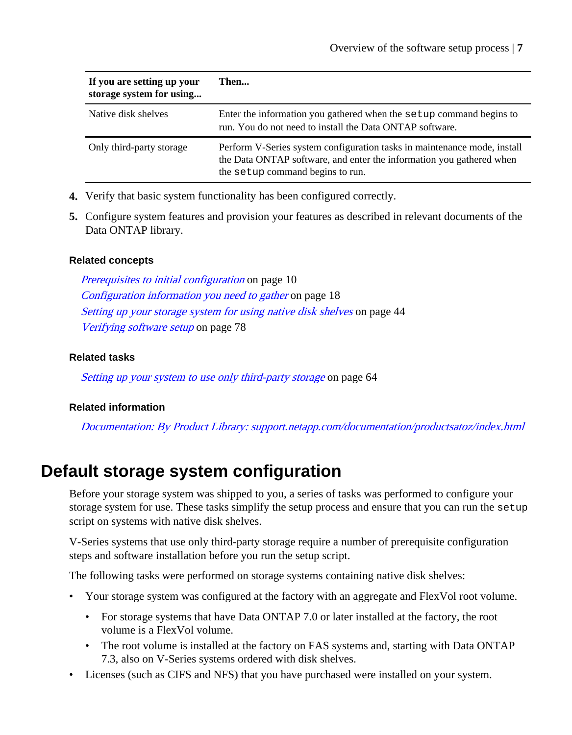<span id="page-6-0"></span>

| If you are setting up your<br>storage system for using | Then                                                                                                                                                                                 |
|--------------------------------------------------------|--------------------------------------------------------------------------------------------------------------------------------------------------------------------------------------|
| Native disk shelves                                    | Enter the information you gathered when the setup command begins to<br>run. You do not need to install the Data ONTAP software.                                                      |
| Only third-party storage                               | Perform V-Series system configuration tasks in maintenance mode, install<br>the Data ONTAP software, and enter the information you gathered when<br>the setup command begins to run. |

- **4.** Verify that basic system functionality has been configured correctly.
- **5.** Configure system features and provision your features as described in relevant documents of the Data ONTAP library.

#### **Related concepts**

[Prerequisites to initial configuration](#page-9-0) on page 10 [Configuration information you need to gather](#page-17-0) on page 18 [Setting up your storage system for using native disk shelves](#page-43-0) on page 44 [Verifying software setup](#page-77-0) on page 78

#### **Related tasks**

[Setting up your system to use only third-party storage](#page-63-0) on page 64

#### **Related information**

[Documentation: By Product Library: support.netapp.com/documentation/productsatoz/index.html](https://support.netapp.com/documentation/productsatoz/index.html)

## **Default storage system configuration**

Before your storage system was shipped to you, a series of tasks was performed to configure your storage system for use. These tasks simplify the setup process and ensure that you can run the setup script on systems with native disk shelves.

V-Series systems that use only third-party storage require a number of prerequisite configuration steps and software installation before you run the setup script.

The following tasks were performed on storage systems containing native disk shelves:

- Your storage system was configured at the factory with an aggregate and FlexVol root volume.
	- For storage systems that have Data ONTAP 7.0 or later installed at the factory, the root volume is a FlexVol volume.
	- The root volume is installed at the factory on FAS systems and, starting with Data ONTAP 7.3, also on V-Series systems ordered with disk shelves.
- Licenses (such as CIFS and NFS) that you have purchased were installed on your system.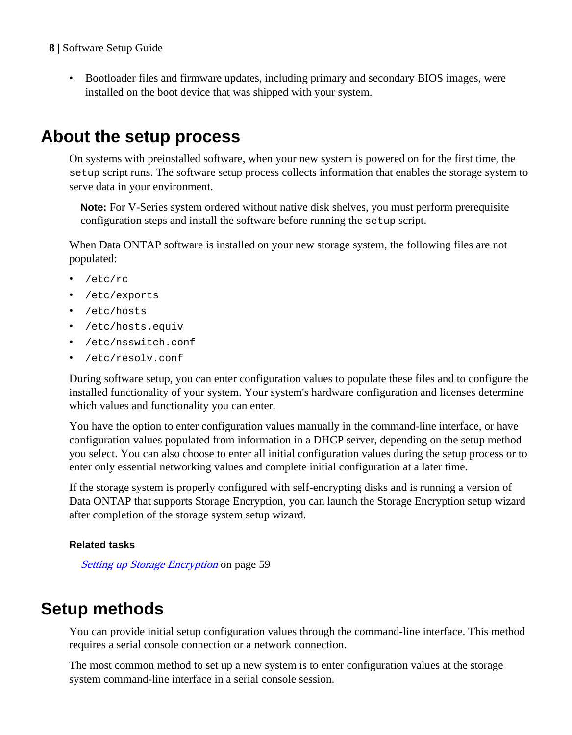<span id="page-7-0"></span>• Bootloader files and firmware updates, including primary and secondary BIOS images, were installed on the boot device that was shipped with your system.

## **About the setup process**

On systems with preinstalled software, when your new system is powered on for the first time, the setup script runs. The software setup process collects information that enables the storage system to serve data in your environment.

**Note:** For V-Series system ordered without native disk shelves, you must perform prerequisite configuration steps and install the software before running the setup script.

When Data ONTAP software is installed on your new storage system, the following files are not populated:

- /etc/rc
- /etc/exports
- /etc/hosts
- /etc/hosts.equiv
- /etc/nsswitch.conf
- /etc/resolv.conf

During software setup, you can enter configuration values to populate these files and to configure the installed functionality of your system. Your system's hardware configuration and licenses determine which values and functionality you can enter.

You have the option to enter configuration values manually in the command-line interface, or have configuration values populated from information in a DHCP server, depending on the setup method you select. You can also choose to enter all initial configuration values during the setup process or to enter only essential networking values and complete initial configuration at a later time.

If the storage system is properly configured with self-encrypting disks and is running a version of Data ONTAP that supports Storage Encryption, you can launch the Storage Encryption setup wizard after completion of the storage system setup wizard.

### **Related tasks**

[Setting up Storage Encryption](#page-58-0) on page 59

## **Setup methods**

You can provide initial setup configuration values through the command-line interface. This method requires a serial console connection or a network connection.

The most common method to set up a new system is to enter configuration values at the storage system command-line interface in a serial console session.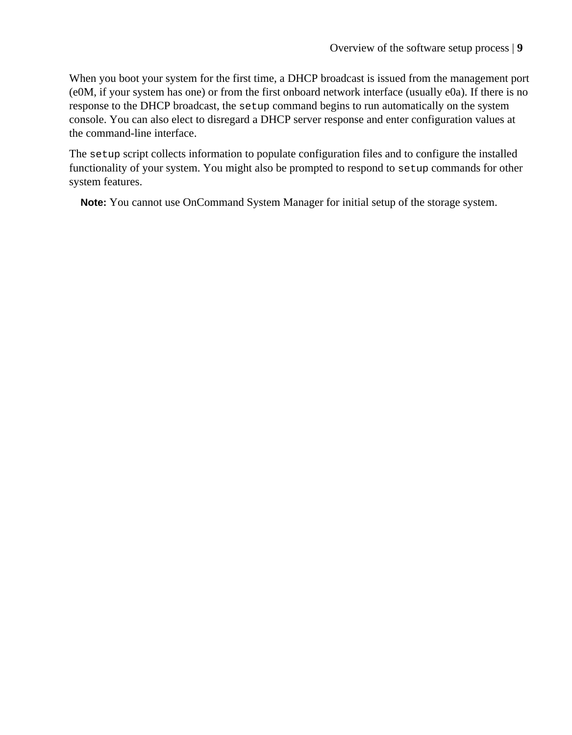When you boot your system for the first time, a DHCP broadcast is issued from the management port (e0M, if your system has one) or from the first onboard network interface (usually e0a). If there is no response to the DHCP broadcast, the setup command begins to run automatically on the system console. You can also elect to disregard a DHCP server response and enter configuration values at the command-line interface.

The setup script collects information to populate configuration files and to configure the installed functionality of your system. You might also be prompted to respond to setup commands for other system features.

**Note:** You cannot use OnCommand System Manager for initial setup of the storage system.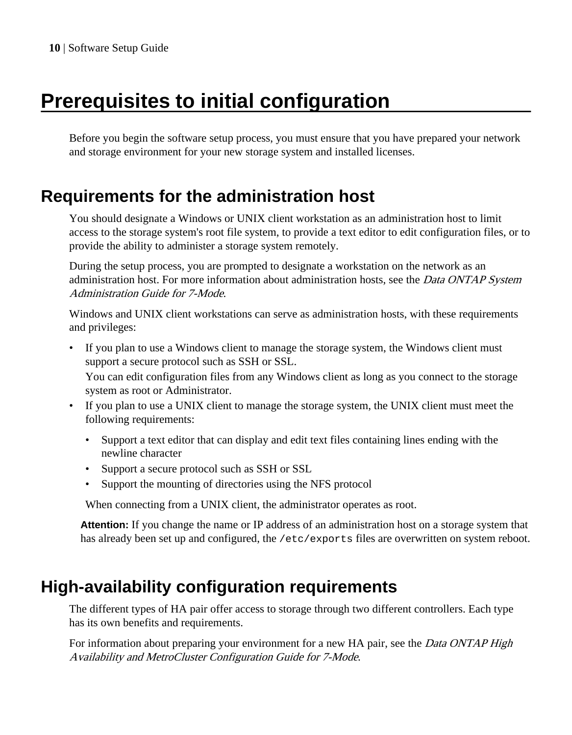# <span id="page-9-0"></span>**Prerequisites to initial configuration**

Before you begin the software setup process, you must ensure that you have prepared your network and storage environment for your new storage system and installed licenses.

## **Requirements for the administration host**

You should designate a Windows or UNIX client workstation as an administration host to limit access to the storage system's root file system, to provide a text editor to edit configuration files, or to provide the ability to administer a storage system remotely.

During the setup process, you are prompted to designate a workstation on the network as an administration host. For more information about administration hosts, see the *Data ONTAP System* Administration Guide for 7-Mode.

Windows and UNIX client workstations can serve as administration hosts, with these requirements and privileges:

• If you plan to use a Windows client to manage the storage system, the Windows client must support a secure protocol such as SSH or SSL.

You can edit configuration files from any Windows client as long as you connect to the storage system as root or Administrator.

- If you plan to use a UNIX client to manage the storage system, the UNIX client must meet the following requirements:
	- Support a text editor that can display and edit text files containing lines ending with the newline character
	- Support a secure protocol such as SSH or SSL
	- Support the mounting of directories using the NFS protocol

When connecting from a UNIX client, the administrator operates as root.

**Attention:** If you change the name or IP address of an administration host on a storage system that has already been set up and configured, the /etc/exports files are overwritten on system reboot.

## **High-availability configuration requirements**

The different types of HA pair offer access to storage through two different controllers. Each type has its own benefits and requirements.

For information about preparing your environment for a new HA pair, see the *Data ONTAP High* Availability and MetroCluster Configuration Guide for 7-Mode.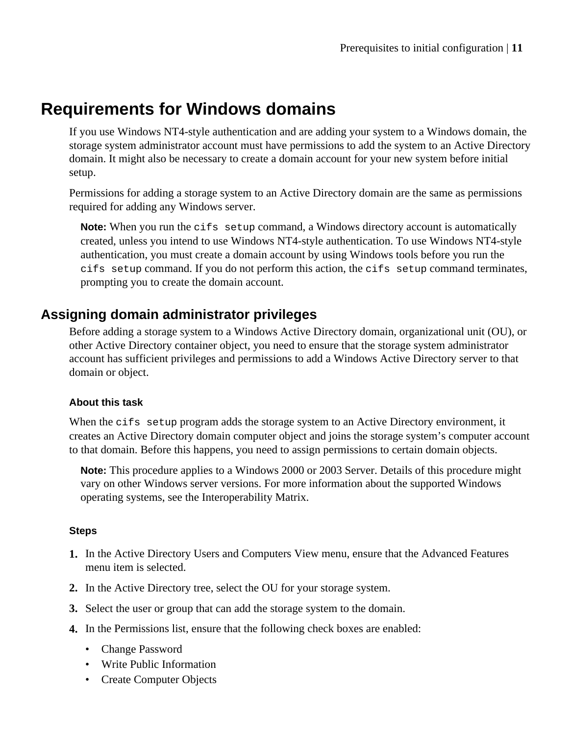## <span id="page-10-0"></span>**Requirements for Windows domains**

If you use Windows NT4-style authentication and are adding your system to a Windows domain, the storage system administrator account must have permissions to add the system to an Active Directory domain. It might also be necessary to create a domain account for your new system before initial setup.

Permissions for adding a storage system to an Active Directory domain are the same as permissions required for adding any Windows server.

**Note:** When you run the cifs setup command, a Windows directory account is automatically created, unless you intend to use Windows NT4-style authentication. To use Windows NT4-style authentication, you must create a domain account by using Windows tools before you run the cifs setup command. If you do not perform this action, the cifs setup command terminates, prompting you to create the domain account.

## **Assigning domain administrator privileges**

Before adding a storage system to a Windows Active Directory domain, organizational unit (OU), or other Active Directory container object, you need to ensure that the storage system administrator account has sufficient privileges and permissions to add a Windows Active Directory server to that domain or object.

### **About this task**

When the cifs setup program adds the storage system to an Active Directory environment, it creates an Active Directory domain computer object and joins the storage system's computer account to that domain. Before this happens, you need to assign permissions to certain domain objects.

**Note:** This procedure applies to a Windows 2000 or 2003 Server. Details of this procedure might vary on other Windows server versions. For more information about the supported Windows operating systems, see the Interoperability Matrix.

### **Steps**

- **1.** In the Active Directory Users and Computers View menu, ensure that the Advanced Features menu item is selected.
- **2.** In the Active Directory tree, select the OU for your storage system.
- **3.** Select the user or group that can add the storage system to the domain.
- **4.** In the Permissions list, ensure that the following check boxes are enabled:
	- Change Password
	- Write Public Information
	- Create Computer Objects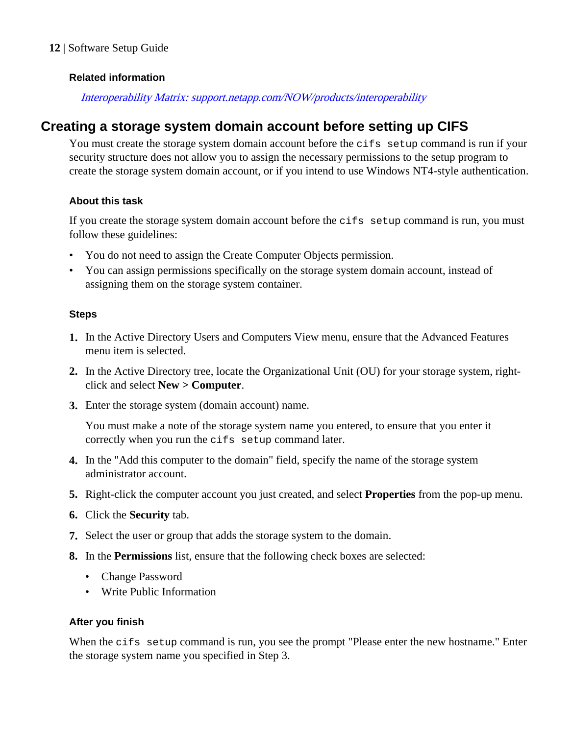### <span id="page-11-0"></span>**Related information**

### [Interoperability Matrix: support.netapp.com/NOW/products/interoperability](http://support.netapp.com/NOW/products/interoperability/)

### **Creating a storage system domain account before setting up CIFS**

You must create the storage system domain account before the cifs setup command is run if your security structure does not allow you to assign the necessary permissions to the setup program to create the storage system domain account, or if you intend to use Windows NT4-style authentication.

#### **About this task**

If you create the storage system domain account before the cifs setup command is run, you must follow these guidelines:

- You do not need to assign the Create Computer Objects permission.
- You can assign permissions specifically on the storage system domain account, instead of assigning them on the storage system container.

### **Steps**

- **1.** In the Active Directory Users and Computers View menu, ensure that the Advanced Features menu item is selected.
- **2.** In the Active Directory tree, locate the Organizational Unit (OU) for your storage system, rightclick and select **New > Computer**.
- **3.** Enter the storage system (domain account) name.

You must make a note of the storage system name you entered, to ensure that you enter it correctly when you run the cifs setup command later.

- **4.** In the "Add this computer to the domain" field, specify the name of the storage system administrator account.
- **5.** Right-click the computer account you just created, and select **Properties** from the pop-up menu.
- **6.** Click the **Security** tab.
- **7.** Select the user or group that adds the storage system to the domain.
- **8.** In the **Permissions** list, ensure that the following check boxes are selected:
	- Change Password
	- Write Public Information

### **After you finish**

When the cifs setup command is run, you see the prompt "Please enter the new hostname." Enter the storage system name you specified in Step 3.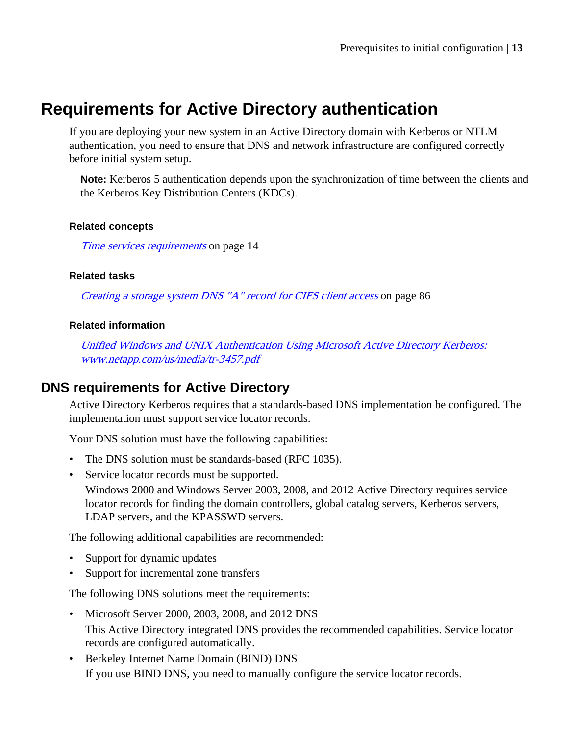## <span id="page-12-0"></span>**Requirements for Active Directory authentication**

If you are deploying your new system in an Active Directory domain with Kerberos or NTLM authentication, you need to ensure that DNS and network infrastructure are configured correctly before initial system setup.

**Note:** Kerberos 5 authentication depends upon the synchronization of time between the clients and the Kerberos Key Distribution Centers (KDCs).

### **Related concepts**

[Time services requirements](#page-13-0) on page 14

### **Related tasks**

[Creating a storage system DNS "A" record for CIFS client access](#page-85-0) on page 86

### **Related information**

[Unified Windows and UNIX Authentication Using Microsoft Active Directory Kerberos:](http://www.netapp.com/us/media/tr-3457.pdf) [www.netapp.com/us/media/tr-3457.pdf](http://www.netapp.com/us/media/tr-3457.pdf)

## **DNS requirements for Active Directory**

Active Directory Kerberos requires that a standards-based DNS implementation be configured. The implementation must support service locator records.

Your DNS solution must have the following capabilities:

- The DNS solution must be standards-based (RFC 1035).
- Service locator records must be supported. Windows 2000 and Windows Server 2003, 2008, and 2012 Active Directory requires service locator records for finding the domain controllers, global catalog servers, Kerberos servers, LDAP servers, and the KPASSWD servers.

The following additional capabilities are recommended:

- Support for dynamic updates
- Support for incremental zone transfers

The following DNS solutions meet the requirements:

- Microsoft Server 2000, 2003, 2008, and 2012 DNS This Active Directory integrated DNS provides the recommended capabilities. Service locator records are configured automatically.
- Berkeley Internet Name Domain (BIND) DNS If you use BIND DNS, you need to manually configure the service locator records.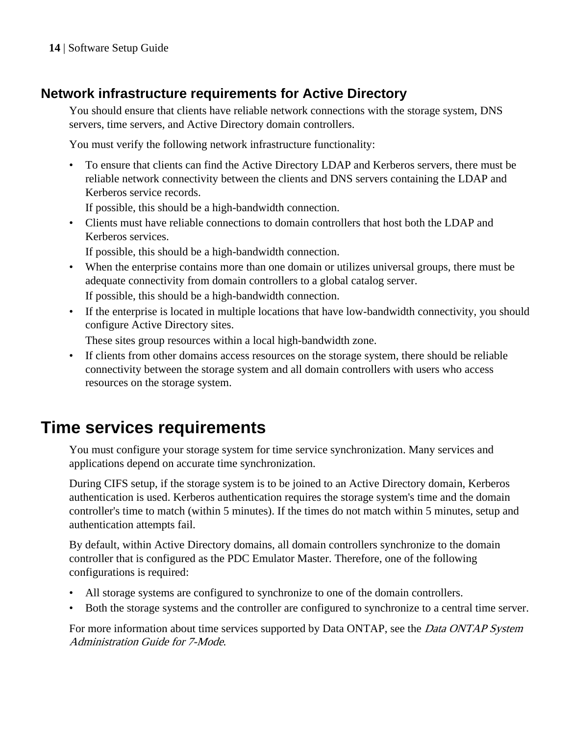## <span id="page-13-0"></span>**Network infrastructure requirements for Active Directory**

You should ensure that clients have reliable network connections with the storage system, DNS servers, time servers, and Active Directory domain controllers.

You must verify the following network infrastructure functionality:

• To ensure that clients can find the Active Directory LDAP and Kerberos servers, there must be reliable network connectivity between the clients and DNS servers containing the LDAP and Kerberos service records.

If possible, this should be a high-bandwidth connection.

• Clients must have reliable connections to domain controllers that host both the LDAP and Kerberos services.

If possible, this should be a high-bandwidth connection.

- When the enterprise contains more than one domain or utilizes universal groups, there must be adequate connectivity from domain controllers to a global catalog server. If possible, this should be a high-bandwidth connection.
- If the enterprise is located in multiple locations that have low-bandwidth connectivity, you should configure Active Directory sites.

These sites group resources within a local high-bandwidth zone.

• If clients from other domains access resources on the storage system, there should be reliable connectivity between the storage system and all domain controllers with users who access resources on the storage system.

## **Time services requirements**

You must configure your storage system for time service synchronization. Many services and applications depend on accurate time synchronization.

During CIFS setup, if the storage system is to be joined to an Active Directory domain, Kerberos authentication is used. Kerberos authentication requires the storage system's time and the domain controller's time to match (within 5 minutes). If the times do not match within 5 minutes, setup and authentication attempts fail.

By default, within Active Directory domains, all domain controllers synchronize to the domain controller that is configured as the PDC Emulator Master. Therefore, one of the following configurations is required:

- All storage systems are configured to synchronize to one of the domain controllers.
- Both the storage systems and the controller are configured to synchronize to a central time server.

For more information about time services supported by Data ONTAP, see the *Data ONTAP System* Administration Guide for 7-Mode.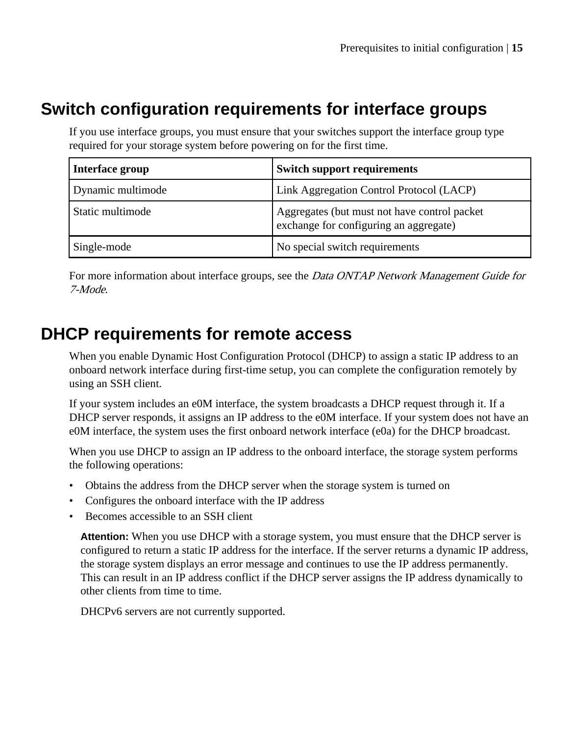## <span id="page-14-0"></span>**Switch configuration requirements for interface groups**

If you use interface groups, you must ensure that your switches support the interface group type required for your storage system before powering on for the first time.

| Interface group   | <b>Switch support requirements</b>                                                     |
|-------------------|----------------------------------------------------------------------------------------|
| Dynamic multimode | Link Aggregation Control Protocol (LACP)                                               |
| Static multimode  | Aggregates (but must not have control packet<br>exchange for configuring an aggregate) |
| Single-mode       | No special switch requirements                                                         |

For more information about interface groups, see the *Data ONTAP Network Management Guide for* 7-Mode.

## **DHCP requirements for remote access**

When you enable Dynamic Host Configuration Protocol (DHCP) to assign a static IP address to an onboard network interface during first-time setup, you can complete the configuration remotely by using an SSH client.

If your system includes an e0M interface, the system broadcasts a DHCP request through it. If a DHCP server responds, it assigns an IP address to the eOM interface. If your system does not have an e0M interface, the system uses the first onboard network interface (e0a) for the DHCP broadcast.

When you use DHCP to assign an IP address to the onboard interface, the storage system performs the following operations:

- Obtains the address from the DHCP server when the storage system is turned on
- Configures the onboard interface with the IP address
- Becomes accessible to an SSH client

**Attention:** When you use DHCP with a storage system, you must ensure that the DHCP server is configured to return a static IP address for the interface. If the server returns a dynamic IP address, the storage system displays an error message and continues to use the IP address permanently. This can result in an IP address conflict if the DHCP server assigns the IP address dynamically to other clients from time to time.

DHCPv6 servers are not currently supported.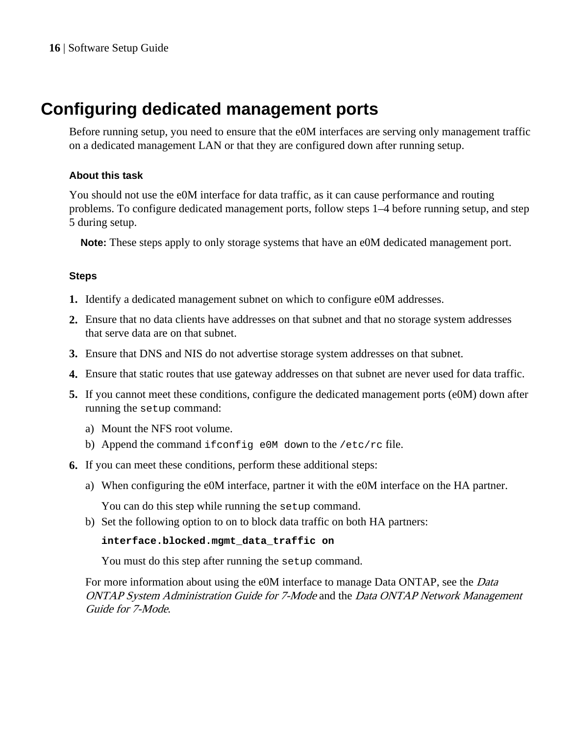## <span id="page-15-0"></span>**Configuring dedicated management ports**

Before running setup, you need to ensure that the e0M interfaces are serving only management traffic on a dedicated management LAN or that they are configured down after running setup.

### **About this task**

You should not use the e0M interface for data traffic, as it can cause performance and routing problems. To configure dedicated management ports, follow steps 1–4 before running setup, and step 5 during setup.

**Note:** These steps apply to only storage systems that have an e0M dedicated management port.

### **Steps**

- **1.** Identify a dedicated management subnet on which to configure e0M addresses.
- **2.** Ensure that no data clients have addresses on that subnet and that no storage system addresses that serve data are on that subnet.
- **3.** Ensure that DNS and NIS do not advertise storage system addresses on that subnet.
- **4.** Ensure that static routes that use gateway addresses on that subnet are never used for data traffic.
- **5.** If you cannot meet these conditions, configure the dedicated management ports (e0M) down after running the setup command:
	- a) Mount the NFS root volume.
	- b) Append the command ifconfig e0M down to the /etc/rc file.
- **6.** If you can meet these conditions, perform these additional steps:
	- a) When configuring the e0M interface, partner it with the e0M interface on the HA partner.

You can do this step while running the setup command.

b) Set the following option to on to block data traffic on both HA partners:

#### **interface.blocked.mgmt\_data\_traffic on**

You must do this step after running the setup command.

For more information about using the e0M interface to manage Data ONTAP, see the Data ONTAP System Administration Guide for 7-Mode and the Data ONTAP Network Management Guide for 7-Mode.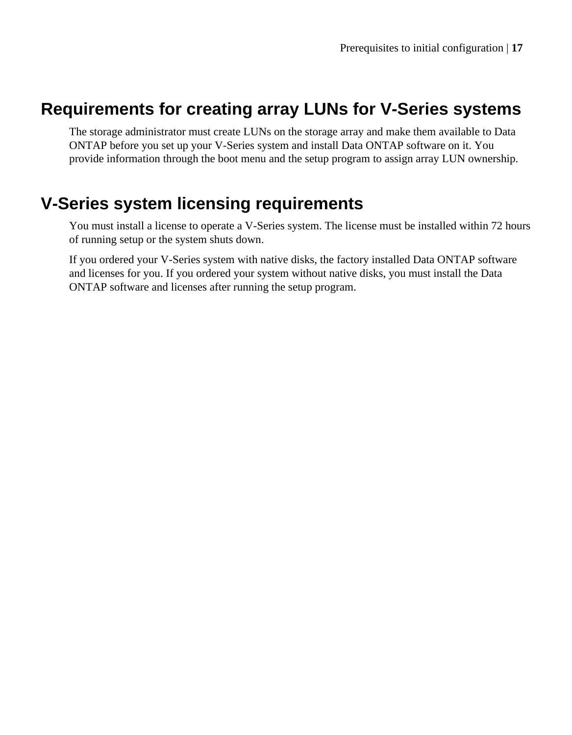## <span id="page-16-0"></span>**Requirements for creating array LUNs for V-Series systems**

The storage administrator must create LUNs on the storage array and make them available to Data ONTAP before you set up your V-Series system and install Data ONTAP software on it. You provide information through the boot menu and the setup program to assign array LUN ownership.

## **V-Series system licensing requirements**

You must install a license to operate a V-Series system. The license must be installed within 72 hours of running setup or the system shuts down.

If you ordered your V-Series system with native disks, the factory installed Data ONTAP software and licenses for you. If you ordered your system without native disks, you must install the Data ONTAP software and licenses after running the setup program.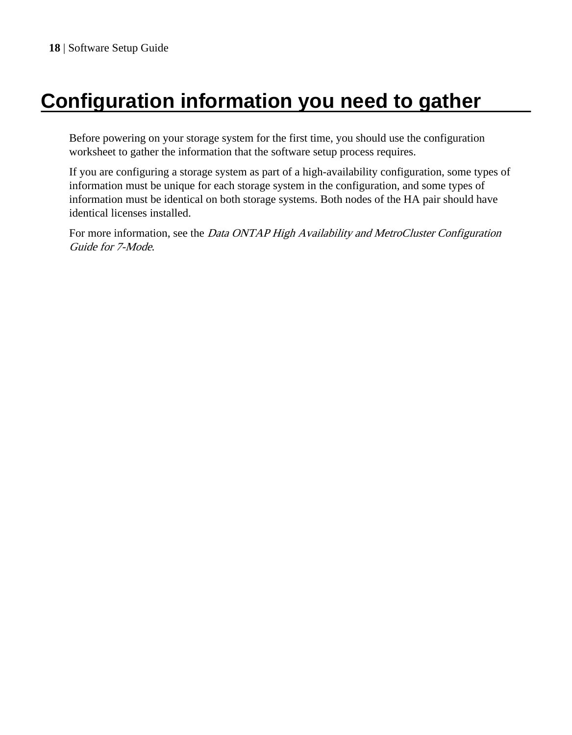# <span id="page-17-0"></span>**Configuration information you need to gather**

Before powering on your storage system for the first time, you should use the configuration worksheet to gather the information that the software setup process requires.

If you are configuring a storage system as part of a high-availability configuration, some types of information must be unique for each storage system in the configuration, and some types of information must be identical on both storage systems. Both nodes of the HA pair should have identical licenses installed.

For more information, see the Data ONTAP High Availability and MetroCluster Configuration Guide for 7-Mode.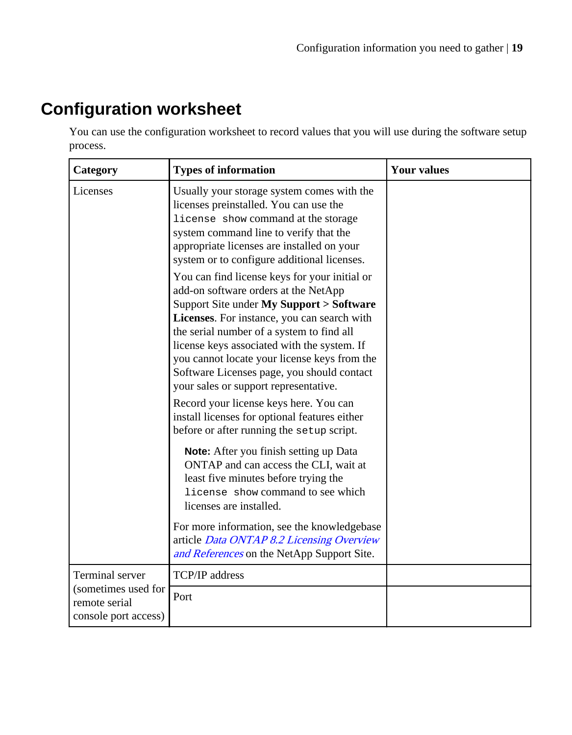## <span id="page-18-0"></span>**Configuration worksheet**

You can use the configuration worksheet to record values that you will use during the software setup process.

| Category                                                     | <b>Types of information</b>                                                                                                                                                                                                                                                                                                                                                                                         | <b>Your values</b> |
|--------------------------------------------------------------|---------------------------------------------------------------------------------------------------------------------------------------------------------------------------------------------------------------------------------------------------------------------------------------------------------------------------------------------------------------------------------------------------------------------|--------------------|
| Licenses                                                     | Usually your storage system comes with the<br>licenses preinstalled. You can use the<br>license show command at the storage<br>system command line to verify that the<br>appropriate licenses are installed on your<br>system or to configure additional licenses.                                                                                                                                                  |                    |
|                                                              | You can find license keys for your initial or<br>add-on software orders at the NetApp<br>Support Site under My Support > Software<br>Licenses. For instance, you can search with<br>the serial number of a system to find all<br>license keys associated with the system. If<br>you cannot locate your license keys from the<br>Software Licenses page, you should contact<br>your sales or support representative. |                    |
|                                                              | Record your license keys here. You can<br>install licenses for optional features either<br>before or after running the setup script.                                                                                                                                                                                                                                                                                |                    |
|                                                              | Note: After you finish setting up Data<br>ONTAP and can access the CLI, wait at<br>least five minutes before trying the<br>license show command to see which<br>licenses are installed.                                                                                                                                                                                                                             |                    |
|                                                              | For more information, see the knowledgebase<br>article Data ONTAP 8.2 Licensing Overview<br>and References on the NetApp Support Site.                                                                                                                                                                                                                                                                              |                    |
| Terminal server                                              | TCP/IP address                                                                                                                                                                                                                                                                                                                                                                                                      |                    |
| (sometimes used for<br>remote serial<br>console port access) | Port                                                                                                                                                                                                                                                                                                                                                                                                                |                    |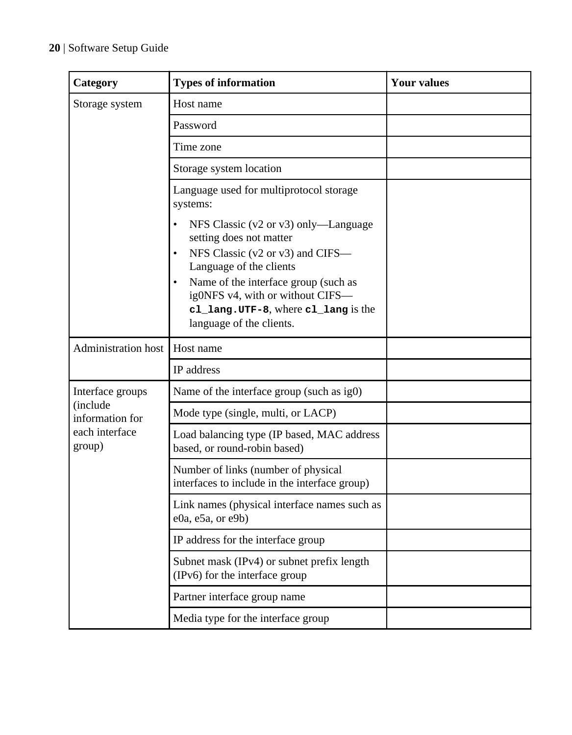| Category                                                                    | <b>Types of information</b>                                                                                                                                                                                                                                                                                          | <b>Your values</b> |
|-----------------------------------------------------------------------------|----------------------------------------------------------------------------------------------------------------------------------------------------------------------------------------------------------------------------------------------------------------------------------------------------------------------|--------------------|
| Storage system                                                              | Host name                                                                                                                                                                                                                                                                                                            |                    |
|                                                                             | Password                                                                                                                                                                                                                                                                                                             |                    |
|                                                                             | Time zone                                                                                                                                                                                                                                                                                                            |                    |
|                                                                             | Storage system location                                                                                                                                                                                                                                                                                              |                    |
|                                                                             | Language used for multiprotocol storage<br>systems:                                                                                                                                                                                                                                                                  |                    |
|                                                                             | NFS Classic (v2 or v3) only—Language<br>$\bullet$<br>setting does not matter<br>NFS Classic (v2 or v3) and CIFS-<br>$\bullet$<br>Language of the clients<br>Name of the interface group (such as<br>$\bullet$<br>ig0NFS v4, with or without CIFS-<br>cl_lang.UTF-8, where cl_lang is the<br>language of the clients. |                    |
| Administration host                                                         | Host name                                                                                                                                                                                                                                                                                                            |                    |
|                                                                             | IP address                                                                                                                                                                                                                                                                                                           |                    |
| Interface groups<br>(include<br>information for<br>each interface<br>group) | Name of the interface group (such as ig0)                                                                                                                                                                                                                                                                            |                    |
|                                                                             | Mode type (single, multi, or LACP)                                                                                                                                                                                                                                                                                   |                    |
|                                                                             | Load balancing type (IP based, MAC address<br>based, or round-robin based)                                                                                                                                                                                                                                           |                    |
|                                                                             | Number of links (number of physical<br>interfaces to include in the interface group)                                                                                                                                                                                                                                 |                    |
|                                                                             | Link names (physical interface names such as<br>e0a, e5a, or e9b)                                                                                                                                                                                                                                                    |                    |
|                                                                             | IP address for the interface group                                                                                                                                                                                                                                                                                   |                    |
|                                                                             | Subnet mask (IPv4) or subnet prefix length<br>(IPv6) for the interface group                                                                                                                                                                                                                                         |                    |
|                                                                             | Partner interface group name                                                                                                                                                                                                                                                                                         |                    |
|                                                                             | Media type for the interface group                                                                                                                                                                                                                                                                                   |                    |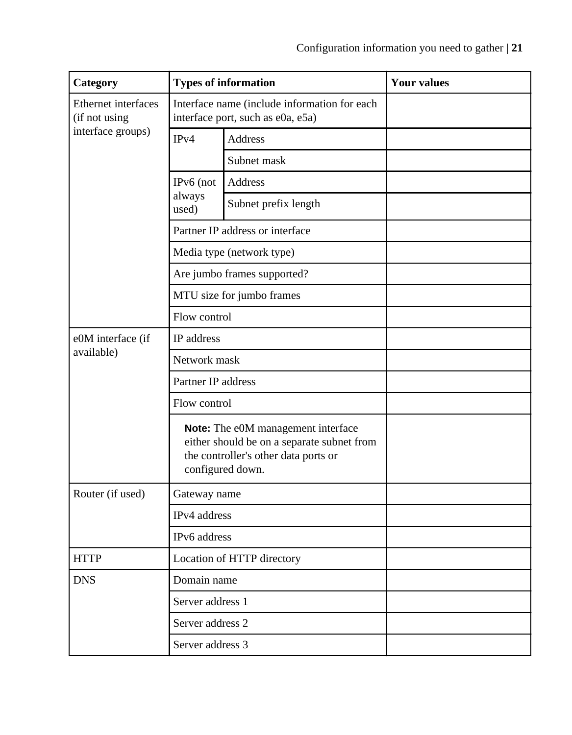| Category                             | <b>Types of information</b>                                                                                                                  |                                 | <b>Your values</b> |
|--------------------------------------|----------------------------------------------------------------------------------------------------------------------------------------------|---------------------------------|--------------------|
| Ethernet interfaces<br>(if not using | Interface name (include information for each<br>interface port, such as e0a, e5a)                                                            |                                 |                    |
| interface groups)                    | IPv4                                                                                                                                         | Address                         |                    |
|                                      |                                                                                                                                              | Subnet mask                     |                    |
|                                      | IPv6 (not                                                                                                                                    | Address                         |                    |
|                                      | always<br>used)                                                                                                                              | Subnet prefix length            |                    |
|                                      |                                                                                                                                              | Partner IP address or interface |                    |
|                                      |                                                                                                                                              | Media type (network type)       |                    |
|                                      |                                                                                                                                              | Are jumbo frames supported?     |                    |
|                                      |                                                                                                                                              | MTU size for jumbo frames       |                    |
|                                      | Flow control                                                                                                                                 |                                 |                    |
| e0M interface (if                    | IP address                                                                                                                                   |                                 |                    |
| available)                           | Network mask                                                                                                                                 |                                 |                    |
|                                      | Partner IP address                                                                                                                           |                                 |                    |
|                                      | Flow control                                                                                                                                 |                                 |                    |
|                                      | Note: The e0M management interface<br>either should be on a separate subnet from<br>the controller's other data ports or<br>configured down. |                                 |                    |
| Router (if used)                     | Gateway name                                                                                                                                 |                                 |                    |
|                                      | IPv4 address                                                                                                                                 |                                 |                    |
|                                      | IPv6 address                                                                                                                                 |                                 |                    |
| <b>HTTP</b>                          | Location of HTTP directory                                                                                                                   |                                 |                    |
| <b>DNS</b>                           | Domain name                                                                                                                                  |                                 |                    |
|                                      | Server address 1                                                                                                                             |                                 |                    |
|                                      | Server address 2                                                                                                                             |                                 |                    |
|                                      | Server address 3                                                                                                                             |                                 |                    |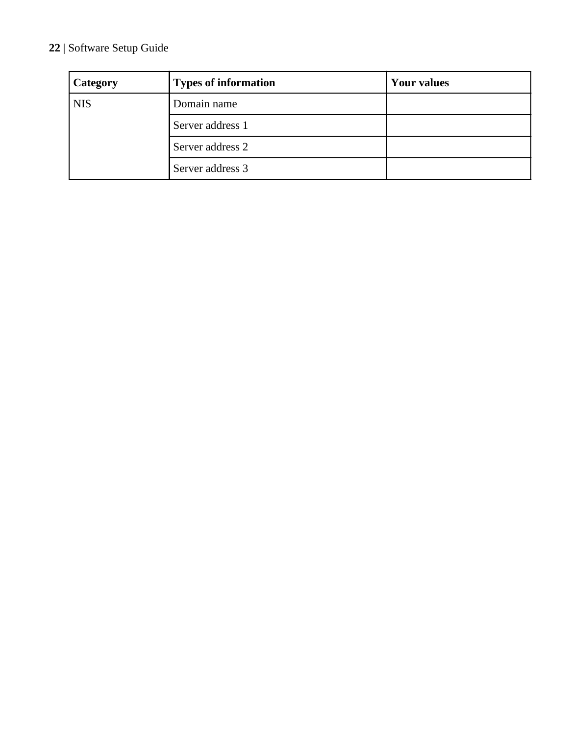| Category   | <b>Types of information</b> | <b>Your values</b> |
|------------|-----------------------------|--------------------|
| <b>NIS</b> | Domain name                 |                    |
|            | Server address 1            |                    |
|            | Server address 2            |                    |
|            | Server address 3            |                    |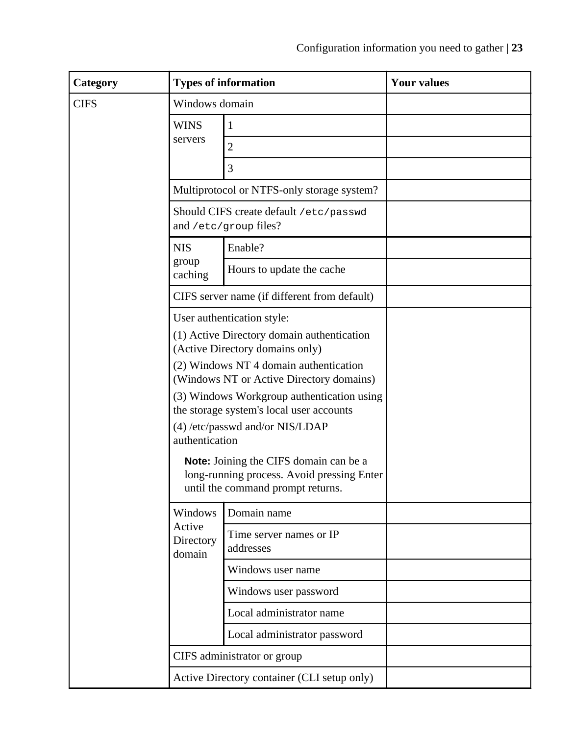| Category    |                                                                                        | <b>Types of information</b>                                               | Your values |  |
|-------------|----------------------------------------------------------------------------------------|---------------------------------------------------------------------------|-------------|--|
| <b>CIFS</b> | Windows domain                                                                         |                                                                           |             |  |
|             | <b>WINS</b>                                                                            | 1                                                                         |             |  |
|             | servers                                                                                | $\overline{2}$                                                            |             |  |
|             |                                                                                        | 3                                                                         |             |  |
|             |                                                                                        | Multiprotocol or NTFS-only storage system?                                |             |  |
|             | Should CIFS create default /etc/passwd<br>and /etc/group files?                        |                                                                           |             |  |
|             | <b>NIS</b>                                                                             | Enable?                                                                   |             |  |
|             | group<br>caching                                                                       | Hours to update the cache                                                 |             |  |
|             |                                                                                        | CIFS server name (if different from default)                              |             |  |
|             |                                                                                        | User authentication style:                                                |             |  |
|             |                                                                                        | (1) Active Directory domain authentication                                |             |  |
|             |                                                                                        | (Active Directory domains only)<br>(2) Windows NT 4 domain authentication |             |  |
|             |                                                                                        | (Windows NT or Active Directory domains)                                  |             |  |
|             | (3) Windows Workgroup authentication using<br>the storage system's local user accounts |                                                                           |             |  |
|             | (4) /etc/passwd and/or NIS/LDAP                                                        |                                                                           |             |  |
|             | authentication                                                                         |                                                                           |             |  |
|             | Note: Joining the CIFS domain can be a<br>long-running process. Avoid pressing Enter   |                                                                           |             |  |
|             |                                                                                        | until the command prompt returns.                                         |             |  |
|             | Windows<br>Active<br>Directory<br>domain                                               | Domain name                                                               |             |  |
|             |                                                                                        | Time server names or IP<br>addresses                                      |             |  |
|             |                                                                                        | Windows user name                                                         |             |  |
|             |                                                                                        | Windows user password                                                     |             |  |
|             |                                                                                        | Local administrator name                                                  |             |  |
|             |                                                                                        | Local administrator password                                              |             |  |
|             | CIFS administrator or group                                                            |                                                                           |             |  |
|             | Active Directory container (CLI setup only)                                            |                                                                           |             |  |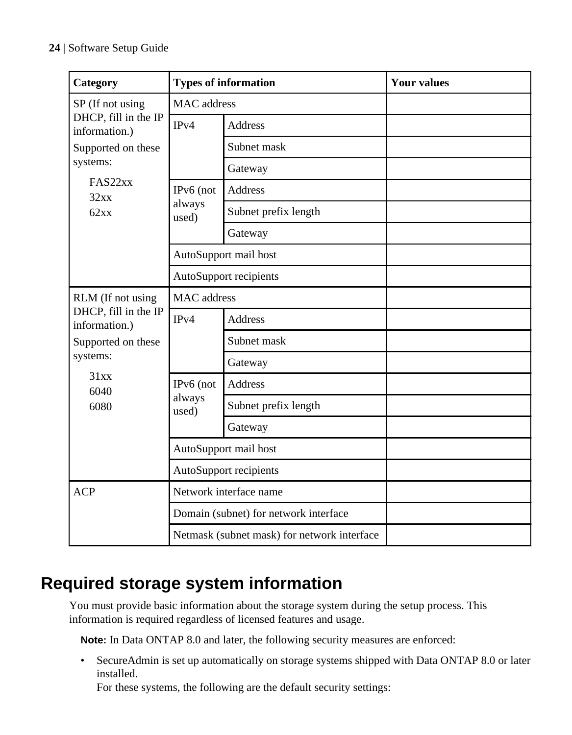<span id="page-23-0"></span>

| Category                              | <b>Types of information</b>                 |                       | <b>Your values</b> |
|---------------------------------------|---------------------------------------------|-----------------------|--------------------|
| SP (If not using                      | <b>MAC</b> address                          |                       |                    |
| DHCP, fill in the IP<br>information.) | IPv4                                        | Address               |                    |
| Supported on these                    |                                             | Subnet mask           |                    |
| systems:                              |                                             | Gateway               |                    |
| FAS22xx<br>32xx                       | IPv6 (not                                   | Address               |                    |
| 62xx                                  | always<br>used)                             | Subnet prefix length  |                    |
|                                       |                                             | Gateway               |                    |
|                                       |                                             | AutoSupport mail host |                    |
|                                       | AutoSupport recipients                      |                       |                    |
| RLM (If not using                     | <b>MAC</b> address                          |                       |                    |
| DHCP, fill in the IP<br>information.) | IPv4                                        | <b>Address</b>        |                    |
| Supported on these                    |                                             | Subnet mask           |                    |
| systems:                              |                                             | Gateway               |                    |
| 31xx<br>6040                          | IPv6 (not                                   | <b>Address</b>        |                    |
| 6080                                  | always<br>used)                             | Subnet prefix length  |                    |
|                                       |                                             | Gateway               |                    |
|                                       | AutoSupport mail host                       |                       |                    |
|                                       | AutoSupport recipients                      |                       |                    |
| <b>ACP</b>                            | Network interface name                      |                       |                    |
|                                       | Domain (subnet) for network interface       |                       |                    |
|                                       | Netmask (subnet mask) for network interface |                       |                    |

## **Required storage system information**

You must provide basic information about the storage system during the setup process. This information is required regardless of licensed features and usage.

**Note:** In Data ONTAP 8.0 and later, the following security measures are enforced:

• SecureAdmin is set up automatically on storage systems shipped with Data ONTAP 8.0 or later installed.

For these systems, the following are the default security settings: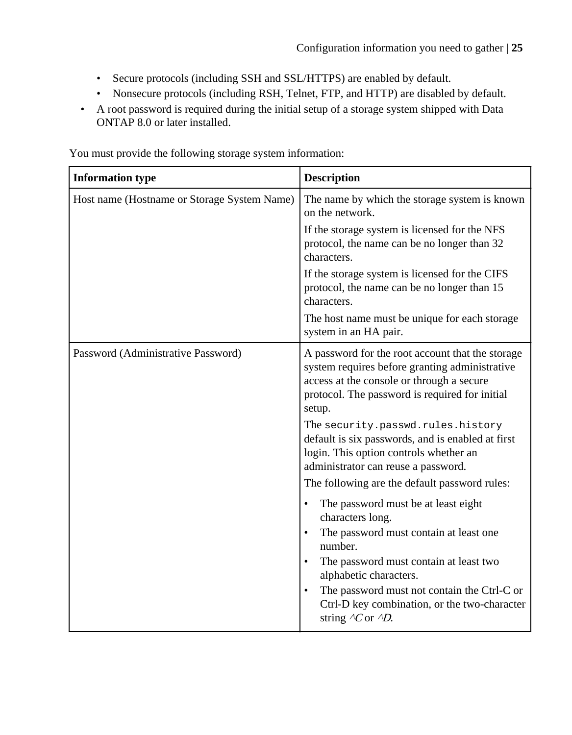- Secure protocols (including SSH and SSL/HTTPS) are enabled by default.
- Nonsecure protocols (including RSH, Telnet, FTP, and HTTP) are disabled by default.
- A root password is required during the initial setup of a storage system shipped with Data ONTAP 8.0 or later installed.

**Information type Description** Host name (Hostname or Storage System Name) The name by which the storage system is known on the network. If the storage system is licensed for the NFS protocol, the name can be no longer than 32 characters. If the storage system is licensed for the CIFS protocol, the name can be no longer than 15 characters. The host name must be unique for each storage system in an HA pair. Password (Administrative Password) A password for the root account that the storage system requires before granting administrative access at the console or through a secure protocol. The password is required for initial setup. The security.passwd.rules.history default is six passwords, and is enabled at first login. This option controls whether an administrator can reuse a password. The following are the default password rules: The password must be at least eight characters long. The password must contain at least one number. The password must contain at least two alphabetic characters. The password must not contain the Ctrl-C or Ctrl-D key combination, or the two-character string  $\Delta$ C or  $\Delta$ D.

You must provide the following storage system information: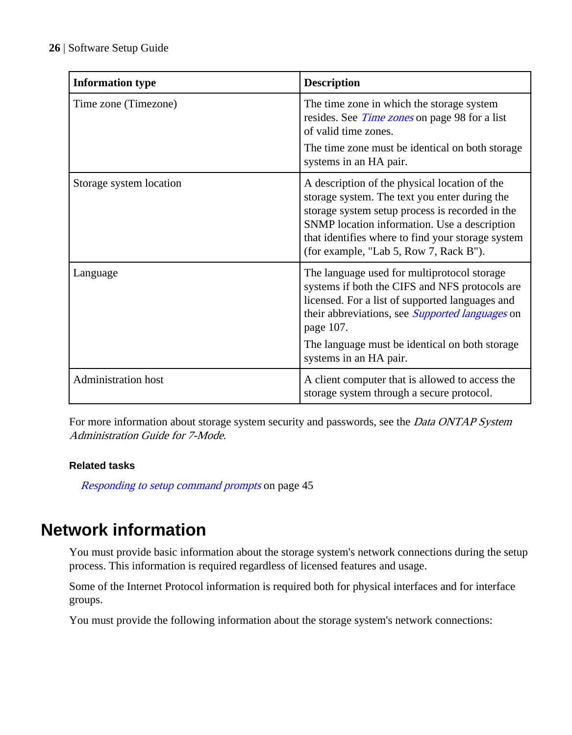<span id="page-25-0"></span>

| <b>Information type</b>    | <b>Description</b>                                                                                                                                                                                                                                                                                  |
|----------------------------|-----------------------------------------------------------------------------------------------------------------------------------------------------------------------------------------------------------------------------------------------------------------------------------------------------|
| Time zone (Timezone)       | The time zone in which the storage system<br>resides. See <i>Time zones</i> on page 98 for a list<br>of valid time zones.                                                                                                                                                                           |
|                            | The time zone must be identical on both storage<br>systems in an HA pair.                                                                                                                                                                                                                           |
| Storage system location    | A description of the physical location of the<br>storage system. The text you enter during the<br>storage system setup process is recorded in the<br>SNMP location information. Use a description<br>that identifies where to find your storage system<br>(for example, "Lab 5, Row 7, Rack B").    |
| Language                   | The language used for multiprotocol storage<br>systems if both the CIFS and NFS protocols are<br>licensed. For a list of supported languages and<br>their abbreviations, see <i>Supported languages</i> on<br>page 107.<br>The language must be identical on both storage<br>systems in an HA pair. |
| <b>Administration</b> host | A client computer that is allowed to access the<br>storage system through a secure protocol.                                                                                                                                                                                                        |

For more information about storage system security and passwords, see the *Data ONTAP System* Administration Guide for 7-Mode.

### **Related tasks**

[Responding to setup command prompts](#page-44-0) on page 45

## **Network information**

You must provide basic information about the storage system's network connections during the setup process. This information is required regardless of licensed features and usage.

Some of the Internet Protocol information is required both for physical interfaces and for interface groups.

You must provide the following information about the storage system's network connections: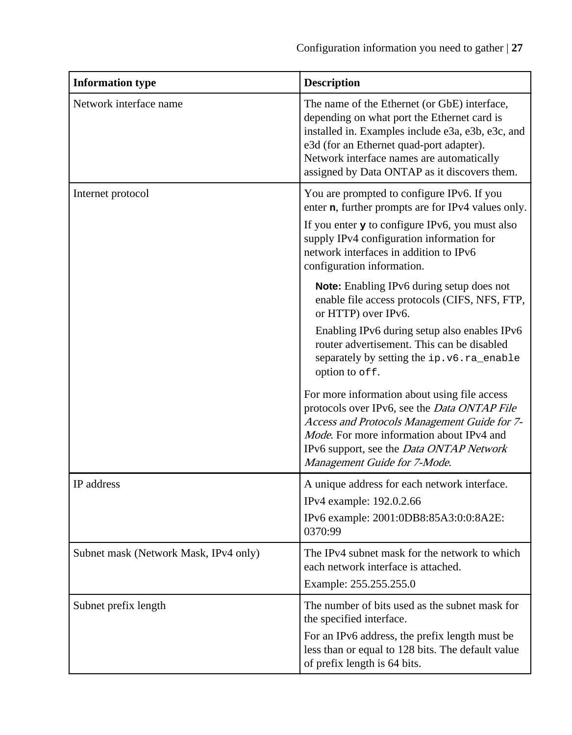| <b>Information type</b>               | <b>Description</b>                                                                                                                                                                                                                                                                        |
|---------------------------------------|-------------------------------------------------------------------------------------------------------------------------------------------------------------------------------------------------------------------------------------------------------------------------------------------|
| Network interface name                | The name of the Ethernet (or GbE) interface,<br>depending on what port the Ethernet card is<br>installed in. Examples include e3a, e3b, e3c, and<br>e3d (for an Ethernet quad-port adapter).<br>Network interface names are automatically<br>assigned by Data ONTAP as it discovers them. |
| Internet protocol                     | You are prompted to configure IPv6. If you<br>enter n, further prompts are for IPv4 values only.                                                                                                                                                                                          |
|                                       | If you enter $\mathbf y$ to configure IPv6, you must also<br>supply IPv4 configuration information for<br>network interfaces in addition to IPv6<br>configuration information.                                                                                                            |
|                                       | Note: Enabling IPv6 during setup does not<br>enable file access protocols (CIFS, NFS, FTP,<br>or HTTP) over IPv6.                                                                                                                                                                         |
|                                       | Enabling IPv6 during setup also enables IPv6<br>router advertisement. This can be disabled<br>separately by setting the ip.v6.ra_enable<br>option to off.                                                                                                                                 |
|                                       | For more information about using file access<br>protocols over IPv6, see the Data ONTAP File<br>Access and Protocols Management Guide for 7-<br>Mode. For more information about IPv4 and<br>IPv6 support, see the Data ONTAP Network<br>Management Guide for 7-Mode.                     |
| IP address                            | A unique address for each network interface.<br>IPv4 example: 192.0.2.66                                                                                                                                                                                                                  |
|                                       | IPv6 example: 2001:0DB8:85A3:0:0:8A2E:<br>0370:99                                                                                                                                                                                                                                         |
| Subnet mask (Network Mask, IPv4 only) | The IPv4 subnet mask for the network to which<br>each network interface is attached.<br>Example: 255.255.255.0                                                                                                                                                                            |
| Subnet prefix length                  | The number of bits used as the subnet mask for<br>the specified interface.                                                                                                                                                                                                                |
|                                       | For an IPv6 address, the prefix length must be<br>less than or equal to 128 bits. The default value<br>of prefix length is 64 bits.                                                                                                                                                       |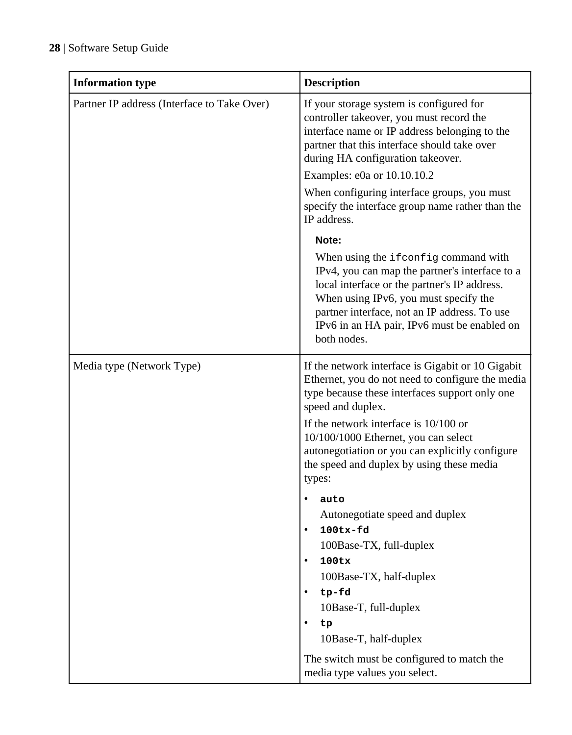| <b>Information type</b>                     | <b>Description</b>                                                                                                                                                                                                                                                                                                                                           |
|---------------------------------------------|--------------------------------------------------------------------------------------------------------------------------------------------------------------------------------------------------------------------------------------------------------------------------------------------------------------------------------------------------------------|
| Partner IP address (Interface to Take Over) | If your storage system is configured for<br>controller takeover, you must record the<br>interface name or IP address belonging to the<br>partner that this interface should take over<br>during HA configuration takeover.<br>Examples: e0a or 10.10.10.2<br>When configuring interface groups, you must<br>specify the interface group name rather than the |
|                                             | IP address.                                                                                                                                                                                                                                                                                                                                                  |
|                                             | Note:<br>When using the ifconfig command with<br>IPv4, you can map the partner's interface to a<br>local interface or the partner's IP address.<br>When using IPv6, you must specify the<br>partner interface, not an IP address. To use<br>IPv6 in an HA pair, IPv6 must be enabled on<br>both nodes.                                                       |
| Media type (Network Type)                   | If the network interface is Gigabit or 10 Gigabit<br>Ethernet, you do not need to configure the media<br>type because these interfaces support only one<br>speed and duplex.<br>If the network interface is 10/100 or<br>10/100/1000 Ethernet, you can select<br>autonegotiation or you can explicitly configure                                             |
|                                             | the speed and duplex by using these media<br>types:                                                                                                                                                                                                                                                                                                          |
|                                             | auto<br>Autonegotiate speed and duplex<br>$\bullet$<br>$100tx-fd$<br>100Base-TX, full-duplex<br>100tx<br>100Base-TX, half-duplex<br>tp-fd<br>10Base-T, full-duplex<br>$\bullet$                                                                                                                                                                              |
|                                             | tp<br>10Base-T, half-duplex                                                                                                                                                                                                                                                                                                                                  |
|                                             | The switch must be configured to match the<br>media type values you select.                                                                                                                                                                                                                                                                                  |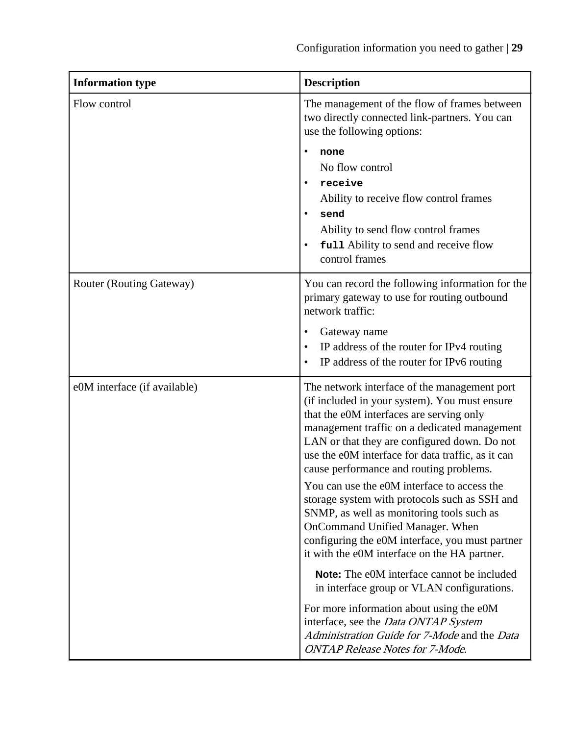| <b>Information type</b>      | <b>Description</b>                                                                                                                                                                                                                                                                                                                        |
|------------------------------|-------------------------------------------------------------------------------------------------------------------------------------------------------------------------------------------------------------------------------------------------------------------------------------------------------------------------------------------|
| Flow control                 | The management of the flow of frames between<br>two directly connected link-partners. You can<br>use the following options:                                                                                                                                                                                                               |
|                              | none<br>No flow control<br>receive<br>Ability to receive flow control frames<br>send<br>Ability to send flow control frames<br>full Ability to send and receive flow<br>control frames                                                                                                                                                    |
| Router (Routing Gateway)     | You can record the following information for the<br>primary gateway to use for routing outbound<br>network traffic:                                                                                                                                                                                                                       |
|                              | Gateway name<br>IP address of the router for IPv4 routing<br>IP address of the router for IPv6 routing                                                                                                                                                                                                                                    |
| e0M interface (if available) | The network interface of the management port<br>(if included in your system). You must ensure<br>that the e0M interfaces are serving only<br>management traffic on a dedicated management<br>LAN or that they are configured down. Do not<br>use the e0M interface for data traffic, as it can<br>cause performance and routing problems. |
|                              | You can use the e0M interface to access the<br>storage system with protocols such as SSH and<br>SNMP, as well as monitoring tools such as<br>OnCommand Unified Manager. When<br>configuring the e0M interface, you must partner<br>it with the e0M interface on the HA partner.                                                           |
|                              | Note: The e0M interface cannot be included<br>in interface group or VLAN configurations.                                                                                                                                                                                                                                                  |
|                              | For more information about using the e0M<br>interface, see the Data ONTAP System<br>Administration Guide for 7-Mode and the Data<br><b>ONTAP Release Notes for 7-Mode.</b>                                                                                                                                                                |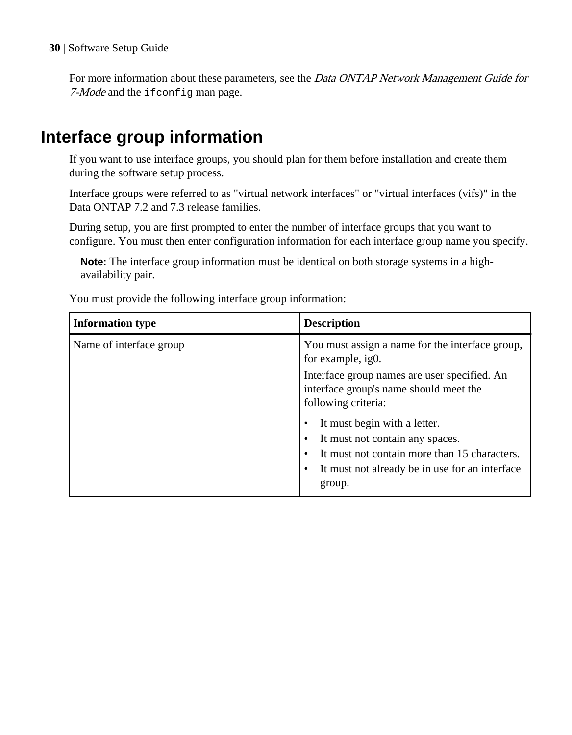<span id="page-29-0"></span>For more information about these parameters, see the *Data ONTAP Network Management Guide for* 7-Mode and the ifconfig man page.

## **Interface group information**

If you want to use interface groups, you should plan for them before installation and create them during the software setup process.

Interface groups were referred to as "virtual network interfaces" or "virtual interfaces (vifs)" in the Data ONTAP 7.2 and 7.3 release families.

During setup, you are first prompted to enter the number of interface groups that you want to configure. You must then enter configuration information for each interface group name you specify.

**Note:** The interface group information must be identical on both storage systems in a highavailability pair.

You must provide the following interface group information:

| <b>Information type</b> | <b>Description</b>                                                                                                                                                          |
|-------------------------|-----------------------------------------------------------------------------------------------------------------------------------------------------------------------------|
| Name of interface group | You must assign a name for the interface group,<br>for example, ig0.                                                                                                        |
|                         | Interface group names are user specified. An<br>interface group's name should meet the<br>following criteria:                                                               |
|                         | It must begin with a letter.<br>It must not contain any spaces.<br>It must not contain more than 15 characters.<br>It must not already be in use for an interface<br>group. |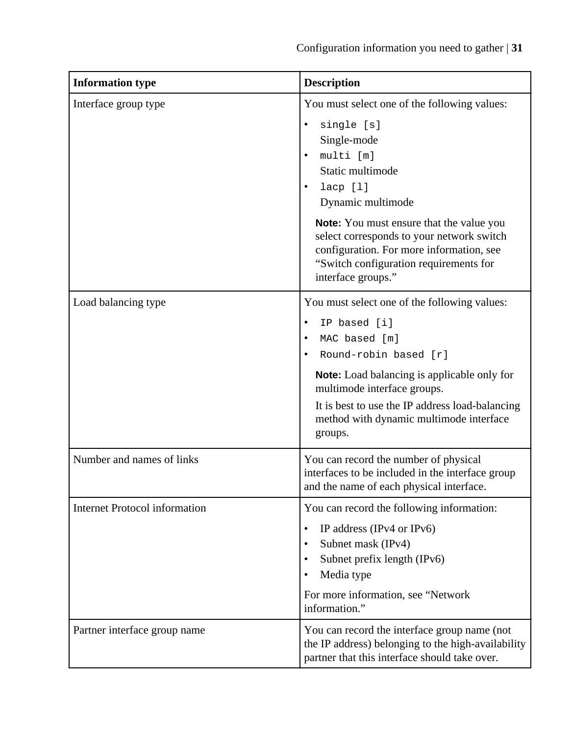| <b>Information type</b>              | <b>Description</b>                                                                                                                                                                                                                                                                                                                                                        |
|--------------------------------------|---------------------------------------------------------------------------------------------------------------------------------------------------------------------------------------------------------------------------------------------------------------------------------------------------------------------------------------------------------------------------|
| Interface group type                 | You must select one of the following values:<br>single [s]<br>Single-mode<br>multi [m]<br>$\bullet$<br>Static multimode<br>lacp [1]<br>٠<br>Dynamic multimode<br><b>Note:</b> You must ensure that the value you<br>select corresponds to your network switch<br>configuration. For more information, see<br>"Switch configuration requirements for<br>interface groups." |
| Load balancing type                  | You must select one of the following values:<br>IP based [i]<br>٠<br>MAC based [m]<br>$\bullet$<br>Round-robin based [r]<br><b>Note:</b> Load balancing is applicable only for<br>multimode interface groups.<br>It is best to use the IP address load-balancing<br>method with dynamic multimode interface<br>groups.                                                    |
| Number and names of links            | You can record the number of physical<br>interfaces to be included in the interface group<br>and the name of each physical interface.                                                                                                                                                                                                                                     |
| <b>Internet Protocol information</b> | You can record the following information:<br>IP address (IPv4 or IPv6)<br>$\bullet$<br>Subnet mask (IPv4)<br>$\bullet$<br>Subnet prefix length (IPv6)<br>Media type<br>For more information, see "Network<br>information."                                                                                                                                                |
| Partner interface group name         | You can record the interface group name (not<br>the IP address) belonging to the high-availability<br>partner that this interface should take over.                                                                                                                                                                                                                       |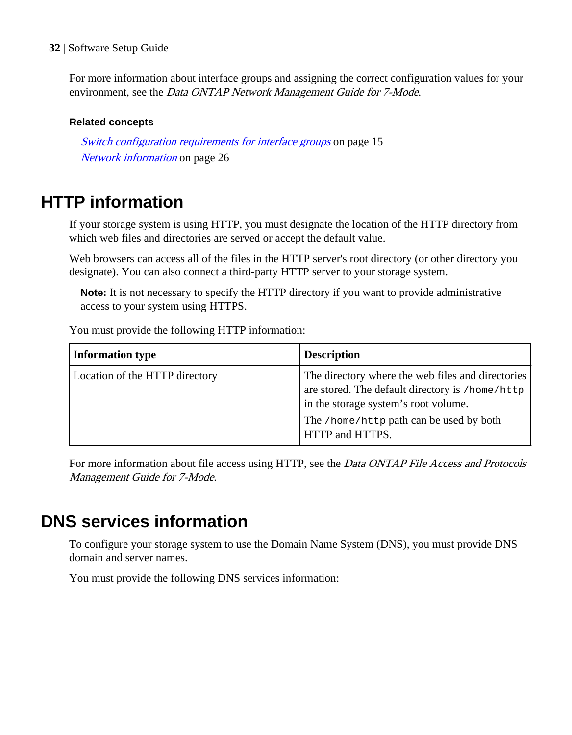<span id="page-31-0"></span>For more information about interface groups and assigning the correct configuration values for your environment, see the Data ONTAP Network Management Guide for 7-Mode.

### **Related concepts**

[Switch configuration requirements for interface groups](#page-14-0) on page 15 [Network information](#page-25-0) on page 26

## **HTTP information**

If your storage system is using HTTP, you must designate the location of the HTTP directory from which web files and directories are served or accept the default value.

Web browsers can access all of the files in the HTTP server's root directory (or other directory you designate). You can also connect a third-party HTTP server to your storage system.

**Note:** It is not necessary to specify the HTTP directory if you want to provide administrative access to your system using HTTPS.

You must provide the following HTTP information:

| <b>Information type</b>        | <b>Description</b>                                                                                                                                                                                         |
|--------------------------------|------------------------------------------------------------------------------------------------------------------------------------------------------------------------------------------------------------|
| Location of the HTTP directory | The directory where the web files and directories<br>are stored. The default directory is /home/http<br>in the storage system's root volume.<br>The /home/http path can be used by both<br>HTTP and HTTPS. |

For more information about file access using HTTP, see the *Data ONTAP File Access and Protocols* Management Guide for 7-Mode.

## **DNS services information**

To configure your storage system to use the Domain Name System (DNS), you must provide DNS domain and server names.

You must provide the following DNS services information: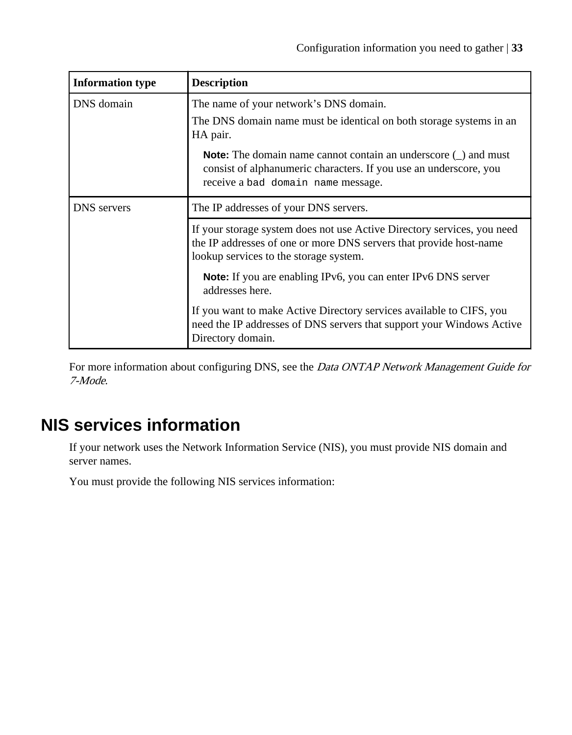<span id="page-32-0"></span>

| <b>Information type</b> | <b>Description</b>                                                                                                                                                                      |
|-------------------------|-----------------------------------------------------------------------------------------------------------------------------------------------------------------------------------------|
| DNS domain              | The name of your network's DNS domain.<br>The DNS domain name must be identical on both storage systems in an<br>HA pair.                                                               |
|                         | <b>Note:</b> The domain name cannot contain an underscore $\cup$ and must<br>consist of alphanumeric characters. If you use an underscore, you<br>receive a bad domain name message.    |
| <b>DNS</b> servers      | The IP addresses of your DNS servers.                                                                                                                                                   |
|                         | If your storage system does not use Active Directory services, you need<br>the IP addresses of one or more DNS servers that provide host-name<br>lookup services to the storage system. |
|                         | <b>Note:</b> If you are enabling IPv6, you can enter IPv6 DNS server<br>addresses here.                                                                                                 |
|                         | If you want to make Active Directory services available to CIFS, you<br>need the IP addresses of DNS servers that support your Windows Active<br>Directory domain.                      |

For more information about configuring DNS, see the Data ONTAP Network Management Guide for 7-Mode.

## **NIS services information**

If your network uses the Network Information Service (NIS), you must provide NIS domain and server names.

You must provide the following NIS services information: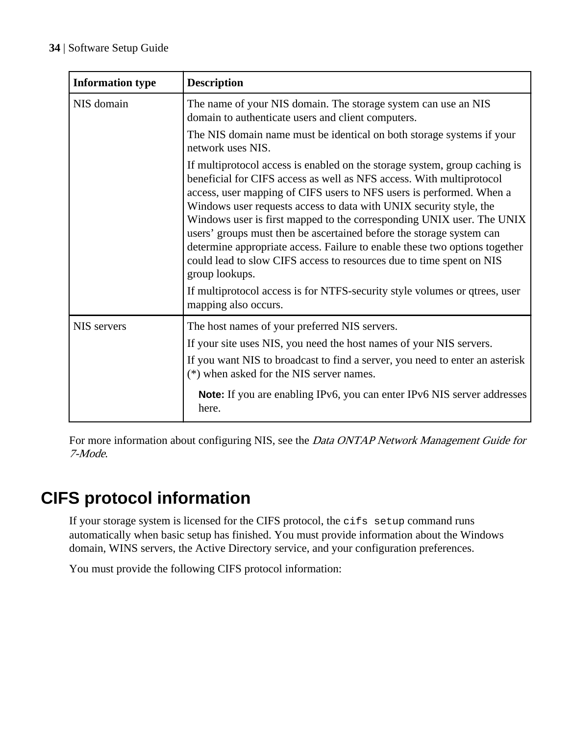<span id="page-33-0"></span>

| <b>Information type</b> | <b>Description</b>                                                                                                                                                                                                                                                                                                                                                                                                                                                                                                                                                                                                                                                                                                              |
|-------------------------|---------------------------------------------------------------------------------------------------------------------------------------------------------------------------------------------------------------------------------------------------------------------------------------------------------------------------------------------------------------------------------------------------------------------------------------------------------------------------------------------------------------------------------------------------------------------------------------------------------------------------------------------------------------------------------------------------------------------------------|
| NIS domain              | The name of your NIS domain. The storage system can use an NIS<br>domain to authenticate users and client computers.                                                                                                                                                                                                                                                                                                                                                                                                                                                                                                                                                                                                            |
|                         | The NIS domain name must be identical on both storage systems if your<br>network uses NIS.                                                                                                                                                                                                                                                                                                                                                                                                                                                                                                                                                                                                                                      |
|                         | If multiprotocol access is enabled on the storage system, group caching is<br>beneficial for CIFS access as well as NFS access. With multiprotocol<br>access, user mapping of CIFS users to NFS users is performed. When a<br>Windows user requests access to data with UNIX security style, the<br>Windows user is first mapped to the corresponding UNIX user. The UNIX<br>users' groups must then be ascertained before the storage system can<br>determine appropriate access. Failure to enable these two options together<br>could lead to slow CIFS access to resources due to time spent on NIS<br>group lookups.<br>If multiprotocol access is for NTFS-security style volumes or qtrees, user<br>mapping also occurs. |
| NIS servers             | The host names of your preferred NIS servers.                                                                                                                                                                                                                                                                                                                                                                                                                                                                                                                                                                                                                                                                                   |
|                         | If your site uses NIS, you need the host names of your NIS servers.                                                                                                                                                                                                                                                                                                                                                                                                                                                                                                                                                                                                                                                             |
|                         | If you want NIS to broadcast to find a server, you need to enter an asterisk<br>(*) when asked for the NIS server names.                                                                                                                                                                                                                                                                                                                                                                                                                                                                                                                                                                                                        |
|                         | <b>Note:</b> If you are enabling IPv6, you can enter IPv6 NIS server addresses<br>here.                                                                                                                                                                                                                                                                                                                                                                                                                                                                                                                                                                                                                                         |

For more information about configuring NIS, see the Data ONTAP Network Management Guide for 7-Mode.

## **CIFS protocol information**

If your storage system is licensed for the CIFS protocol, the cifs setup command runs automatically when basic setup has finished. You must provide information about the Windows domain, WINS servers, the Active Directory service, and your configuration preferences.

You must provide the following CIFS protocol information: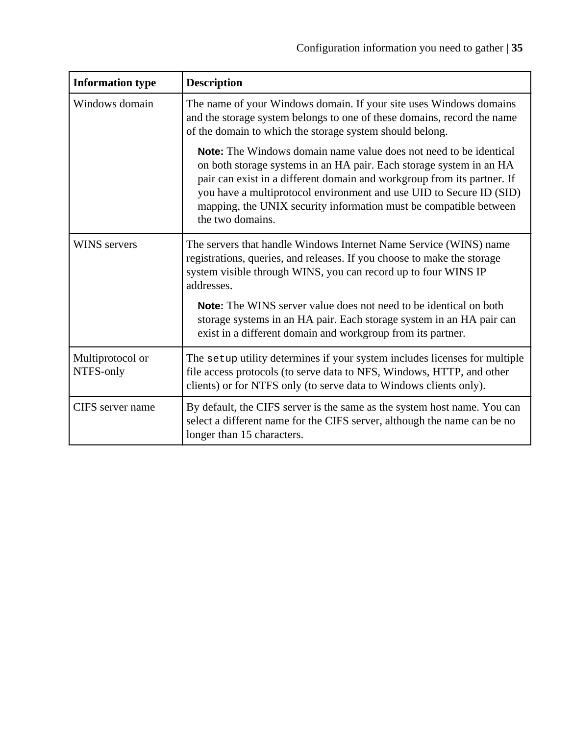| <b>Information type</b>       | <b>Description</b>                                                                                                                                                                                                                                                                                                                                                                         |
|-------------------------------|--------------------------------------------------------------------------------------------------------------------------------------------------------------------------------------------------------------------------------------------------------------------------------------------------------------------------------------------------------------------------------------------|
| Windows domain                | The name of your Windows domain. If your site uses Windows domains<br>and the storage system belongs to one of these domains, record the name<br>of the domain to which the storage system should belong.                                                                                                                                                                                  |
|                               | <b>Note:</b> The Windows domain name value does not need to be identical<br>on both storage systems in an HA pair. Each storage system in an HA<br>pair can exist in a different domain and workgroup from its partner. If<br>you have a multiprotocol environment and use UID to Secure ID (SID)<br>mapping, the UNIX security information must be compatible between<br>the two domains. |
| <b>WINS</b> servers           | The servers that handle Windows Internet Name Service (WINS) name<br>registrations, queries, and releases. If you choose to make the storage<br>system visible through WINS, you can record up to four WINS IP<br>addresses.                                                                                                                                                               |
|                               | <b>Note:</b> The WINS server value does not need to be identical on both<br>storage systems in an HA pair. Each storage system in an HA pair can<br>exist in a different domain and workgroup from its partner.                                                                                                                                                                            |
| Multiprotocol or<br>NTFS-only | The setup utility determines if your system includes licenses for multiple<br>file access protocols (to serve data to NFS, Windows, HTTP, and other<br>clients) or for NTFS only (to serve data to Windows clients only).                                                                                                                                                                  |
| CIFS server name              | By default, the CIFS server is the same as the system host name. You can<br>select a different name for the CIFS server, although the name can be no<br>longer than 15 characters.                                                                                                                                                                                                         |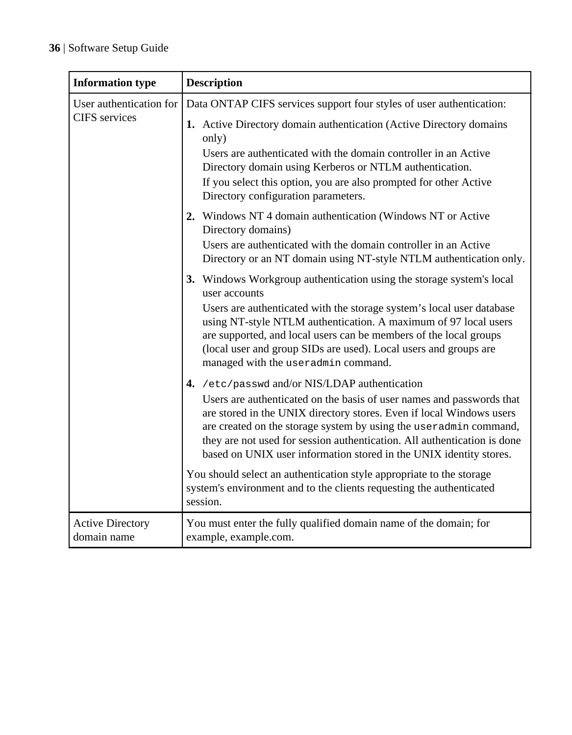| <b>Information type</b>                | <b>Description</b>                                                                                                                                                                                                                                                                                                                                                                                                                                                                            |
|----------------------------------------|-----------------------------------------------------------------------------------------------------------------------------------------------------------------------------------------------------------------------------------------------------------------------------------------------------------------------------------------------------------------------------------------------------------------------------------------------------------------------------------------------|
| User authentication for                | Data ONTAP CIFS services support four styles of user authentication:                                                                                                                                                                                                                                                                                                                                                                                                                          |
| <b>CIFS</b> services                   | 1. Active Directory domain authentication (Active Directory domains<br>only)<br>Users are authenticated with the domain controller in an Active<br>Directory domain using Kerberos or NTLM authentication.<br>If you select this option, you are also prompted for other Active<br>Directory configuration parameters.                                                                                                                                                                        |
|                                        | 2. Windows NT 4 domain authentication (Windows NT or Active<br>Directory domains)<br>Users are authenticated with the domain controller in an Active<br>Directory or an NT domain using NT-style NTLM authentication only.                                                                                                                                                                                                                                                                    |
|                                        | 3. Windows Workgroup authentication using the storage system's local<br>user accounts<br>Users are authenticated with the storage system's local user database<br>using NT-style NTLM authentication. A maximum of 97 local users<br>are supported, and local users can be members of the local groups<br>(local user and group SIDs are used). Local users and groups are<br>managed with the useradmin command.                                                                             |
|                                        | 4. /etc/passwd and/or NIS/LDAP authentication<br>Users are authenticated on the basis of user names and passwords that<br>are stored in the UNIX directory stores. Even if local Windows users<br>are created on the storage system by using the useradmin command,<br>they are not used for session authentication. All authentication is done<br>based on UNIX user information stored in the UNIX identity stores.<br>You should select an authentication style appropriate to the storage |
|                                        | system's environment and to the clients requesting the authenticated<br>session.                                                                                                                                                                                                                                                                                                                                                                                                              |
| <b>Active Directory</b><br>domain name | You must enter the fully qualified domain name of the domain; for<br>example, example.com.                                                                                                                                                                                                                                                                                                                                                                                                    |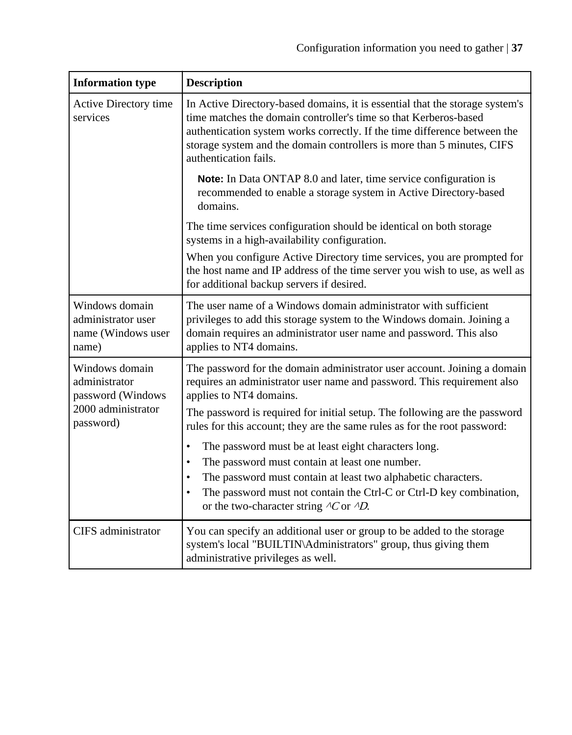| <b>Information type</b>                                             | <b>Description</b>                                                                                                                                                                                                                                                                                                                                   |
|---------------------------------------------------------------------|------------------------------------------------------------------------------------------------------------------------------------------------------------------------------------------------------------------------------------------------------------------------------------------------------------------------------------------------------|
| Active Directory time<br>services                                   | In Active Directory-based domains, it is essential that the storage system's<br>time matches the domain controller's time so that Kerberos-based<br>authentication system works correctly. If the time difference between the<br>storage system and the domain controllers is more than 5 minutes, CIFS<br>authentication fails.                     |
|                                                                     | <b>Note:</b> In Data ONTAP 8.0 and later, time service configuration is<br>recommended to enable a storage system in Active Directory-based<br>domains.                                                                                                                                                                                              |
|                                                                     | The time services configuration should be identical on both storage<br>systems in a high-availability configuration.                                                                                                                                                                                                                                 |
|                                                                     | When you configure Active Directory time services, you are prompted for<br>the host name and IP address of the time server you wish to use, as well as<br>for additional backup servers if desired.                                                                                                                                                  |
| Windows domain<br>administrator user<br>name (Windows user<br>name) | The user name of a Windows domain administrator with sufficient<br>privileges to add this storage system to the Windows domain. Joining a<br>domain requires an administrator user name and password. This also<br>applies to NT4 domains.                                                                                                           |
| Windows domain<br>administrator<br>password (Windows                | The password for the domain administrator user account. Joining a domain<br>requires an administrator user name and password. This requirement also<br>applies to NT4 domains.                                                                                                                                                                       |
| 2000 administrator<br>password)                                     | The password is required for initial setup. The following are the password<br>rules for this account; they are the same rules as for the root password:                                                                                                                                                                                              |
|                                                                     | The password must be at least eight characters long.<br>$\bullet$<br>The password must contain at least one number.<br>$\bullet$<br>The password must contain at least two alphabetic characters.<br>٠<br>The password must not contain the Ctrl-C or Ctrl-D key combination,<br>$\bullet$<br>or the two-character string $\Delta C$ or $\Delta D$ . |
| CIFS administrator                                                  | You can specify an additional user or group to be added to the storage<br>system's local "BUILTIN\Administrators" group, thus giving them<br>administrative privileges as well.                                                                                                                                                                      |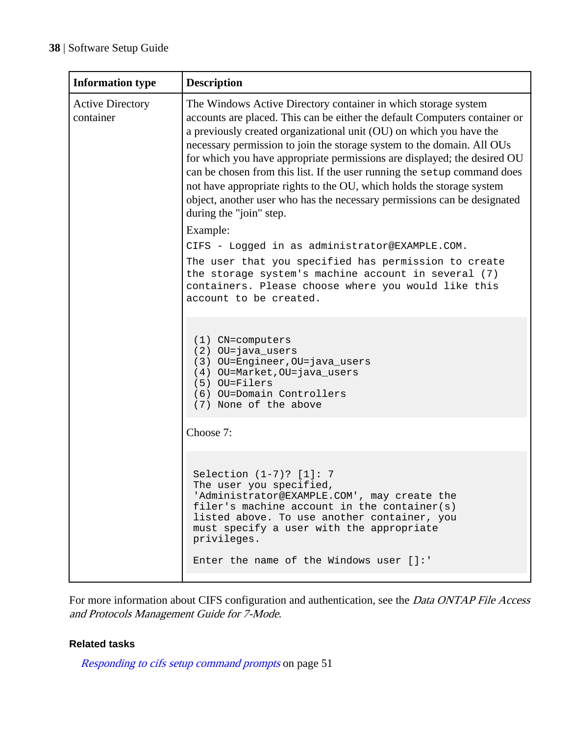| <b>Information type</b>              | <b>Description</b>                                                                                                                                                                                                                                                                                                                                                                                                                                                                                                                                                                                                                                |
|--------------------------------------|---------------------------------------------------------------------------------------------------------------------------------------------------------------------------------------------------------------------------------------------------------------------------------------------------------------------------------------------------------------------------------------------------------------------------------------------------------------------------------------------------------------------------------------------------------------------------------------------------------------------------------------------------|
| <b>Active Directory</b><br>container | The Windows Active Directory container in which storage system<br>accounts are placed. This can be either the default Computers container or<br>a previously created organizational unit (OU) on which you have the<br>necessary permission to join the storage system to the domain. All OUs<br>for which you have appropriate permissions are displayed; the desired OU<br>can be chosen from this list. If the user running the setup command does<br>not have appropriate rights to the OU, which holds the storage system<br>object, another user who has the necessary permissions can be designated<br>during the "join" step.<br>Example: |
|                                      | CIFS - Logged in as administrator@EXAMPLE.COM.                                                                                                                                                                                                                                                                                                                                                                                                                                                                                                                                                                                                    |
|                                      | The user that you specified has permission to create<br>the storage system's machine account in several (7)<br>containers. Please choose where you would like this<br>account to be created.                                                                                                                                                                                                                                                                                                                                                                                                                                                      |
|                                      | (1) CN=computers<br>(2) OU=java_users<br>(3) OU=Engineer, OU=java_users<br>(4) OU=Market, OU=java_users<br>(5) OU=Filers<br>(6) OU=Domain Controllers<br>(7) None of the above                                                                                                                                                                                                                                                                                                                                                                                                                                                                    |
|                                      | Choose 7:                                                                                                                                                                                                                                                                                                                                                                                                                                                                                                                                                                                                                                         |
|                                      | Selection (1-7)? [1]: 7<br>The user you specified,<br>'Administrator@EXAMPLE.COM', may create the<br>filer's machine account in the container( $s$ )<br>listed above. To use another container, you<br>must specify a user with the appropriate<br>privileges.<br>Enter the name of the Windows user $[]$ :                                                                                                                                                                                                                                                                                                                                       |

For more information about CIFS configuration and authentication, see the *Data ONTAP File Access* and Protocols Management Guide for 7-Mode.

## **Related tasks**

[Responding to cifs setup command prompts](#page-50-0) on page 51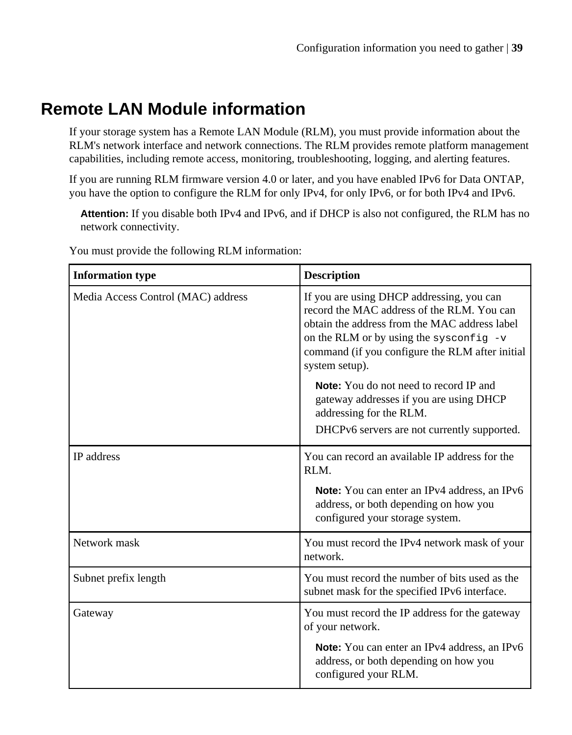# **Remote LAN Module information**

If your storage system has a Remote LAN Module (RLM), you must provide information about the RLM's network interface and network connections. The RLM provides remote platform management capabilities, including remote access, monitoring, troubleshooting, logging, and alerting features.

If you are running RLM firmware version 4.0 or later, and you have enabled IPv6 for Data ONTAP, you have the option to configure the RLM for only IPv4, for only IPv6, or for both IPv4 and IPv6.

**Attention:** If you disable both IPv4 and IPv6, and if DHCP is also not configured, the RLM has no network connectivity.

| <b>Information type</b>            | <b>Description</b>                                                                                                                                                                                                                                         |  |
|------------------------------------|------------------------------------------------------------------------------------------------------------------------------------------------------------------------------------------------------------------------------------------------------------|--|
| Media Access Control (MAC) address | If you are using DHCP addressing, you can<br>record the MAC address of the RLM. You can<br>obtain the address from the MAC address label<br>on the RLM or by using the sysconfig $-v$<br>command (if you configure the RLM after initial<br>system setup). |  |
|                                    | <b>Note:</b> You do not need to record IP and<br>gateway addresses if you are using DHCP<br>addressing for the RLM.<br>DHCPv6 servers are not currently supported.                                                                                         |  |
|                                    |                                                                                                                                                                                                                                                            |  |
| <b>IP</b> address                  | You can record an available IP address for the<br>RLM.                                                                                                                                                                                                     |  |
|                                    | Note: You can enter an IPv4 address, an IPv6<br>address, or both depending on how you<br>configured your storage system.                                                                                                                                   |  |
| Network mask                       | You must record the IPv4 network mask of your<br>network.                                                                                                                                                                                                  |  |
| Subnet prefix length               | You must record the number of bits used as the<br>subnet mask for the specified IPv6 interface.                                                                                                                                                            |  |
| Gateway                            | You must record the IP address for the gateway<br>of your network.                                                                                                                                                                                         |  |
|                                    | Note: You can enter an IPv4 address, an IPv6<br>address, or both depending on how you<br>configured your RLM.                                                                                                                                              |  |

You must provide the following RLM information: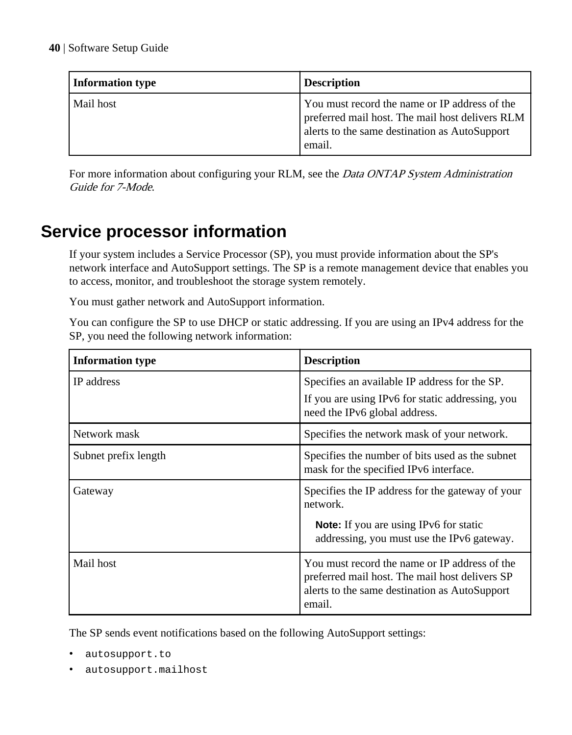| Information type | <b>Description</b>                                                                                                                                          |
|------------------|-------------------------------------------------------------------------------------------------------------------------------------------------------------|
| Mail host        | You must record the name or IP address of the<br>preferred mail host. The mail host delivers RLM<br>alerts to the same destination as AutoSupport<br>email. |

For more information about configuring your RLM, see the *Data ONTAP System Administration* Guide for 7-Mode.

# **Service processor information**

If your system includes a Service Processor (SP), you must provide information about the SP's network interface and AutoSupport settings. The SP is a remote management device that enables you to access, monitor, and troubleshoot the storage system remotely.

You must gather network and AutoSupport information.

You can configure the SP to use DHCP or static addressing. If you are using an IPv4 address for the SP, you need the following network information:

| <b>Information type</b> | <b>Description</b>                                                                                                                                         |  |
|-------------------------|------------------------------------------------------------------------------------------------------------------------------------------------------------|--|
| IP address              | Specifies an available IP address for the SP.                                                                                                              |  |
|                         | If you are using IPv6 for static addressing, you<br>need the IPv6 global address.                                                                          |  |
| Network mask            | Specifies the network mask of your network.                                                                                                                |  |
| Subnet prefix length    | Specifies the number of bits used as the subnet<br>mask for the specified IPv6 interface.                                                                  |  |
| Gateway                 | Specifies the IP address for the gateway of your<br>network.                                                                                               |  |
|                         | <b>Note:</b> If you are using IPv6 for static<br>addressing, you must use the IPv6 gateway.                                                                |  |
| Mail host               | You must record the name or IP address of the<br>preferred mail host. The mail host delivers SP<br>alerts to the same destination as AutoSupport<br>email. |  |

The SP sends event notifications based on the following AutoSupport settings:

- autosupport.to
- autosupport.mailhost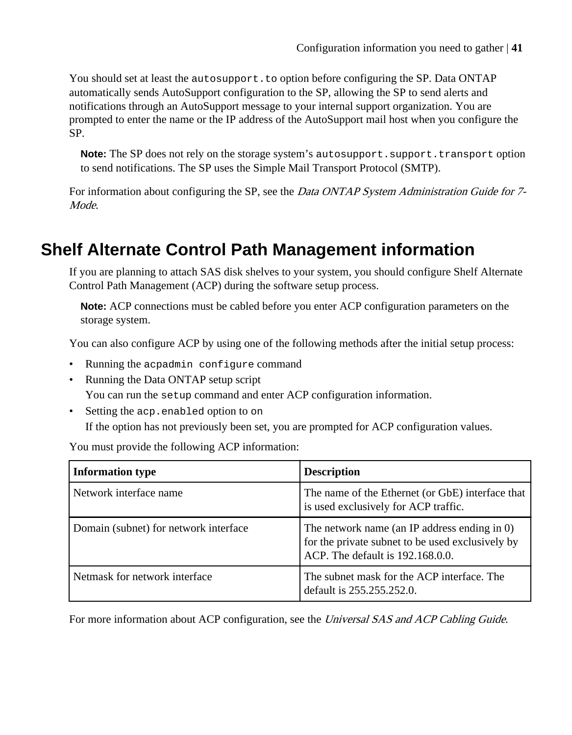You should set at least the autosupport.to option before configuring the SP. Data ONTAP automatically sends AutoSupport configuration to the SP, allowing the SP to send alerts and notifications through an AutoSupport message to your internal support organization. You are prompted to enter the name or the IP address of the AutoSupport mail host when you configure the SP.

**Note:** The SP does not rely on the storage system's autosupport.support.transport option to send notifications. The SP uses the Simple Mail Transport Protocol (SMTP).

For information about configuring the SP, see the *Data ONTAP System Administration Guide for* 7-Mode.

# **Shelf Alternate Control Path Management information**

If you are planning to attach SAS disk shelves to your system, you should configure Shelf Alternate Control Path Management (ACP) during the software setup process.

**Note:** ACP connections must be cabled before you enter ACP configuration parameters on the storage system.

You can also configure ACP by using one of the following methods after the initial setup process:

- Running the acpadmin configure command
- Running the Data ONTAP setup script You can run the setup command and enter ACP configuration information.
- Setting the acp.enabled option to on If the option has not previously been set, you are prompted for ACP configuration values.

You must provide the following ACP information:

| <b>Information type</b>               | <b>Description</b>                                                                                                                   |
|---------------------------------------|--------------------------------------------------------------------------------------------------------------------------------------|
| Network interface name                | The name of the Ethernet (or GbE) interface that<br>is used exclusively for ACP traffic.                                             |
| Domain (subnet) for network interface | The network name (an IP address ending in 0)<br>for the private subnet to be used exclusively by<br>ACP. The default is 192.168.0.0. |
| Netmask for network interface         | The subnet mask for the ACP interface. The<br>default is 255.255.252.0.                                                              |

For more information about ACP configuration, see the *Universal SAS and ACP Cabling Guide*.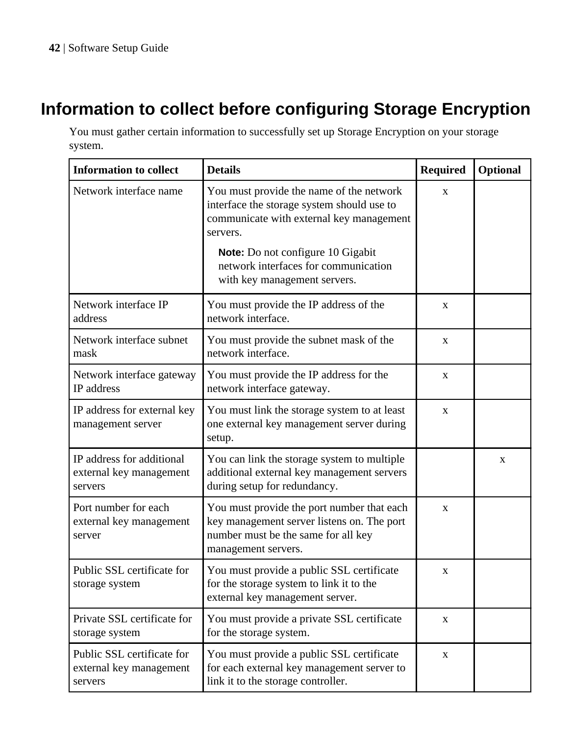# **Information to collect before configuring Storage Encryption**

You must gather certain information to successfully set up Storage Encryption on your storage system.

| <b>Information to collect</b>                                    | <b>Details</b>                                                                                                                                         | <b>Required</b> | Optional |
|------------------------------------------------------------------|--------------------------------------------------------------------------------------------------------------------------------------------------------|-----------------|----------|
| Network interface name                                           | You must provide the name of the network<br>interface the storage system should use to<br>communicate with external key management<br>servers.         | X               |          |
|                                                                  | Note: Do not configure 10 Gigabit<br>network interfaces for communication<br>with key management servers.                                              |                 |          |
| Network interface IP<br>address                                  | You must provide the IP address of the<br>network interface.                                                                                           | X               |          |
| Network interface subnet<br>mask                                 | You must provide the subnet mask of the<br>network interface.                                                                                          | X               |          |
| Network interface gateway<br><b>IP</b> address                   | You must provide the IP address for the<br>network interface gateway.                                                                                  | $\mathbf X$     |          |
| IP address for external key<br>management server                 | You must link the storage system to at least<br>one external key management server during<br>setup.                                                    | $\mathbf X$     |          |
| IP address for additional<br>external key management<br>servers  | You can link the storage system to multiple<br>additional external key management servers<br>during setup for redundancy.                              |                 | X        |
| Port number for each<br>external key management<br>server        | You must provide the port number that each<br>key management server listens on. The port<br>number must be the same for all key<br>management servers. | X               |          |
| Public SSL certificate for<br>storage system                     | You must provide a public SSL certificate<br>for the storage system to link it to the<br>external key management server.                               | X               |          |
| Private SSL certificate for<br>storage system                    | You must provide a private SSL certificate<br>for the storage system.                                                                                  | $\mathbf X$     |          |
| Public SSL certificate for<br>external key management<br>servers | You must provide a public SSL certificate<br>for each external key management server to<br>link it to the storage controller.                          | $\mathbf X$     |          |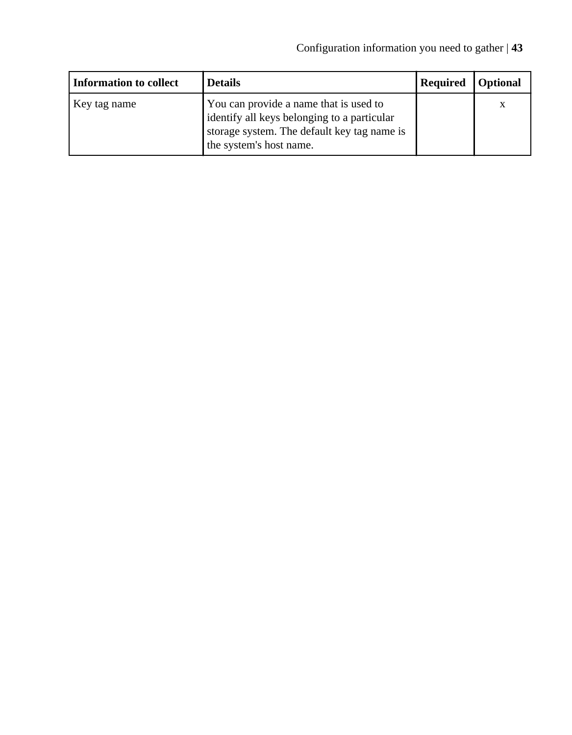| Information to collect | <b>Details</b>                                                                                                                                                  | Required | <b>Optional</b> |
|------------------------|-----------------------------------------------------------------------------------------------------------------------------------------------------------------|----------|-----------------|
| Key tag name           | You can provide a name that is used to<br>identify all keys belonging to a particular<br>storage system. The default key tag name is<br>the system's host name. |          | X               |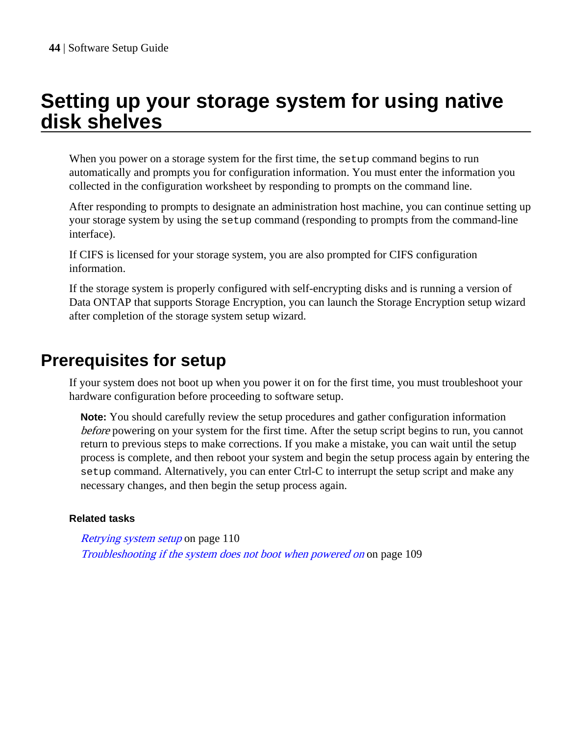# **Setting up your storage system for using native disk shelves**

When you power on a storage system for the first time, the setup command begins to run automatically and prompts you for configuration information. You must enter the information you collected in the configuration worksheet by responding to prompts on the command line.

After responding to prompts to designate an administration host machine, you can continue setting up your storage system by using the setup command (responding to prompts from the command-line interface).

If CIFS is licensed for your storage system, you are also prompted for CIFS configuration information.

If the storage system is properly configured with self-encrypting disks and is running a version of Data ONTAP that supports Storage Encryption, you can launch the Storage Encryption setup wizard after completion of the storage system setup wizard.

# **Prerequisites for setup**

If your system does not boot up when you power it on for the first time, you must troubleshoot your hardware configuration before proceeding to software setup.

**Note:** You should carefully review the setup procedures and gather configuration information before powering on your system for the first time. After the setup script begins to run, you cannot return to previous steps to make corrections. If you make a mistake, you can wait until the setup process is complete, and then reboot your system and begin the setup process again by entering the setup command. Alternatively, you can enter Ctrl-C to interrupt the setup script and make any necessary changes, and then begin the setup process again.

## **Related tasks**

[Retrying system setup](#page-109-0) on page 110 [Troubleshooting if the system does not boot when powered on](#page-108-0) on page 109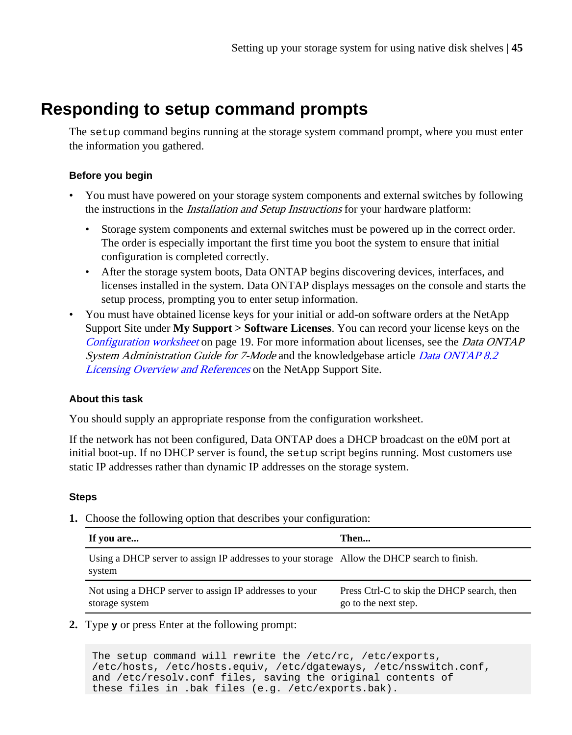# <span id="page-44-0"></span>**Responding to setup command prompts**

The setup command begins running at the storage system command prompt, where you must enter the information you gathered.

## **Before you begin**

- You must have powered on your storage system components and external switches by following the instructions in the *Installation and Setup Instructions* for your hardware platform:
	- Storage system components and external switches must be powered up in the correct order. The order is especially important the first time you boot the system to ensure that initial configuration is completed correctly.
	- After the storage system boots, Data ONTAP begins discovering devices, interfaces, and licenses installed in the system. Data ONTAP displays messages on the console and starts the setup process, prompting you to enter setup information.
- You must have obtained license keys for your initial or add-on software orders at the NetApp Support Site under **My Support > Software Licenses**. You can record your license keys on the [Configuration worksheet](#page-18-0) on page 19. For more information about licenses, see the *Data ONTAP* System Administration Guide for 7-Mode and the knowledgebase article [Data ONTAP 8.2](https://kb.netapp.com/support/index?page=content&id=3013749) [Licensing Overview and References](https://kb.netapp.com/support/index?page=content&id=3013749) on the NetApp Support Site.

# **About this task**

You should supply an appropriate response from the configuration worksheet.

If the network has not been configured, Data ONTAP does a DHCP broadcast on the e0M port at initial boot-up. If no DHCP server is found, the setup script begins running. Most customers use static IP addresses rather than dynamic IP addresses on the storage system.

#### **Steps**

**1.** Choose the following option that describes your configuration:

| If you are                                                                                            | Then                                                               |
|-------------------------------------------------------------------------------------------------------|--------------------------------------------------------------------|
| Using a DHCP server to assign IP addresses to your storage Allow the DHCP search to finish.<br>system |                                                                    |
| Not using a DHCP server to assign IP addresses to your<br>storage system                              | Press Ctrl-C to skip the DHCP search, then<br>go to the next step. |

**2.** Type **y** or press Enter at the following prompt:

```
The setup command will rewrite the /etc/rc, /etc/exports, 
/etc/hosts, /etc/hosts.equiv, /etc/dgateways, /etc/nsswitch.conf, 
and /etc/resolv.conf files, saving the original contents of
these files in .bak files (e.g. /etc/exports.bak).
```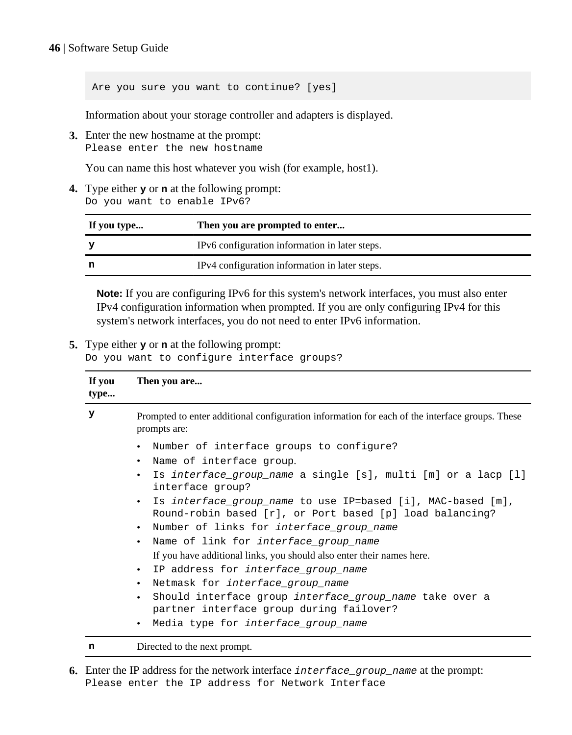Are you sure you want to continue? [yes]

Information about your storage controller and adapters is displayed.

**3.** Enter the new hostname at the prompt: Please enter the new hostname

You can name this host whatever you wish (for example, host1).

**4.** Type either **y** or **n** at the following prompt: Do you want to enable IPv6?

| If you type | Then you are prompted to enter                 |
|-------------|------------------------------------------------|
|             | IPv6 configuration information in later steps. |
|             | IPv4 configuration information in later steps. |

**Note:** If you are configuring IPv6 for this system's network interfaces, you must also enter IPv4 configuration information when prompted. If you are only configuring IPv4 for this system's network interfaces, you do not need to enter IPv6 information.

#### **5.** Type either **y** or **n** at the following prompt:

Do you want to configure interface groups?

| If you<br>type | Then you are                                                                                                                                                                                                                                                                                                                                                                                                                                                                                                     |  |  |
|----------------|------------------------------------------------------------------------------------------------------------------------------------------------------------------------------------------------------------------------------------------------------------------------------------------------------------------------------------------------------------------------------------------------------------------------------------------------------------------------------------------------------------------|--|--|
| У              | Prompted to enter additional configuration information for each of the interface groups. These<br>prompts are:                                                                                                                                                                                                                                                                                                                                                                                                   |  |  |
|                | • Number of interface groups to configure?<br>• Name of interface group.<br>Is interface group name a single [s], multi [m] or a lacp [l]<br>$\bullet$<br>interface group?<br>Is interface group name to use IP=based [i], MAC-based [m],<br>Round-robin based [r], or Port based [p] load balancing?<br>• Number of links for interface_group_name<br>• Name of link for interface_group_name<br>If you have additional links, you should also enter their names here.<br>• IP address for interface_group_name |  |  |
|                | Netmask for interface_group_name<br>$\bullet$<br>Should interface group interface group name take over a<br>partner interface group during failover?<br>Media type for <i>interface</i> group name                                                                                                                                                                                                                                                                                                               |  |  |

**n** Directed to the next prompt.

**6.** Enter the IP address for the network interface interface group name at the prompt: Please enter the IP address for Network Interface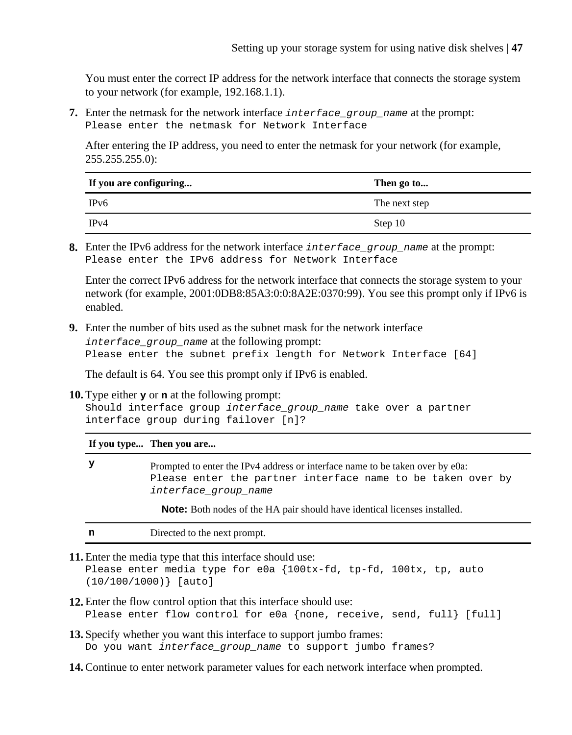You must enter the correct IP address for the network interface that connects the storage system to your network (for example, 192.168.1.1).

**7.** Enter the netmask for the network interface interface group name at the prompt: Please enter the netmask for Network Interface

After entering the IP address, you need to enter the netmask for your network (for example,  $255.255.255.0$ :

| If you are configuring | Then go to    |
|------------------------|---------------|
| IPv6                   | The next step |
| IPv4                   | Step 10       |

**8.** Enter the IPv6 address for the network interface interface\_group\_name at the prompt: Please enter the IPv6 address for Network Interface

Enter the correct IPv6 address for the network interface that connects the storage system to your network (for example, 2001:0DB8:85A3:0:0:8A2E:0370:99). You see this prompt only if IPv6 is enabled.

**9.** Enter the number of bits used as the subnet mask for the network interface interface\_group\_name at the following prompt: Please enter the subnet prefix length for Network Interface [64]

The default is 64. You see this prompt only if IPv6 is enabled.

**10.** Type either **y** or **n** at the following prompt:

Should interface group interface\_group\_name take over a partner interface group during failover [n]?

**If you type... Then you are...**

**y** Prompted to enter the IPv4 address or interface name to be taken over by e0a: Please enter the partner interface name to be taken over by interface\_group\_name

**Note:** Both nodes of the HA pair should have identical licenses installed.

| Directed to the next prompt.<br> |
|----------------------------------|
|----------------------------------|

**11.** Enter the media type that this interface should use:

Please enter media type for e0a {100tx-fd, tp-fd, 100tx, tp, auto (10/100/1000)} [auto]

- **12.** Enter the flow control option that this interface should use: Please enter flow control for e0a {none, receive, send, full} [full]
- **13.**Specify whether you want this interface to support jumbo frames: Do you want interface\_group\_name to support jumbo frames?
- **14.** Continue to enter network parameter values for each network interface when prompted.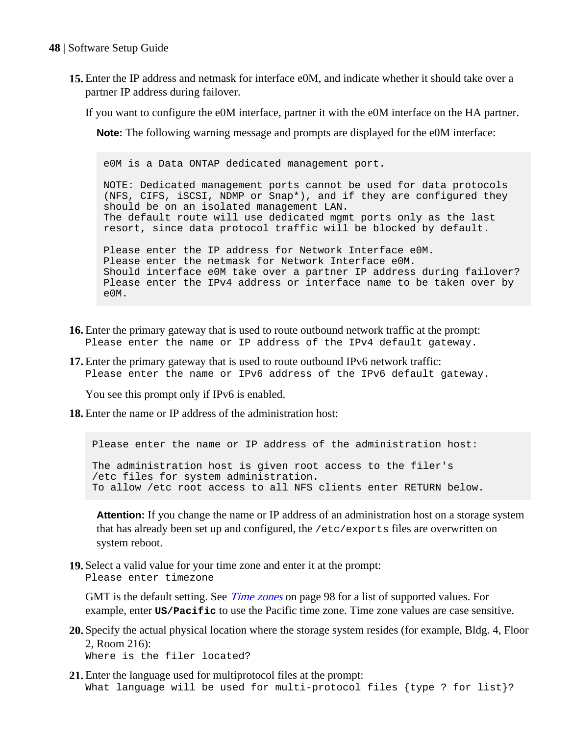- **15.** Enter the IP address and netmask for interface e0M, and indicate whether it should take over a partner IP address during failover.
	- If you want to configure the e0M interface, partner it with the e0M interface on the HA partner.

**Note:** The following warning message and prompts are displayed for the e0M interface:

e0M is a Data ONTAP dedicated management port.

NOTE: Dedicated management ports cannot be used for data protocols (NFS, CIFS, iSCSI, NDMP or Snap\*), and if they are configured they should be on an isolated management LAN. The default route will use dedicated mgmt ports only as the last resort, since data protocol traffic will be blocked by default. Please enter the IP address for Network Interface e0M. Please enter the netmask for Network Interface e0M. Should interface e0M take over a partner IP address during failover? Please enter the IPv4 address or interface name to be taken over by e0M.

- **16.** Enter the primary gateway that is used to route outbound network traffic at the prompt: Please enter the name or IP address of the IPv4 default gateway.
- **17.** Enter the primary gateway that is used to route outbound IPv6 network traffic: Please enter the name or IPv6 address of the IPv6 default gateway.

You see this prompt only if IPv6 is enabled.

**18.** Enter the name or IP address of the administration host:

Please enter the name or IP address of the administration host: The administration host is given root access to the filer's /etc files for system administration. To allow /etc root access to all NFS clients enter RETURN below.

**Attention:** If you change the name or IP address of an administration host on a storage system that has already been set up and configured, the /etc/exports files are overwritten on system reboot.

**19.**Select a valid value for your time zone and enter it at the prompt: Please enter timezone

GMT is the default setting. See *[Time zones](#page-97-0)* on page 98 for a list of supported values. For example, enter **US/Pacific** to use the Pacific time zone. Time zone values are case sensitive.

- **20.**Specify the actual physical location where the storage system resides (for example, Bldg. 4, Floor 2, Room 216): Where is the filer located?
- **21.** Enter the language used for multiprotocol files at the prompt: What language will be used for multi-protocol files {type ? for list}?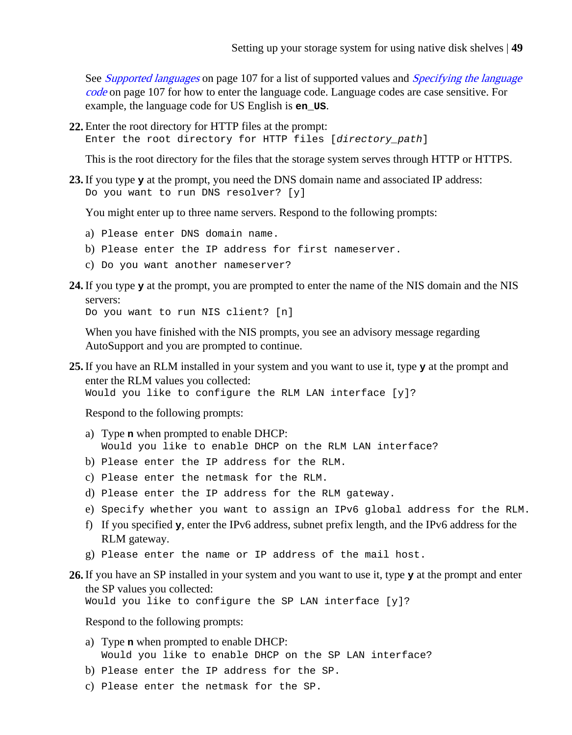See *[Supported languages](#page-106-0)* on page 107 for a list of supported values and *[Specifying the language](#page-106-0)* [code](#page-106-0) on page 107 for how to enter the language code. Language codes are case sensitive. For example, the language code for US English is **en\_US**.

**22.** Enter the root directory for HTTP files at the prompt:

Enter the root directory for HTTP files [directory\_path]

This is the root directory for the files that the storage system serves through HTTP or HTTPS.

**23.** If you type **y** at the prompt, you need the DNS domain name and associated IP address: Do you want to run DNS resolver? [y]

You might enter up to three name servers. Respond to the following prompts:

- a) Please enter DNS domain name.
- b) Please enter the IP address for first nameserver.
- c) Do you want another nameserver?
- **24.** If you type **y** at the prompt, you are prompted to enter the name of the NIS domain and the NIS servers:

Do you want to run NIS client? [n]

When you have finished with the NIS prompts, you see an advisory message regarding AutoSupport and you are prompted to continue.

**25.** If you have an RLM installed in your system and you want to use it, type **y** at the prompt and enter the RLM values you collected:

Would you like to configure the RLM LAN interface [y]?

Respond to the following prompts:

- a) Type **n** when prompted to enable DHCP: Would you like to enable DHCP on the RLM LAN interface?
- b) Please enter the IP address for the RLM.
- c) Please enter the netmask for the RLM.
- d) Please enter the IP address for the RLM gateway.
- e) Specify whether you want to assign an IPv6 global address for the RLM.
- f) If you specified **y**, enter the IPv6 address, subnet prefix length, and the IPv6 address for the RLM gateway.
- g) Please enter the name or IP address of the mail host.
- **26.** If you have an SP installed in your system and you want to use it, type **y** at the prompt and enter the SP values you collected:

Would you like to configure the SP LAN interface [y]?

Respond to the following prompts:

- a) Type **n** when prompted to enable DHCP: Would you like to enable DHCP on the SP LAN interface?
- b) Please enter the IP address for the SP.
- c) Please enter the netmask for the SP.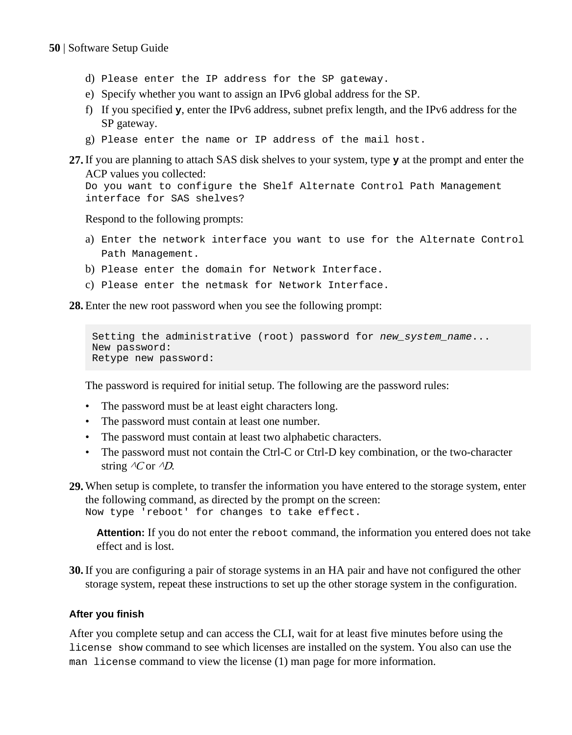- d) Please enter the IP address for the SP gateway.
- e) Specify whether you want to assign an IPv6 global address for the SP.
- f) If you specified **y**, enter the IPv6 address, subnet prefix length, and the IPv6 address for the SP gateway.
- g) Please enter the name or IP address of the mail host.
- **27.** If you are planning to attach SAS disk shelves to your system, type **y** at the prompt and enter the ACP values you collected:

Do you want to configure the Shelf Alternate Control Path Management interface for SAS shelves?

Respond to the following prompts:

- a) Enter the network interface you want to use for the Alternate Control Path Management.
- b) Please enter the domain for Network Interface.
- c) Please enter the netmask for Network Interface.

**28.** Enter the new root password when you see the following prompt:

```
Setting the administrative (root) password for new_system_name...
New password: 
Retype new password:
```
The password is required for initial setup. The following are the password rules:

- The password must be at least eight characters long.
- The password must contain at least one number.
- The password must contain at least two alphabetic characters.
- The password must not contain the Ctrl-C or Ctrl-D key combination, or the two-character string  $\Delta$ C or  $\Delta$ D.
- **29.** When setup is complete, to transfer the information you have entered to the storage system, enter the following command, as directed by the prompt on the screen: Now type 'reboot' for changes to take effect.

**Attention:** If you do not enter the reboot command, the information you entered does not take effect and is lost.

**30.** If you are configuring a pair of storage systems in an HA pair and have not configured the other storage system, repeat these instructions to set up the other storage system in the configuration.

## **After you finish**

After you complete setup and can access the CLI, wait for at least five minutes before using the license show command to see which licenses are installed on the system. You also can use the man license command to view the license (1) man page for more information.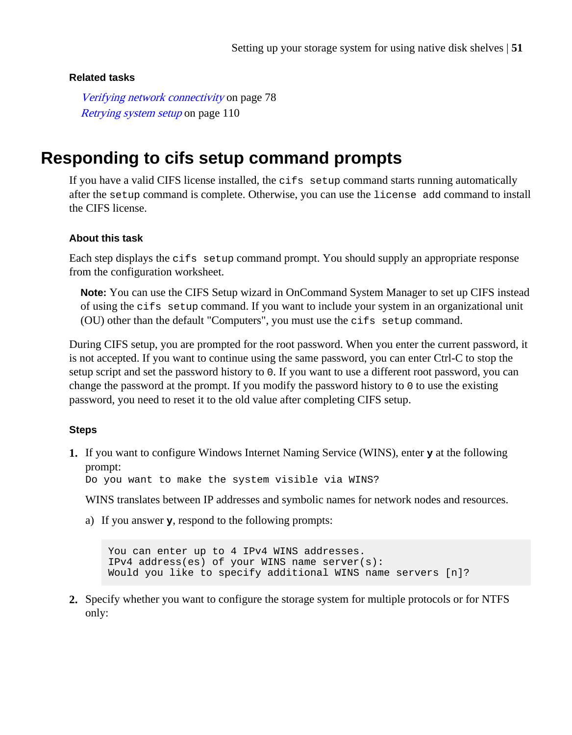### <span id="page-50-0"></span>**Related tasks**

[Verifying network connectivity](#page-77-0) on page 78 [Retrying system setup](#page-109-0) on page 110

# **Responding to cifs setup command prompts**

If you have a valid CIFS license installed, the  $\text{cis}$  setup command starts running automatically after the setup command is complete. Otherwise, you can use the license add command to install the CIFS license.

### **About this task**

Each step displays the cifs setup command prompt. You should supply an appropriate response from the configuration worksheet.

**Note:** You can use the CIFS Setup wizard in OnCommand System Manager to set up CIFS instead of using the cifs setup command. If you want to include your system in an organizational unit (OU) other than the default "Computers", you must use the cifs setup command.

During CIFS setup, you are prompted for the root password. When you enter the current password, it is not accepted. If you want to continue using the same password, you can enter Ctrl-C to stop the setup script and set the password history to 0. If you want to use a different root password, you can change the password at the prompt. If you modify the password history to  $\theta$  to use the existing password, you need to reset it to the old value after completing CIFS setup.

## **Steps**

**1.** If you want to configure Windows Internet Naming Service (WINS), enter **y** at the following prompt:

Do you want to make the system visible via WINS?

WINS translates between IP addresses and symbolic names for network nodes and resources.

a) If you answer **y**, respond to the following prompts:

You can enter up to 4 IPv4 WINS addresses. IPv4 address(es) of your WINS name server(s): Would you like to specify additional WINS name servers [n]?

**2.** Specify whether you want to configure the storage system for multiple protocols or for NTFS only: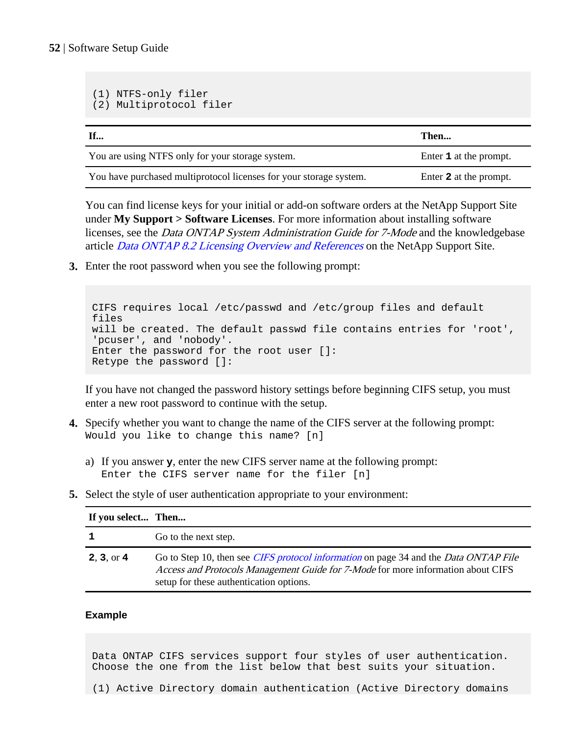(1) NTFS-only filer

```
(2) Multiprotocol filer
If... Then...
You are using NTFS only for your storage system. Enter 1 at the prompt.
You have purchased multiprotocol licenses for your storage system. Enter 2 at the prompt.
```
You can find license keys for your initial or add-on software orders at the NetApp Support Site under **My Support > Software Licenses**. For more information about installing software licenses, see the Data ONTAP System Administration Guide for 7-Mode and the knowledgebase article *[Data ONTAP 8.2 Licensing Overview and References](https://kb.netapp.com/support/index?page=content&id=3013749)* on the NetApp Support Site.

**3.** Enter the root password when you see the following prompt:

```
CIFS requires local /etc/passwd and /etc/group files and default 
files 
will be created. The default passwd file contains entries for 'root', 
'pcuser', and 'nobody'.
Enter the password for the root user []:
Retype the password []:
```
If you have not changed the password history settings before beginning CIFS setup, you must enter a new root password to continue with the setup.

- **4.** Specify whether you want to change the name of the CIFS server at the following prompt: Would you like to change this name? [n]
	- a) If you answer **y**, enter the new CIFS server name at the following prompt: Enter the CIFS server name for the filer [n]
- **5.** Select the style of user authentication appropriate to your environment:

| If you select Then |                                                                                                                                                                                                                                   |
|--------------------|-----------------------------------------------------------------------------------------------------------------------------------------------------------------------------------------------------------------------------------|
| 1                  | Go to the next step.                                                                                                                                                                                                              |
| 2, 3, or 4         | Go to Step 10, then see <i>CIFS protocol information</i> on page 34 and the <i>Data ONTAP File</i><br>Access and Protocols Management Guide for 7-Mode for more information about CIFS<br>setup for these authentication options. |

#### **Example**

Data ONTAP CIFS services support four styles of user authentication. Choose the one from the list below that best suits your situation.

(1) Active Directory domain authentication (Active Directory domains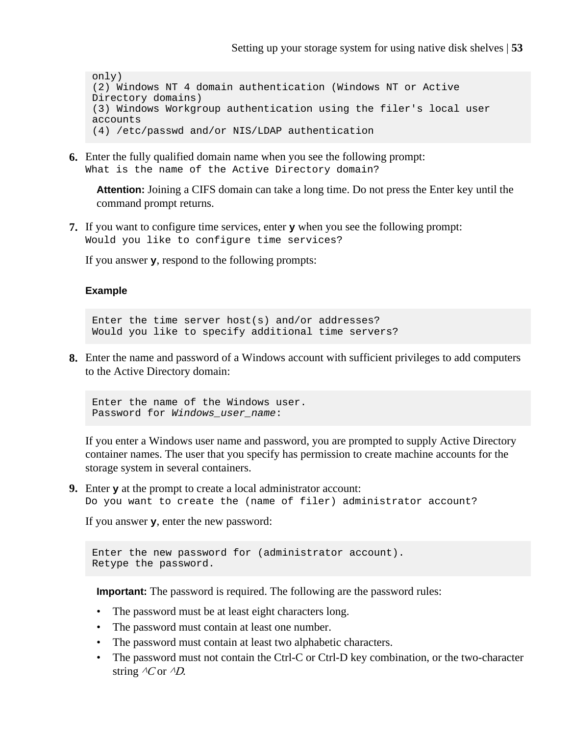only) (2) Windows NT 4 domain authentication (Windows NT or Active Directory domains) (3) Windows Workgroup authentication using the filer's local user accounts (4) /etc/passwd and/or NIS/LDAP authentication

**6.** Enter the fully qualified domain name when you see the following prompt: What is the name of the Active Directory domain?

**Attention:** Joining a CIFS domain can take a long time. Do not press the Enter key until the command prompt returns.

**7.** If you want to configure time services, enter **y** when you see the following prompt: Would you like to configure time services?

If you answer **y**, respond to the following prompts:

#### **Example**

Enter the time server host(s) and/or addresses? Would you like to specify additional time servers?

**8.** Enter the name and password of a Windows account with sufficient privileges to add computers to the Active Directory domain:

Enter the name of the Windows user. Password for Windows\_user\_name:

If you enter a Windows user name and password, you are prompted to supply Active Directory container names. The user that you specify has permission to create machine accounts for the storage system in several containers.

**9.** Enter **y** at the prompt to create a local administrator account: Do you want to create the (name of filer) administrator account?

If you answer **y**, enter the new password:

```
Enter the new password for (administrator account).
Retype the password.
```
**Important:** The password is required. The following are the password rules:

- The password must be at least eight characters long.
- The password must contain at least one number.
- The password must contain at least two alphabetic characters.
- The password must not contain the Ctrl-C or Ctrl-D key combination, or the two-character string  $\Delta$ C or  $\Delta$ .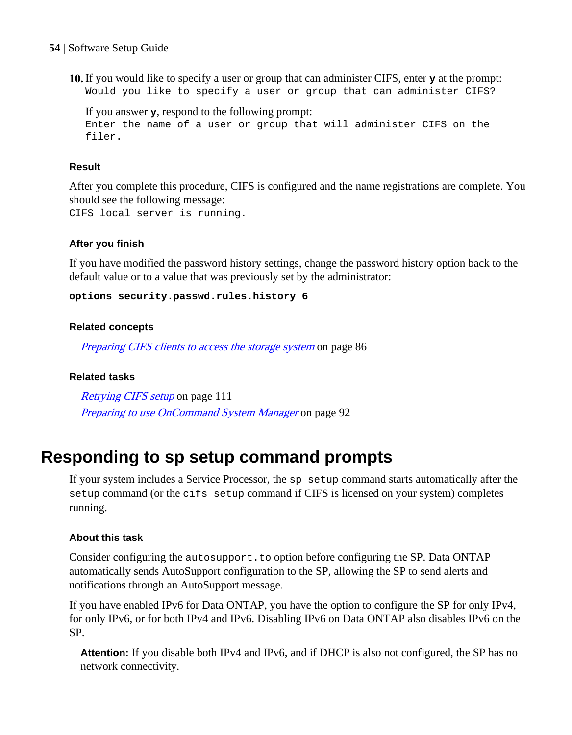**10.** If you would like to specify a user or group that can administer CIFS, enter **y** at the prompt: Would you like to specify a user or group that can administer CIFS?

If you answer **y**, respond to the following prompt: Enter the name of a user or group that will administer CIFS on the filer.

#### **Result**

After you complete this procedure, CIFS is configured and the name registrations are complete. You should see the following message: CIFS local server is running.

#### **After you finish**

If you have modified the password history settings, change the password history option back to the default value or to a value that was previously set by the administrator:

**options security.passwd.rules.history 6**

#### **Related concepts**

[Preparing CIFS clients to access the storage system](#page-85-0) on page 86

#### **Related tasks**

[Retrying CIFS setup](#page-110-0) on page 111 [Preparing to use OnCommand System Manager](#page-91-0) on page 92

# **Responding to sp setup command prompts**

If your system includes a Service Processor, the sp setup command starts automatically after the setup command (or the cifs setup command if CIFS is licensed on your system) completes running.

#### **About this task**

Consider configuring the autosupport.to option before configuring the SP. Data ONTAP automatically sends AutoSupport configuration to the SP, allowing the SP to send alerts and notifications through an AutoSupport message.

If you have enabled IPv6 for Data ONTAP, you have the option to configure the SP for only IPv4, for only IPv6, or for both IPv4 and IPv6. Disabling IPv6 on Data ONTAP also disables IPv6 on the SP.

**Attention:** If you disable both IPv4 and IPv6, and if DHCP is also not configured, the SP has no network connectivity.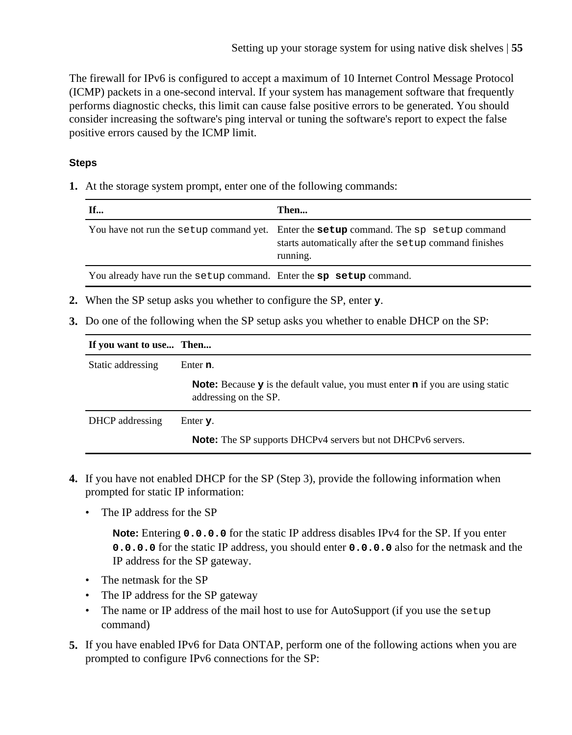The firewall for IPv6 is configured to accept a maximum of 10 Internet Control Message Protocol (ICMP) packets in a one-second interval. If your system has management software that frequently performs diagnostic checks, this limit can cause false positive errors to be generated. You should consider increasing the software's ping interval or tuning the software's report to expect the false positive errors caused by the ICMP limit.

# **Steps**

**1.** At the storage system prompt, enter one of the following commands:

| <b>If</b>                                                           | Then                                                                                                                                                              |
|---------------------------------------------------------------------|-------------------------------------------------------------------------------------------------------------------------------------------------------------------|
|                                                                     | You have not run the setup command yet. Enter the <b>setup</b> command. The sp setup command<br>starts automatically after the setup command finishes<br>running. |
| You already have run the setup command. Enter the sp setup command. |                                                                                                                                                                   |

- **2.** When the SP setup asks you whether to configure the SP, enter **y**.
- **3.** Do one of the following when the SP setup asks you whether to enable DHCP on the SP:

| If you want to use Then |                                                                                                                              |
|-------------------------|------------------------------------------------------------------------------------------------------------------------------|
| Static addressing       | Enter n.                                                                                                                     |
|                         | <b>Note:</b> Because $\bf{y}$ is the default value, you must enter $\bf{n}$ if you are using static<br>addressing on the SP. |
| DHCP addressing         | Enter $\mathbf{y}$ .                                                                                                         |
|                         | <b>Note:</b> The SP supports DHCPv4 servers but not DHCPv6 servers.                                                          |

- **4.** If you have not enabled DHCP for the SP (Step 3), provide the following information when prompted for static IP information:
	- The IP address for the SP

**Note:** Entering **0.0.0.0** for the static IP address disables IPv4 for the SP. If you enter **0.0.0.0** for the static IP address, you should enter **0.0.0.0** also for the netmask and the IP address for the SP gateway.

- The netmask for the SP
- The IP address for the SP gateway
- The name or IP address of the mail host to use for AutoSupport (if you use the setup command)
- **5.** If you have enabled IPv6 for Data ONTAP, perform one of the following actions when you are prompted to configure IPv6 connections for the SP: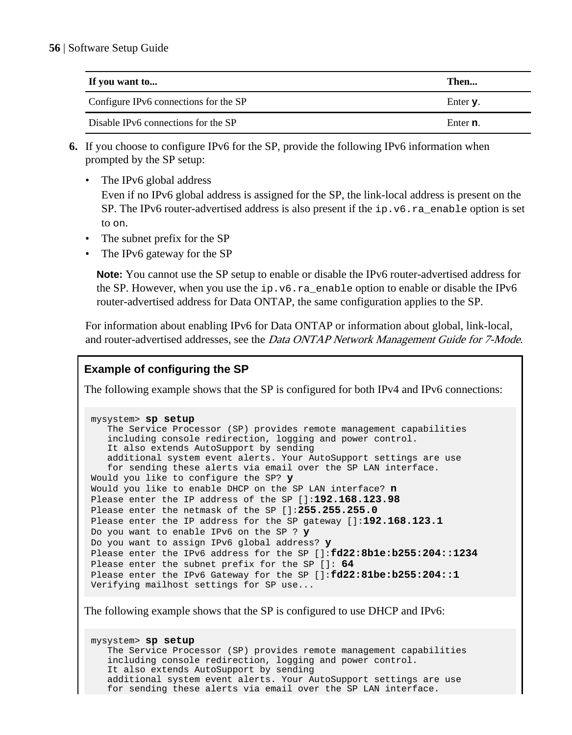| If you want to                        | Then             |
|---------------------------------------|------------------|
| Configure IPv6 connections for the SP | Enter y.         |
| Disable IPv6 connections for the SP   | Enter <b>n</b> . |

- **6.** If you choose to configure IPv6 for the SP, provide the following IPv6 information when prompted by the SP setup:
	- The IPv6 global address Even if no IPv6 global address is assigned for the SP, the link-local address is present on the

SP. The IPv6 router-advertised address is also present if the  $ip.v6.ra$  enable option is set to on.

- The subnet prefix for the SP
- The IPv6 gateway for the SP

**Note:** You cannot use the SP setup to enable or disable the IPv6 router-advertised address for the SP. However, when you use the  $ip.v6.ra$  enable option to enable or disable the IPv6 router-advertised address for Data ONTAP, the same configuration applies to the SP.

For information about enabling IPv6 for Data ONTAP or information about global, link-local, and router-advertised addresses, see the *Data ONTAP Network Management Guide for 7-Mode*.

# **Example of configuring the SP**

The following example shows that the SP is configured for both IPv4 and IPv6 connections:

```
mysystem> sp setup
   The Service Processor (SP) provides remote management capabilities
   including console redirection, logging and power control.
   It also extends AutoSupport by sending
   additional system event alerts. Your AutoSupport settings are use
   for sending these alerts via email over the SP LAN interface.
Would you like to configure the SP? y
Would you like to enable DHCP on the SP LAN interface? n
Please enter the IP address of the SP []:192.168.123.98
Please enter the netmask of the SP []:255.255.255.0
Please enter the IP address for the SP gateway []:192.168.123.1
Do you want to enable IPv6 on the SP ? y
Do you want to assign IPv6 global address? y
Please enter the IPv6 address for the SP []:fd22:8b1e:b255:204::1234
Please enter the subnet prefix for the SP []: 64
Please enter the IPv6 Gateway for the SP []:fd22:81be:b255:204::1
Verifying mailhost settings for SP use...
```
The following example shows that the SP is configured to use DHCP and IPv6:

mysystem> **sp setup** The Service Processor (SP) provides remote management capabilities including console redirection, logging and power control. It also extends AutoSupport by sending additional system event alerts. Your AutoSupport settings are use for sending these alerts via email over the SP LAN interface.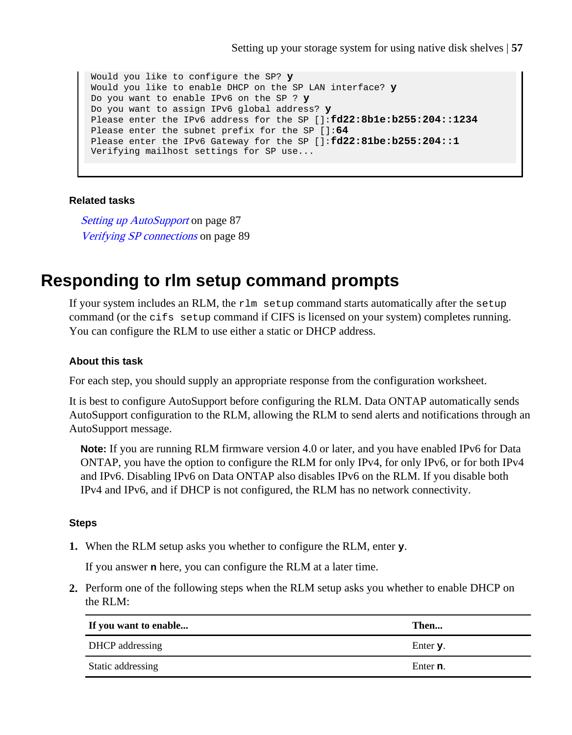Would you like to configure the SP? **y** Would you like to enable DHCP on the SP LAN interface? **y** Do you want to enable IPv6 on the SP ? **y** Do you want to assign IPv6 global address? **y** Please enter the IPv6 address for the SP []:**fd22:8b1e:b255:204::1234** Please enter the subnet prefix for the SP []:**64** Please enter the IPv6 Gateway for the SP []:**fd22:81be:b255:204::1** Verifying mailhost settings for SP use...

#### **Related tasks**

[Setting up AutoSupport](#page-86-0) on page 87 [Verifying SP connections](#page-88-0) on page 89

# **Responding to rlm setup command prompts**

If your system includes an RLM, the rlm setup command starts automatically after the setup command (or the cifs setup command if CIFS is licensed on your system) completes running. You can configure the RLM to use either a static or DHCP address.

### **About this task**

For each step, you should supply an appropriate response from the configuration worksheet.

It is best to configure AutoSupport before configuring the RLM. Data ONTAP automatically sends AutoSupport configuration to the RLM, allowing the RLM to send alerts and notifications through an AutoSupport message.

**Note:** If you are running RLM firmware version 4.0 or later, and you have enabled IPv6 for Data ONTAP, you have the option to configure the RLM for only IPv4, for only IPv6, or for both IPv4 and IPv6. Disabling IPv6 on Data ONTAP also disables IPv6 on the RLM. If you disable both IPv4 and IPv6, and if DHCP is not configured, the RLM has no network connectivity.

#### **Steps**

**1.** When the RLM setup asks you whether to configure the RLM, enter **y**.

If you answer **n** here, you can configure the RLM at a later time.

**2.** Perform one of the following steps when the RLM setup asks you whether to enable DHCP on the RLM:

| If you want to enable | Then                 |
|-----------------------|----------------------|
| DHCP addressing       | Enter $\mathbf{y}$ . |
| Static addressing     | Enter n.             |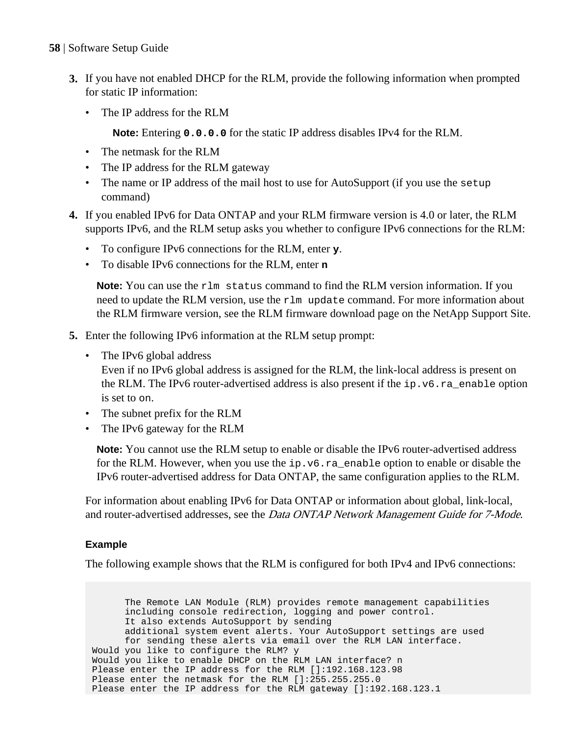- **3.** If you have not enabled DHCP for the RLM, provide the following information when prompted for static IP information:
	- The IP address for the RLM

**Note:** Entering **0.0.0.0** for the static IP address disables IPv4 for the RLM.

- The netmask for the RLM
- The IP address for the RLM gateway
- The name or IP address of the mail host to use for AutoSupport (if you use the setup command)
- **4.** If you enabled IPv6 for Data ONTAP and your RLM firmware version is 4.0 or later, the RLM supports IPv6, and the RLM setup asks you whether to configure IPv6 connections for the RLM:
	- To configure IPv6 connections for the RLM, enter **y**.
	- To disable IPv6 connections for the RLM, enter **n**

**Note:** You can use the rlm status command to find the RLM version information. If you need to update the RLM version, use the rlm update command. For more information about the RLM firmware version, see the RLM firmware download page on the NetApp Support Site.

- **5.** Enter the following IPv6 information at the RLM setup prompt:
	- The IPv6 global address

Even if no IPv6 global address is assigned for the RLM, the link-local address is present on the RLM. The IPv6 router-advertised address is also present if the  $ip.v6, ra$  enable option is set to on.

- The subnet prefix for the RLM
- The IPv6 gateway for the RLM

**Note:** You cannot use the RLM setup to enable or disable the IPv6 router-advertised address for the RLM. However, when you use the  $ip.v6$ .  $ra$  enable option to enable or disable the IPv6 router-advertised address for Data ONTAP, the same configuration applies to the RLM.

For information about enabling IPv6 for Data ONTAP or information about global, link-local, and router-advertised addresses, see the *Data ONTAP Network Management Guide for 7-Mode*.

## **Example**

The following example shows that the RLM is configured for both IPv4 and IPv6 connections:

 The Remote LAN Module (RLM) provides remote management capabilities including console redirection, logging and power control. It also extends AutoSupport by sending additional system event alerts. Your AutoSupport settings are used for sending these alerts via email over the RLM LAN interface. Would you like to configure the RLM? y Would you like to enable DHCP on the RLM LAN interface? n Please enter the IP address for the RLM []:192.168.123.98 Please enter the netmask for the RLM []:255.255.255.0 Please enter the IP address for the RLM gateway []:192.168.123.1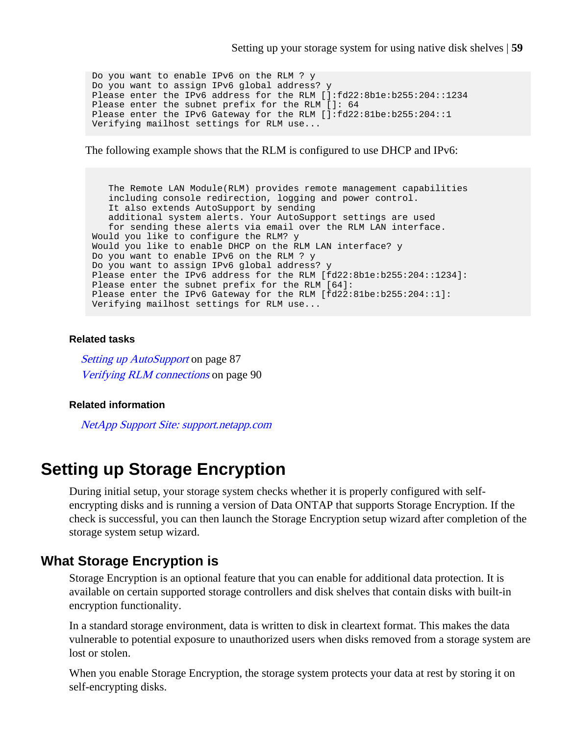Do you want to enable IPv6 on the RLM ? y Do you want to assign IPv6 global address? y Please enter the IPv6 address for the RLM []:fd22:8b1e:b255:204::1234 Please enter the subnet prefix for the RLM []: 64 Please enter the IPv6 Gateway for the RLM []:fd22:81be:b255:204::1 Verifying mailhost settings for RLM use...

The following example shows that the RLM is configured to use DHCP and IPv6:

 The Remote LAN Module(RLM) provides remote management capabilities including console redirection, logging and power control. It also extends AutoSupport by sending additional system alerts. Your AutoSupport settings are used for sending these alerts via email over the RLM LAN interface. Would you like to configure the RLM? y Would you like to enable DHCP on the RLM LAN interface? y Do you want to enable IPv6 on the RLM ? y Do you want to assign IPv6 global address? y Please enter the IPv6 address for the RLM [fd22:8b1e:b255:204::1234]: Please enter the subnet prefix for the RLM [64]: Please enter the IPv6 Gateway for the RLM [fd22:81be:b255:204::1]: Verifying mailhost settings for RLM use...

#### **Related tasks**

[Setting up AutoSupport](#page-86-0) on page 87 [Verifying RLM connections](#page-89-0) on page 90

#### **Related information**

[NetApp Support Site: support.netapp.com](http://support.netapp.com/)

# **Setting up Storage Encryption**

During initial setup, your storage system checks whether it is properly configured with selfencrypting disks and is running a version of Data ONTAP that supports Storage Encryption. If the check is successful, you can then launch the Storage Encryption setup wizard after completion of the storage system setup wizard.

## **What Storage Encryption is**

Storage Encryption is an optional feature that you can enable for additional data protection. It is available on certain supported storage controllers and disk shelves that contain disks with built-in encryption functionality.

In a standard storage environment, data is written to disk in cleartext format. This makes the data vulnerable to potential exposure to unauthorized users when disks removed from a storage system are lost or stolen.

When you enable Storage Encryption, the storage system protects your data at rest by storing it on self-encrypting disks.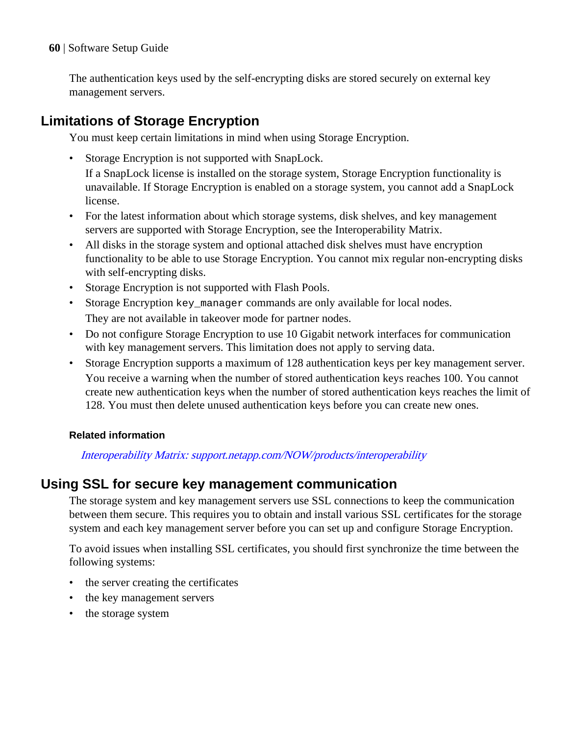The authentication keys used by the self-encrypting disks are stored securely on external key management servers.

# **Limitations of Storage Encryption**

You must keep certain limitations in mind when using Storage Encryption.

• Storage Encryption is not supported with SnapLock.

If a SnapLock license is installed on the storage system, Storage Encryption functionality is unavailable. If Storage Encryption is enabled on a storage system, you cannot add a SnapLock license.

- For the latest information about which storage systems, disk shelves, and key management servers are supported with Storage Encryption, see the Interoperability Matrix.
- All disks in the storage system and optional attached disk shelves must have encryption functionality to be able to use Storage Encryption. You cannot mix regular non-encrypting disks with self-encrypting disks.
- Storage Encryption is not supported with Flash Pools.
- Storage Encryption key\_manager commands are only available for local nodes. They are not available in takeover mode for partner nodes.
- Do not configure Storage Encryption to use 10 Gigabit network interfaces for communication with key management servers. This limitation does not apply to serving data.
- Storage Encryption supports a maximum of 128 authentication keys per key management server. You receive a warning when the number of stored authentication keys reaches 100. You cannot create new authentication keys when the number of stored authentication keys reaches the limit of 128. You must then delete unused authentication keys before you can create new ones.

# **Related information**

[Interoperability Matrix: support.netapp.com/NOW/products/interoperability](http://support.netapp.com/NOW/products/interoperability/)

# **Using SSL for secure key management communication**

The storage system and key management servers use SSL connections to keep the communication between them secure. This requires you to obtain and install various SSL certificates for the storage system and each key management server before you can set up and configure Storage Encryption.

To avoid issues when installing SSL certificates, you should first synchronize the time between the following systems:

- the server creating the certificates
- the key management servers
- the storage system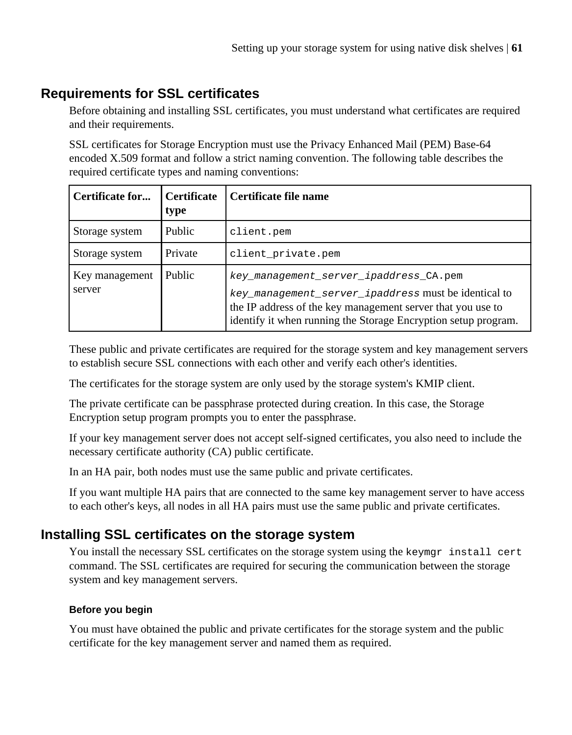# **Requirements for SSL certificates**

Before obtaining and installing SSL certificates, you must understand what certificates are required and their requirements.

SSL certificates for Storage Encryption must use the Privacy Enhanced Mail (PEM) Base-64 encoded X.509 format and follow a strict naming convention. The following table describes the required certificate types and naming conventions:

| Certificate for          | <b>Certificate</b><br>type | Certificate file name                                                                                                                                                                                                           |
|--------------------------|----------------------------|---------------------------------------------------------------------------------------------------------------------------------------------------------------------------------------------------------------------------------|
| Storage system           | Public                     | client.pem                                                                                                                                                                                                                      |
| Storage system           | Private                    | client private.pem                                                                                                                                                                                                              |
| Key management<br>server | <b>Public</b>              | key_management_server_ipaddress_CA.pem<br>key_management_server_ipaddress must be identical to<br>the IP address of the key management server that you use to<br>identify it when running the Storage Encryption setup program. |

These public and private certificates are required for the storage system and key management servers to establish secure SSL connections with each other and verify each other's identities.

The certificates for the storage system are only used by the storage system's KMIP client.

The private certificate can be passphrase protected during creation. In this case, the Storage Encryption setup program prompts you to enter the passphrase.

If your key management server does not accept self-signed certificates, you also need to include the necessary certificate authority (CA) public certificate.

In an HA pair, both nodes must use the same public and private certificates.

If you want multiple HA pairs that are connected to the same key management server to have access to each other's keys, all nodes in all HA pairs must use the same public and private certificates.

# **Installing SSL certificates on the storage system**

You install the necessary SSL certificates on the storage system using the keymgr install cert command. The SSL certificates are required for securing the communication between the storage system and key management servers.

## **Before you begin**

You must have obtained the public and private certificates for the storage system and the public certificate for the key management server and named them as required.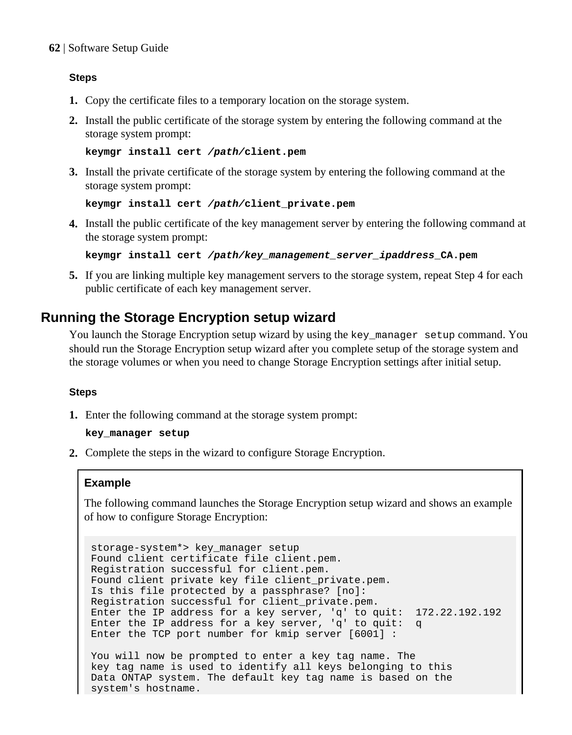#### **Steps**

- **1.** Copy the certificate files to a temporary location on the storage system.
- **2.** Install the public certificate of the storage system by entering the following command at the storage system prompt:

```
keymgr install cert /path/client.pem
```
**3.** Install the private certificate of the storage system by entering the following command at the storage system prompt:

```
keymgr install cert /path/client_private.pem
```
**4.** Install the public certificate of the key management server by entering the following command at the storage system prompt:

```
keymgr install cert /path/key_management_server_ipaddress_CA.pem
```
**5.** If you are linking multiple key management servers to the storage system, repeat Step 4 for each public certificate of each key management server.

# **Running the Storage Encryption setup wizard**

You launch the Storage Encryption setup wizard by using the key\_manager setup command. You should run the Storage Encryption setup wizard after you complete setup of the storage system and the storage volumes or when you need to change Storage Encryption settings after initial setup.

## **Steps**

**1.** Enter the following command at the storage system prompt:

#### **key\_manager setup**

**2.** Complete the steps in the wizard to configure Storage Encryption.

## **Example**

The following command launches the Storage Encryption setup wizard and shows an example of how to configure Storage Encryption:

```
storage-system*> key_manager setup
Found client certificate file client.pem.
Registration successful for client.pem.
Found client private key file client_private.pem.
Is this file protected by a passphrase? [no]: 
Registration successful for client_private.pem.
Enter the IP address for a key server, 'q' to quit: 172.22.192.192
Enter the IP address for a key server, 'q' to quit: q
Enter the TCP port number for kmip server [6001] :
```

```
You will now be prompted to enter a key tag name. The
key tag name is used to identify all keys belonging to this
Data ONTAP system. The default key tag name is based on the
system's hostname.
```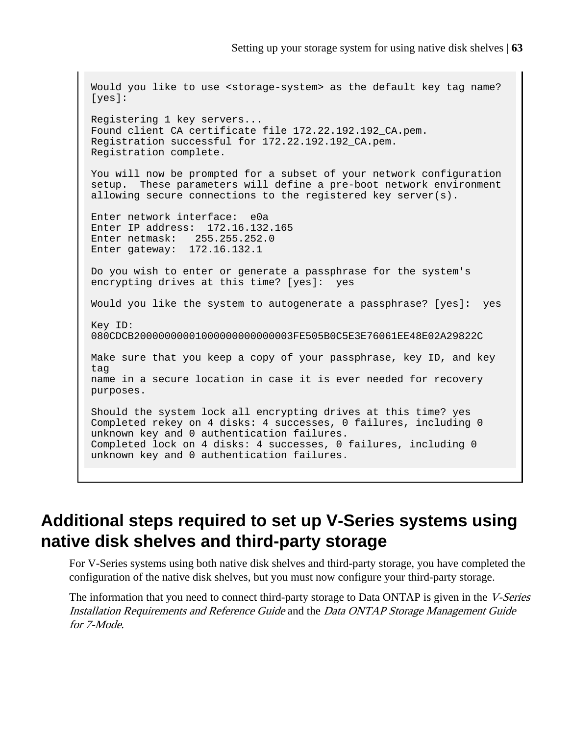```
Would you like to use <storage-system> as the default key tag name?
[yes]: 
Registering 1 key servers...
Found client CA certificate file 172.22.192.192_CA.pem.
Registration successful for 172.22.192.192_CA.pem.
Registration complete.
You will now be prompted for a subset of your network configuration
setup. These parameters will define a pre-boot network environment
allowing secure connections to the registered key server(s).
Enter network interface: e0a
Enter IP address: 172.16.132.165
Enter netmask: 255.255.252.0
Enter gateway: 172.16.132.1
Do you wish to enter or generate a passphrase for the system's
encrypting drives at this time? [yes]: yes
Would you like the system to autogenerate a passphrase? [yes]: yes
Key ID: 
080CDCB20000000001000000000000003FE505B0C5E3E76061EE48E02A29822C
Make sure that you keep a copy of your passphrase, key ID, and key 
tag
name in a secure location in case it is ever needed for recovery 
purposes.
Should the system lock all encrypting drives at this time? yes
Completed rekey on 4 disks: 4 successes, 0 failures, including 0 
unknown key and 0 authentication failures.
Completed lock on 4 disks: 4 successes, 0 failures, including 0 
unknown key and 0 authentication failures.
```
# **Additional steps required to set up V-Series systems using native disk shelves and third-party storage**

For V-Series systems using both native disk shelves and third-party storage, you have completed the configuration of the native disk shelves, but you must now configure your third-party storage.

The information that you need to connect third-party storage to Data ONTAP is given in the V-Series Installation Requirements and Reference Guide and the Data ONTAP Storage Management Guide for 7-Mode.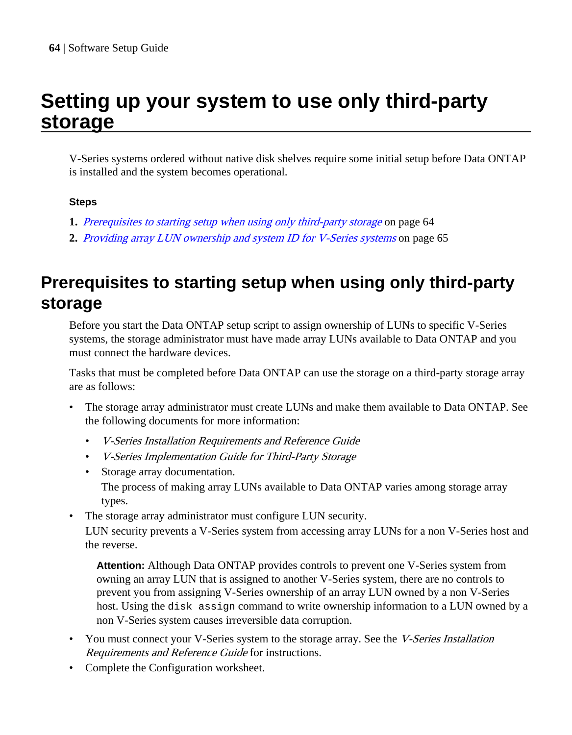# <span id="page-63-0"></span>**Setting up your system to use only third-party storage**

V-Series systems ordered without native disk shelves require some initial setup before Data ONTAP is installed and the system becomes operational.

# **Steps**

- **1.** Prerequisites to starting setup when using only third-party storage on page 64
- **2.** [Providing array LUN ownership and system ID for V-Series systems](#page-64-0) on page 65

# **Prerequisites to starting setup when using only third-party storage**

Before you start the Data ONTAP setup script to assign ownership of LUNs to specific V-Series systems, the storage administrator must have made array LUNs available to Data ONTAP and you must connect the hardware devices.

Tasks that must be completed before Data ONTAP can use the storage on a third-party storage array are as follows:

- The storage array administrator must create LUNs and make them available to Data ONTAP. See the following documents for more information:
	- V-Series Installation Requirements and Reference Guide
	- V-Series Implementation Guide for Third-Party Storage
	- Storage array documentation. The process of making array LUNs available to Data ONTAP varies among storage array types.
- The storage array administrator must configure LUN security.

LUN security prevents a V-Series system from accessing array LUNs for a non V-Series host and the reverse.

**Attention:** Although Data ONTAP provides controls to prevent one V-Series system from owning an array LUN that is assigned to another V-Series system, there are no controls to prevent you from assigning V-Series ownership of an array LUN owned by a non V-Series host. Using the disk assign command to write ownership information to a LUN owned by a non V-Series system causes irreversible data corruption.

- You must connect your V-Series system to the storage array. See the *V-Series Installation* Requirements and Reference Guide for instructions.
- Complete the Configuration worksheet.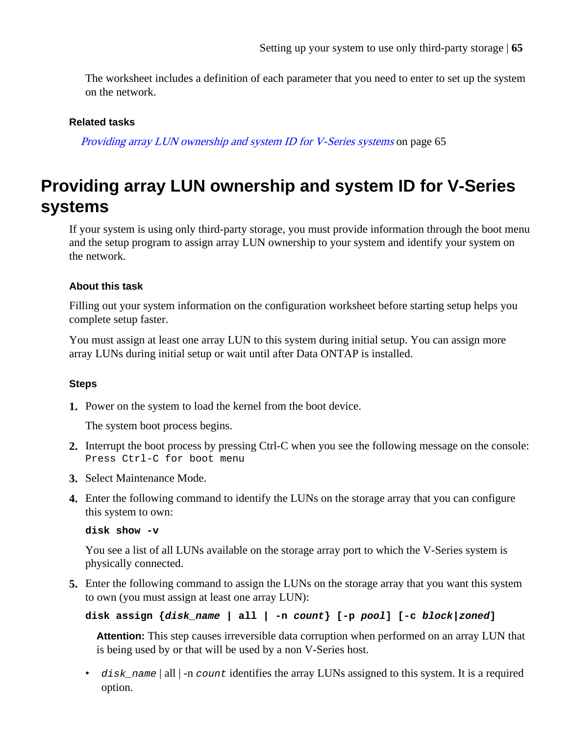<span id="page-64-0"></span>The worksheet includes a definition of each parameter that you need to enter to set up the system on the network.

#### **Related tasks**

Providing array LUN ownership and system ID for V-Series systems on page 65

# **Providing array LUN ownership and system ID for V-Series systems**

If your system is using only third-party storage, you must provide information through the boot menu and the setup program to assign array LUN ownership to your system and identify your system on the network.

#### **About this task**

Filling out your system information on the configuration worksheet before starting setup helps you complete setup faster.

You must assign at least one array LUN to this system during initial setup. You can assign more array LUNs during initial setup or wait until after Data ONTAP is installed.

#### **Steps**

**1.** Power on the system to load the kernel from the boot device.

The system boot process begins.

- **2.** Interrupt the boot process by pressing Ctrl-C when you see the following message on the console: Press Ctrl-C for boot menu
- **3.** Select Maintenance Mode.
- **4.** Enter the following command to identify the LUNs on the storage array that you can configure this system to own:

**disk show -v**

You see a list of all LUNs available on the storage array port to which the V-Series system is physically connected.

**5.** Enter the following command to assign the LUNs on the storage array that you want this system to own (you must assign at least one array LUN):

```
disk assign {disk_name | all | -n count} [-p pool] [-c block|zoned]
```
**Attention:** This step causes irreversible data corruption when performed on an array LUN that is being used by or that will be used by a non V-Series host.

 $\bullet$  disk\_name | all | -n count identifies the array LUNs assigned to this system. It is a required option.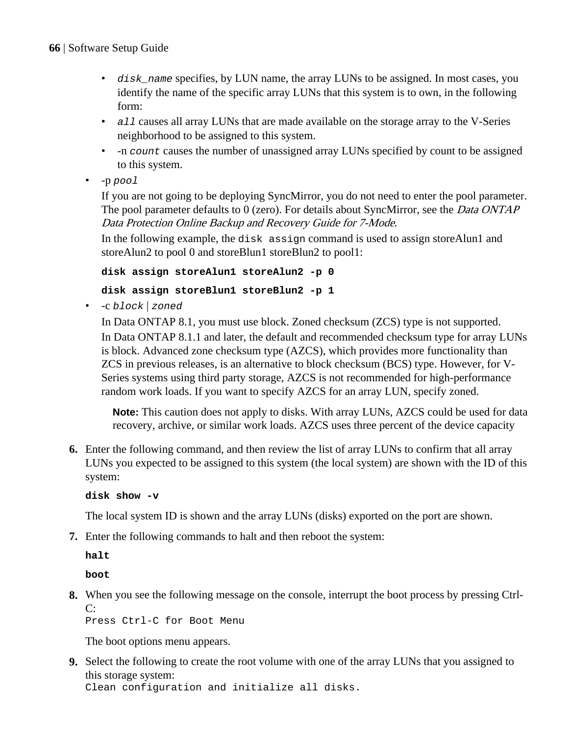- disk\_name specifies, by LUN name, the array LUNs to be assigned. In most cases, you identify the name of the specific array LUNs that this system is to own, in the following form:
- all causes all array LUNs that are made available on the storage array to the V-Series neighborhood to be assigned to this system.
- -n count causes the number of unassigned array LUNs specified by count to be assigned to this system.
- -p pool

If you are not going to be deploying SyncMirror, you do not need to enter the pool parameter. The pool parameter defaults to 0 (zero). For details about SyncMirror, see the *Data ONTAP* Data Protection Online Backup and Recovery Guide for 7-Mode.

In the following example, the disk assign command is used to assign storeAlun1 and storeAlun2 to pool 0 and storeBlun1 storeBlun2 to pool1:

**disk assign storeAlun1 storeAlun2 -p 0**

## **disk assign storeBlun1 storeBlun2 -p 1**

• -c block | zoned

In Data ONTAP 8.1, you must use block. Zoned checksum (ZCS) type is not supported. In Data ONTAP 8.1.1 and later, the default and recommended checksum type for array LUNs is block. Advanced zone checksum type (AZCS), which provides more functionality than ZCS in previous releases, is an alternative to block checksum (BCS) type. However, for V-Series systems using third party storage, AZCS is not recommended for high-performance random work loads. If you want to specify AZCS for an array LUN, specify zoned.

**Note:** This caution does not apply to disks. With array LUNs, AZCS could be used for data recovery, archive, or similar work loads. AZCS uses three percent of the device capacity

**6.** Enter the following command, and then review the list of array LUNs to confirm that all array LUNs you expected to be assigned to this system (the local system) are shown with the ID of this system:

**disk show -v**

The local system ID is shown and the array LUNs (disks) exported on the port are shown.

**7.** Enter the following commands to halt and then reboot the system:

**halt**

**boot**

**8.** When you see the following message on the console, interrupt the boot process by pressing Ctrl-C:

Press Ctrl-C for Boot Menu

The boot options menu appears.

**9.** Select the following to create the root volume with one of the array LUNs that you assigned to this storage system:

Clean configuration and initialize all disks.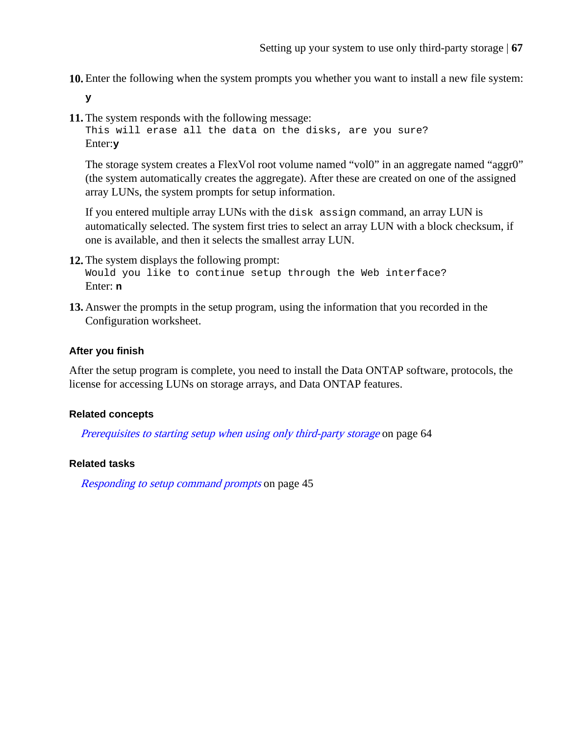**10.** Enter the following when the system prompts you whether you want to install a new file system:

**y**

**11.** The system responds with the following message:

```
This will erase all the data on the disks, are you sure?
Enter:y
```
The storage system creates a FlexVol root volume named "vol0" in an aggregate named "aggr0" (the system automatically creates the aggregate). After these are created on one of the assigned array LUNs, the system prompts for setup information.

If you entered multiple array LUNs with the disk assign command, an array LUN is automatically selected. The system first tries to select an array LUN with a block checksum, if one is available, and then it selects the smallest array LUN.

- **12.** The system displays the following prompt: Would you like to continue setup through the Web interface? Enter: **n**
- **13.** Answer the prompts in the setup program, using the information that you recorded in the Configuration worksheet.

#### **After you finish**

After the setup program is complete, you need to install the Data ONTAP software, protocols, the license for accessing LUNs on storage arrays, and Data ONTAP features.

#### **Related concepts**

[Prerequisites to starting setup when using only third-party storage](#page-63-0) on page 64

#### **Related tasks**

[Responding to setup command prompts](#page-44-0) on page 45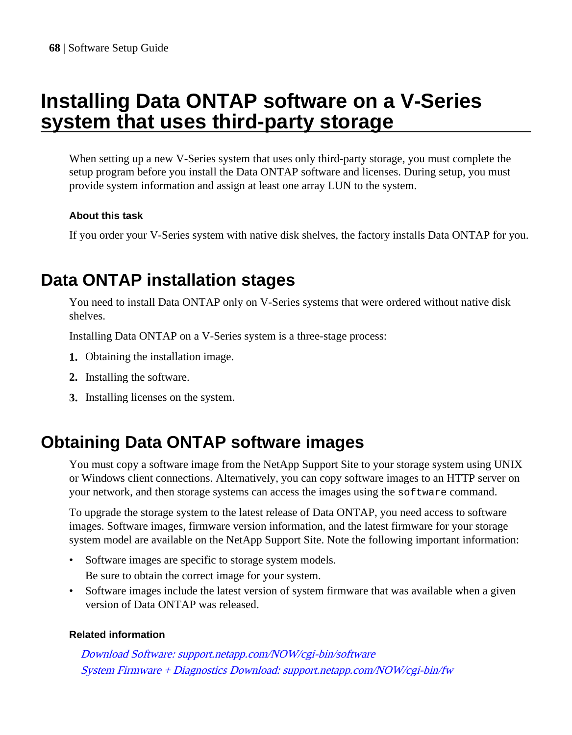# **Installing Data ONTAP software on a V-Series system that uses third-party storage**

When setting up a new V-Series system that uses only third-party storage, you must complete the setup program before you install the Data ONTAP software and licenses. During setup, you must provide system information and assign at least one array LUN to the system.

## **About this task**

If you order your V-Series system with native disk shelves, the factory installs Data ONTAP for you.

# **Data ONTAP installation stages**

You need to install Data ONTAP only on V-Series systems that were ordered without native disk shelves.

Installing Data ONTAP on a V-Series system is a three-stage process:

- **1.** Obtaining the installation image.
- **2.** Installing the software.
- **3.** Installing licenses on the system.

# **Obtaining Data ONTAP software images**

You must copy a software image from the NetApp Support Site to your storage system using UNIX or Windows client connections. Alternatively, you can copy software images to an HTTP server on your network, and then storage systems can access the images using the software command.

To upgrade the storage system to the latest release of Data ONTAP, you need access to software images. Software images, firmware version information, and the latest firmware for your storage system model are available on the NetApp Support Site. Note the following important information:

- Software images are specific to storage system models. Be sure to obtain the correct image for your system.
- Software images include the latest version of system firmware that was available when a given version of Data ONTAP was released.

## **Related information**

[Download Software: support.netapp.com/NOW/cgi-bin/software](http://support.netapp.com/NOW/cgi-bin/software) [System Firmware + Diagnostics Download: support.netapp.com/NOW/cgi-bin/fw](http://support.netapp.com/NOW/cgi-bin/fw)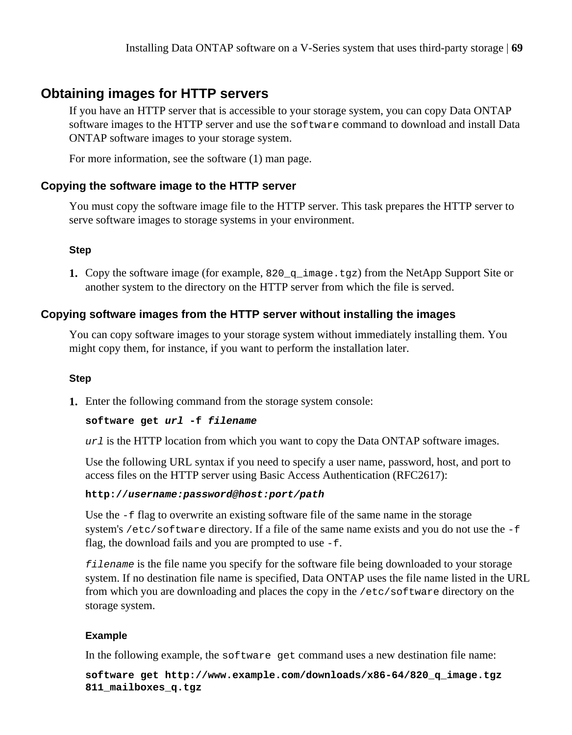# **Obtaining images for HTTP servers**

If you have an HTTP server that is accessible to your storage system, you can copy Data ONTAP software images to the HTTP server and use the software command to download and install Data ONTAP software images to your storage system.

For more information, see the software (1) man page.

#### **Copying the software image to the HTTP server**

You must copy the software image file to the HTTP server. This task prepares the HTTP server to serve software images to storage systems in your environment.

#### **Step**

**1.** Copy the software image (for example, 820  $q$  image.tgz) from the NetApp Support Site or another system to the directory on the HTTP server from which the file is served.

### **Copying software images from the HTTP server without installing the images**

You can copy software images to your storage system without immediately installing them. You might copy them, for instance, if you want to perform the installation later.

#### **Step**

**1.** Enter the following command from the storage system console:

#### **software get url -f filename**

 $ur1$  is the HTTP location from which you want to copy the Data ONTAP software images.

Use the following URL syntax if you need to specify a user name, password, host, and port to access files on the HTTP server using Basic Access Authentication (RFC2617):

#### **http://username:password@host:port/path**

Use the -f flag to overwrite an existing software file of the same name in the storage system's /etc/software directory. If a file of the same name exists and you do not use the -f flag, the download fails and you are prompted to use -f.

filename is the file name you specify for the software file being downloaded to your storage system. If no destination file name is specified, Data ONTAP uses the file name listed in the URL from which you are downloading and places the copy in the /etc/software directory on the storage system.

#### **Example**

In the following example, the software get command uses a new destination file name:

**software get http://www.example.com/downloads/x86-64/820\_q\_image.tgz 811\_mailboxes\_q.tgz**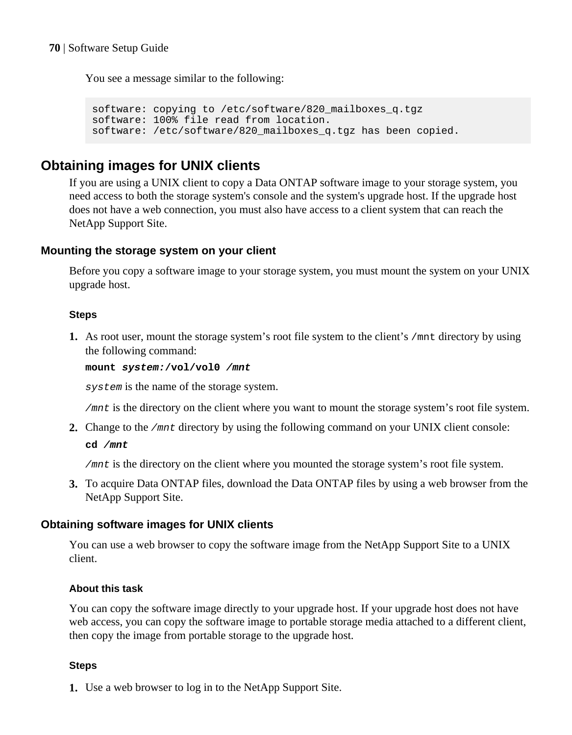You see a message similar to the following:

```
software: copying to /etc/software/820_mailboxes_q.tgz
software: 100% file read from location.
software: /etc/software/820_mailboxes_q.tgz has been copied.
```
# **Obtaining images for UNIX clients**

If you are using a UNIX client to copy a Data ONTAP software image to your storage system, you need access to both the storage system's console and the system's upgrade host. If the upgrade host does not have a web connection, you must also have access to a client system that can reach the NetApp Support Site.

### **Mounting the storage system on your client**

Before you copy a software image to your storage system, you must mount the system on your UNIX upgrade host.

#### **Steps**

**1.** As root user, mount the storage system's root file system to the client's /mnt directory by using the following command:

**mount system:/vol/vol0 /mnt**

system is the name of the storage system.

/mnt is the directory on the client where you want to mount the storage system's root file system.

**2.** Change to the /mnt directory by using the following command on your UNIX client console: **cd /mnt**

/mnt is the directory on the client where you mounted the storage system's root file system.

**3.** To acquire Data ONTAP files, download the Data ONTAP files by using a web browser from the NetApp Support Site.

## **Obtaining software images for UNIX clients**

You can use a web browser to copy the software image from the NetApp Support Site to a UNIX client.

#### **About this task**

You can copy the software image directly to your upgrade host. If your upgrade host does not have web access, you can copy the software image to portable storage media attached to a different client, then copy the image from portable storage to the upgrade host.

#### **Steps**

**1.** Use a web browser to log in to the NetApp Support Site.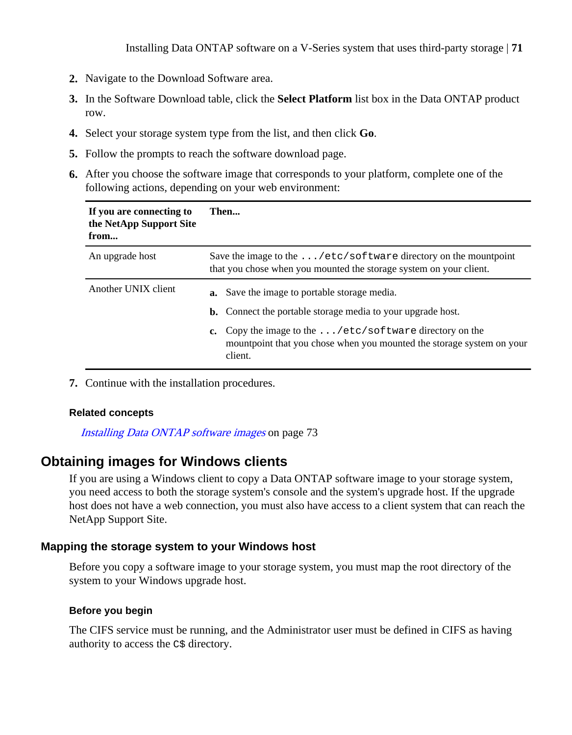- **2.** Navigate to the Download Software area.
- **3.** In the Software Download table, click the **Select Platform** list box in the Data ONTAP product row.
- **4.** Select your storage system type from the list, and then click **Go**.
- **5.** Follow the prompts to reach the software download page.
- **6.** After you choose the software image that corresponds to your platform, complete one of the following actions, depending on your web environment:

| If you are connecting to<br>the NetApp Support Site<br>from | Then                                                                                                                                                                                                                                                                              |  |
|-------------------------------------------------------------|-----------------------------------------------------------------------------------------------------------------------------------------------------------------------------------------------------------------------------------------------------------------------------------|--|
| An upgrade host                                             | Save the image to the $\dots/etc/software$ directory on the mountpoint<br>that you chose when you mounted the storage system on your client.                                                                                                                                      |  |
| Another UNIX client                                         | <b>a.</b> Save the image to portable storage media.<br><b>b.</b> Connect the portable storage media to your upgrade host.<br>c. Copy the image to the $\ldots$ /etc/software directory on the<br>mountpoint that you chose when you mounted the storage system on your<br>client. |  |

**7.** Continue with the installation procedures.

#### **Related concepts**

[Installing Data ONTAP software images](#page-72-0) on page 73

# **Obtaining images for Windows clients**

If you are using a Windows client to copy a Data ONTAP software image to your storage system, you need access to both the storage system's console and the system's upgrade host. If the upgrade host does not have a web connection, you must also have access to a client system that can reach the NetApp Support Site.

## **Mapping the storage system to your Windows host**

Before you copy a software image to your storage system, you must map the root directory of the system to your Windows upgrade host.

## **Before you begin**

The CIFS service must be running, and the Administrator user must be defined in CIFS as having authority to access the C\$ directory.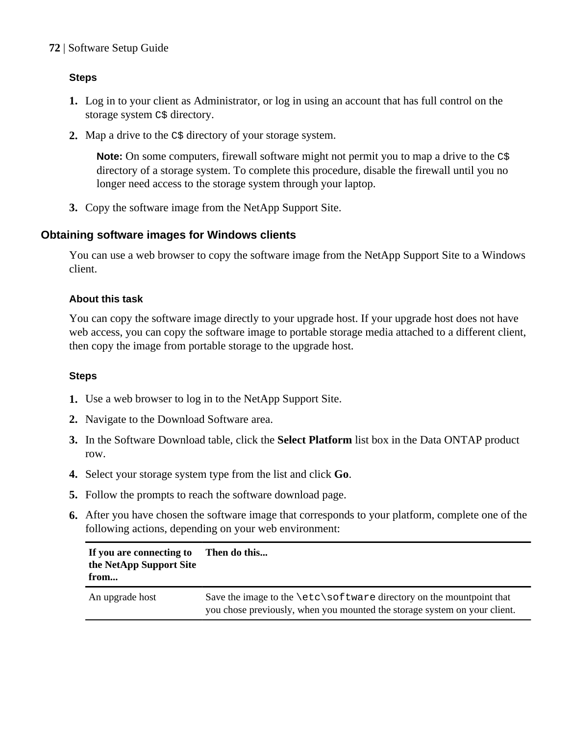# **Steps**

- **1.** Log in to your client as Administrator, or log in using an account that has full control on the storage system  $C\$ <sup>\$</sup> directory.
- **2.** Map a drive to the C\$ directory of your storage system.

**Note:** On some computers, firewall software might not permit you to map a drive to the  $c$ \$ directory of a storage system. To complete this procedure, disable the firewall until you no longer need access to the storage system through your laptop.

**3.** Copy the software image from the NetApp Support Site.

# **Obtaining software images for Windows clients**

You can use a web browser to copy the software image from the NetApp Support Site to a Windows client.

## **About this task**

You can copy the software image directly to your upgrade host. If your upgrade host does not have web access, you can copy the software image to portable storage media attached to a different client, then copy the image from portable storage to the upgrade host.

## **Steps**

- **1.** Use a web browser to log in to the NetApp Support Site.
- **2.** Navigate to the Download Software area.
- **3.** In the Software Download table, click the **Select Platform** list box in the Data ONTAP product row.
- **4.** Select your storage system type from the list and click **Go**.
- **5.** Follow the prompts to reach the software download page.
- **6.** After you have chosen the software image that corresponds to your platform, complete one of the following actions, depending on your web environment:

| If you are connecting to<br>the NetApp Support Site<br>from | Then do this                                                                                                                                             |
|-------------------------------------------------------------|----------------------------------------------------------------------------------------------------------------------------------------------------------|
| An upgrade host                                             | Save the image to the $\text{sc}$ software directory on the mountpoint that<br>you chose previously, when you mounted the storage system on your client. |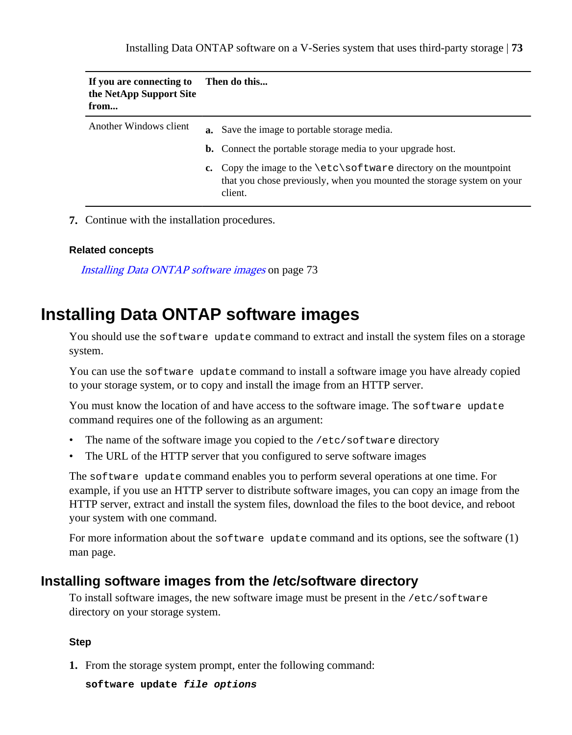| If you are connecting to<br>the NetApp Support Site<br>from | Then do this                                                                                                                                                      |
|-------------------------------------------------------------|-------------------------------------------------------------------------------------------------------------------------------------------------------------------|
| Another Windows client                                      | <b>a.</b> Save the image to portable storage media.<br><b>b.</b> Connect the portable storage media to your upgrade host.                                         |
|                                                             | c. Copy the image to the $\text{set}\s$ of tware directory on the mountpoint<br>that you chose previously, when you mounted the storage system on your<br>client. |

**7.** Continue with the installation procedures.

#### **Related concepts**

Installing Data ONTAP software images on page 73

## **Installing Data ONTAP software images**

You should use the software update command to extract and install the system files on a storage system.

You can use the software update command to install a software image you have already copied to your storage system, or to copy and install the image from an HTTP server.

You must know the location of and have access to the software image. The software update command requires one of the following as an argument:

- The name of the software image you copied to the /etc/software directory
- The URL of the HTTP server that you configured to serve software images

The software update command enables you to perform several operations at one time. For example, if you use an HTTP server to distribute software images, you can copy an image from the HTTP server, extract and install the system files, download the files to the boot device, and reboot your system with one command.

For more information about the software update command and its options, see the software  $(1)$ man page.

#### **Installing software images from the /etc/software directory**

To install software images, the new software image must be present in the /etc/software directory on your storage system.

#### **Step**

**1.** From the storage system prompt, enter the following command:

**software update file options**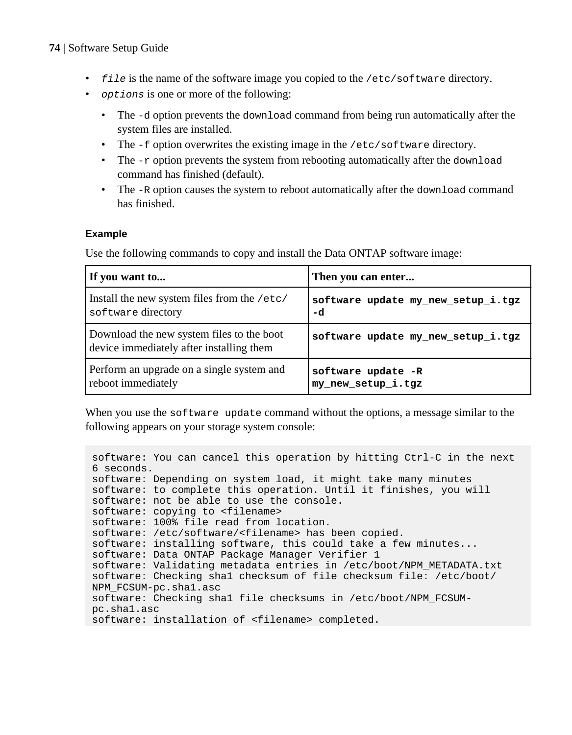#### **74** | Software Setup Guide

- file is the name of the software image you copied to the /etc/software directory.
- options is one or more of the following:
	- The -d option prevents the download command from being run automatically after the system files are installed.
	- The  $-f$  option overwrites the existing image in the /etc/software directory.
	- The  $-r$  option prevents the system from rebooting automatically after the download command has finished (default).
	- The  $-R$  option causes the system to reboot automatically after the download command has finished.

#### **Example**

Use the following commands to copy and install the Data ONTAP software image:

| If you want to                                                                        | Then you can enter                 |
|---------------------------------------------------------------------------------------|------------------------------------|
| Install the new system files from the /etc/                                           | software update my new setup i.tgz |
| software directory                                                                    | -d                                 |
| Download the new system files to the boot<br>device immediately after installing them | software update my new setup i.tgz |
| Perform an upgrade on a single system and                                             | software update -R                 |
| reboot immediately                                                                    | my_new_setup_i.tgz                 |

When you use the software update command without the options, a message similar to the following appears on your storage system console:

```
software: You can cancel this operation by hitting Ctrl-C in the next 
6 seconds.
software: Depending on system load, it might take many minutes
software: to complete this operation. Until it finishes, you will
software: not be able to use the console.
software: copying to <filename>
software: 100% file read from location.
software: /etc/software/<filename> has been copied.
software: installing software, this could take a few minutes...
software: Data ONTAP Package Manager Verifier 1
software: Validating metadata entries in /etc/boot/NPM_METADATA.txt
software: Checking sha1 checksum of file checksum file: /etc/boot/
NPM_FCSUM-pc.sha1.asc
software: Checking sha1 file checksums in /etc/boot/NPM_FCSUM-
pc.sha1.asc
software: installation of <filename> completed.
```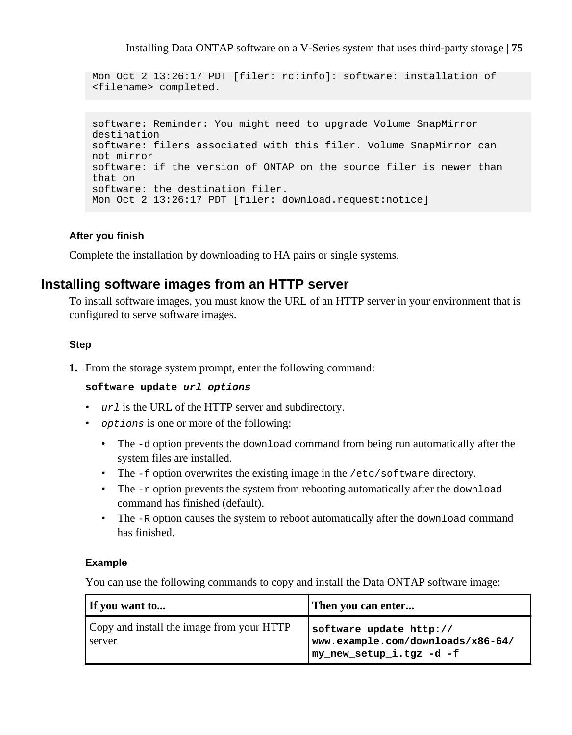Installing Data ONTAP software on a V-Series system that uses third-party storage | **75**

```
Mon Oct 2 13:26:17 PDT [filer: rc:info]: software: installation of 
<filename> completed.
```

```
software: Reminder: You might need to upgrade Volume SnapMirror 
destination
software: filers associated with this filer. Volume SnapMirror can 
not mirror
software: if the version of ONTAP on the source filer is newer than 
that on 
software: the destination filer.
Mon Oct 2 13:26:17 PDT [filer: download.request:notice]
```
#### **After you finish**

Complete the installation by downloading to HA pairs or single systems.

### **Installing software images from an HTTP server**

To install software images, you must know the URL of an HTTP server in your environment that is configured to serve software images.

#### **Step**

**1.** From the storage system prompt, enter the following command:

#### **software update url options**

- url is the URL of the HTTP server and subdirectory.
- options is one or more of the following:
	- The -d option prevents the download command from being run automatically after the system files are installed.
	- The -f option overwrites the existing image in the /etc/software directory.
	- The  $-r$  option prevents the system from rebooting automatically after the download command has finished (default).
	- The  $-R$  option causes the system to reboot automatically after the download command has finished.

#### **Example**

You can use the following commands to copy and install the Data ONTAP software image:

| If you want to                                      | Then you can enter                                                                       |
|-----------------------------------------------------|------------------------------------------------------------------------------------------|
| Copy and install the image from your HTTP<br>server | software update http://<br>www.example.com/downloads/x86-64/<br>my_new_setup_i.tgz -d -f |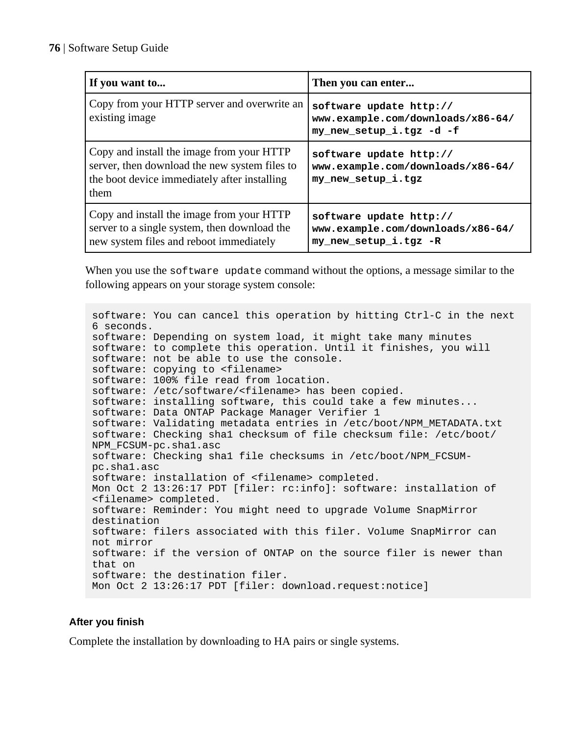| If you want to                                                                                                                                     | Then you can enter                                                                       |
|----------------------------------------------------------------------------------------------------------------------------------------------------|------------------------------------------------------------------------------------------|
| Copy from your HTTP server and overwrite an<br>existing image                                                                                      | software update http://<br>www.example.com/downloads/x86-64/<br>my new setup i.tgz -d -f |
| Copy and install the image from your HTTP<br>server, then download the new system files to<br>the boot device immediately after installing<br>them | software update http://<br>www.example.com/downloads/x86-64/<br>my new setup i.tgz       |
| Copy and install the image from your HTTP<br>server to a single system, then download the<br>new system files and reboot immediately               | software update http://<br>www.example.com/downloads/x86-64/<br>my new setup i.tgz -R    |

When you use the software update command without the options, a message similar to the following appears on your storage system console:

```
software: You can cancel this operation by hitting Ctrl-C in the next 
6 seconds.
software: Depending on system load, it might take many minutes
software: to complete this operation. Until it finishes, you will
software: not be able to use the console.
software: copying to <filename>
software: 100% file read from location.
software: /etc/software/<filename> has been copied.
software: installing software, this could take a few minutes...
software: Data ONTAP Package Manager Verifier 1
software: Validating metadata entries in /etc/boot/NPM_METADATA.txt
software: Checking sha1 checksum of file checksum file: /etc/boot/
NPM_FCSUM-pc.sha1.asc
software: Checking sha1 file checksums in /etc/boot/NPM_FCSUM-
pc.sha1.asc
software: installation of <filename> completed.
Mon Oct 2 13:26:17 PDT [filer: rc:info]: software: installation of 
<filename> completed.
software: Reminder: You might need to upgrade Volume SnapMirror 
destination
software: filers associated with this filer. Volume SnapMirror can 
not mirror
software: if the version of ONTAP on the source filer is newer than 
that on 
software: the destination filer.
Mon Oct 2 13:26:17 PDT [filer: download.request:notice]
```
#### **After you finish**

Complete the installation by downloading to HA pairs or single systems.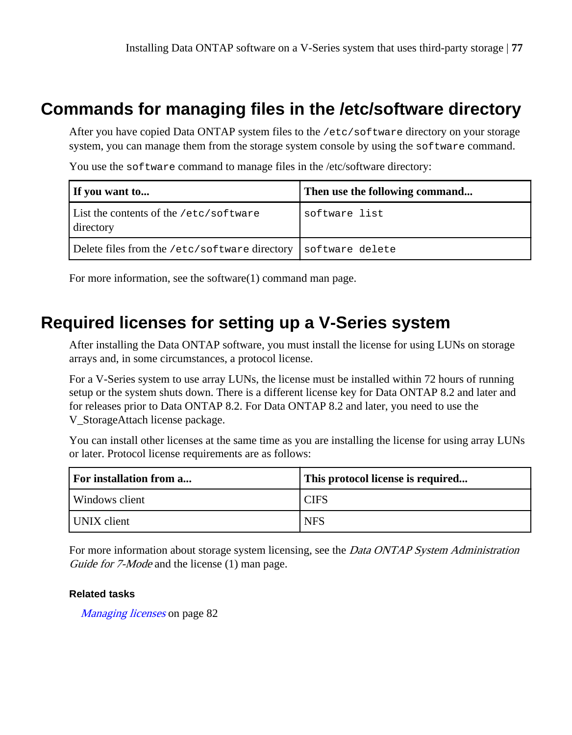## **Commands for managing files in the /etc/software directory**

After you have copied Data ONTAP system files to the /etc/software directory on your storage system, you can manage them from the storage system console by using the software command.

You use the software command to manage files in the /etc/software directory:

| If you want to                                      | Then use the following command |
|-----------------------------------------------------|--------------------------------|
| List the contents of the /etc/software<br>directory | software list                  |
| Delete files from the /etc/software directory       | software delete                |

For more information, see the software(1) command man page.

## **Required licenses for setting up a V-Series system**

After installing the Data ONTAP software, you must install the license for using LUNs on storage arrays and, in some circumstances, a protocol license.

For a V-Series system to use array LUNs, the license must be installed within 72 hours of running setup or the system shuts down. There is a different license key for Data ONTAP 8.2 and later and for releases prior to Data ONTAP 8.2. For Data ONTAP 8.2 and later, you need to use the V\_StorageAttach license package.

You can install other licenses at the same time as you are installing the license for using array LUNs or later. Protocol license requirements are as follows:

| For installation from a | This protocol license is required |
|-------------------------|-----------------------------------|
| l Windows client        | <b>CIFS</b>                       |
| UNIX client             | <b>NFS</b>                        |

For more information about storage system licensing, see the *Data ONTAP System Administration* Guide for 7-Mode and the license (1) man page.

#### **Related tasks**

[Managing licenses](#page-81-0) on page 82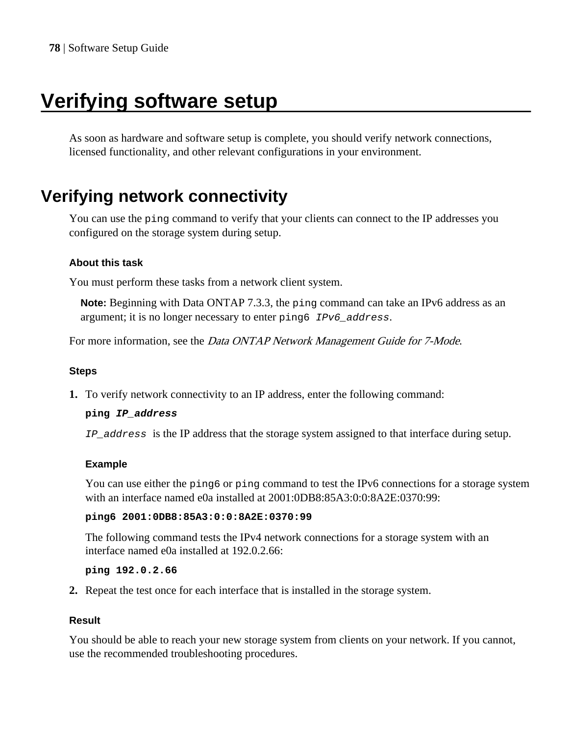# <span id="page-77-0"></span>**Verifying software setup**

As soon as hardware and software setup is complete, you should verify network connections, licensed functionality, and other relevant configurations in your environment.

## **Verifying network connectivity**

You can use the ping command to verify that your clients can connect to the IP addresses you configured on the storage system during setup.

#### **About this task**

You must perform these tasks from a network client system.

**Note:** Beginning with Data ONTAP 7.3.3, the ping command can take an IPv6 address as an argument; it is no longer necessary to enter ping6 IPv6\_address.

For more information, see the *Data ONTAP Network Management Guide for 7-Mode*.

#### **Steps**

**1.** To verify network connectivity to an IP address, enter the following command:

#### **ping IP\_address**

IP\_address is the IP address that the storage system assigned to that interface during setup.

#### **Example**

You can use either the ping6 or ping command to test the IPv6 connections for a storage system with an interface named e0a installed at 2001:0DB8:85A3:0:0:8A2E:0370:99:

#### **ping6 2001:0DB8:85A3:0:0:8A2E:0370:99**

The following command tests the IPv4 network connections for a storage system with an interface named e0a installed at 192.0.2.66:

**ping 192.0.2.66**

**2.** Repeat the test once for each interface that is installed in the storage system.

#### **Result**

You should be able to reach your new storage system from clients on your network. If you cannot, use the recommended troubleshooting procedures.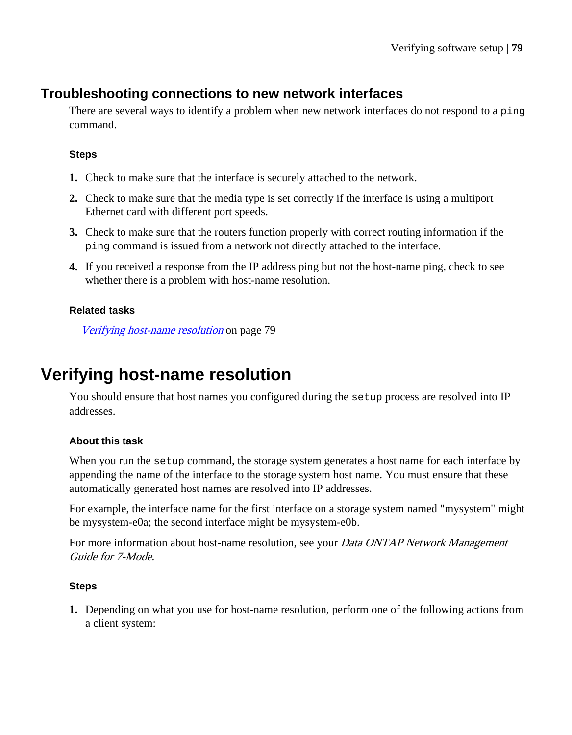## **Troubleshooting connections to new network interfaces**

There are several ways to identify a problem when new network interfaces do not respond to a ping command.

#### **Steps**

- **1.** Check to make sure that the interface is securely attached to the network.
- **2.** Check to make sure that the media type is set correctly if the interface is using a multiport Ethernet card with different port speeds.
- **3.** Check to make sure that the routers function properly with correct routing information if the ping command is issued from a network not directly attached to the interface.
- **4.** If you received a response from the IP address ping but not the host-name ping, check to see whether there is a problem with host-name resolution.

#### **Related tasks**

Verifying host-name resolution on page 79

## **Verifying host-name resolution**

You should ensure that host names you configured during the setup process are resolved into IP addresses.

#### **About this task**

When you run the setup command, the storage system generates a host name for each interface by appending the name of the interface to the storage system host name. You must ensure that these automatically generated host names are resolved into IP addresses.

For example, the interface name for the first interface on a storage system named "mysystem" might be mysystem-e0a; the second interface might be mysystem-e0b.

For more information about host-name resolution, see your *Data ONTAP Network Management* Guide for 7-Mode.

#### **Steps**

**1.** Depending on what you use for host-name resolution, perform one of the following actions from a client system: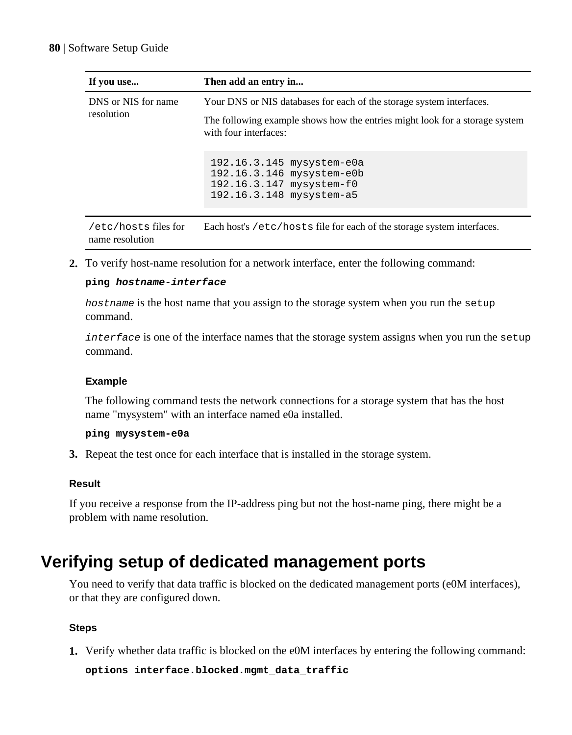| If you use                              | Then add an entry in                                                                                                                                                         |  |
|-----------------------------------------|------------------------------------------------------------------------------------------------------------------------------------------------------------------------------|--|
| DNS or NIS for name<br>resolution       | Your DNS or NIS databases for each of the storage system interfaces.<br>The following example shows how the entries might look for a storage system<br>with four interfaces: |  |
|                                         | 192.16.3.145 mysystem-e0a<br>192.16.3.146 mysystem-e0b<br>192.16.3.147 mysystem-f0<br>192.16.3.148 mysystem-a5                                                               |  |
| /etc/hosts files for<br>name resolution | Each host's /etc/hosts file for each of the storage system interfaces.                                                                                                       |  |

**2.** To verify host-name resolution for a network interface, enter the following command:

#### **ping hostname-interface**

hostname is the host name that you assign to the storage system when you run the setup command.

interface is one of the interface names that the storage system assigns when you run the setup command.

#### **Example**

The following command tests the network connections for a storage system that has the host name "mysystem" with an interface named e0a installed.

#### **ping mysystem-e0a**

**3.** Repeat the test once for each interface that is installed in the storage system.

#### **Result**

If you receive a response from the IP-address ping but not the host-name ping, there might be a problem with name resolution.

## **Verifying setup of dedicated management ports**

You need to verify that data traffic is blocked on the dedicated management ports (e0M interfaces), or that they are configured down.

#### **Steps**

**1.** Verify whether data traffic is blocked on the e0M interfaces by entering the following command:

**options interface.blocked.mgmt\_data\_traffic**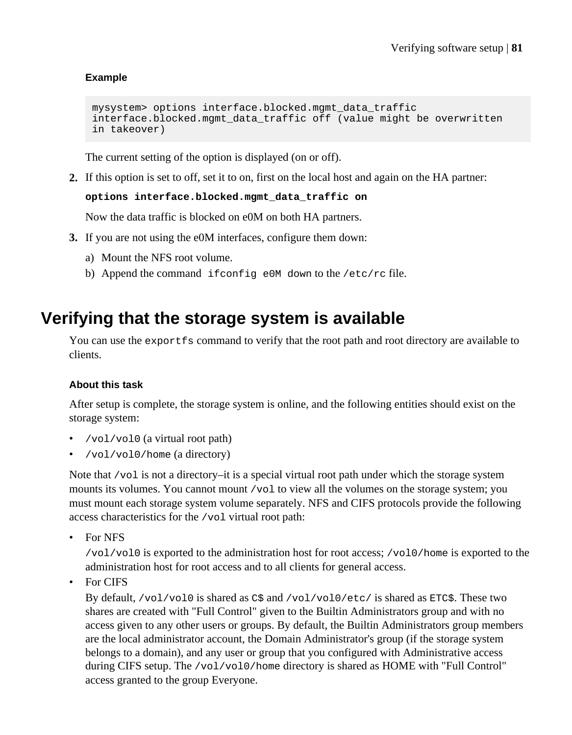#### **Example**

```
mysystem> options interface.blocked.mgmt_data_traffic
interface.blocked.mgmt_data_traffic off (value might be overwritten 
in takeover)
```
The current setting of the option is displayed (on or off).

**2.** If this option is set to off, set it to on, first on the local host and again on the HA partner:

**options interface.blocked.mgmt\_data\_traffic on**

Now the data traffic is blocked on e0M on both HA partners.

- **3.** If you are not using the e0M interfaces, configure them down:
	- a) Mount the NFS root volume.
	- b) Append the command ifconfig e0M down to the /etc/rc file.

## **Verifying that the storage system is available**

You can use the exportfs command to verify that the root path and root directory are available to clients.

#### **About this task**

After setup is complete, the storage system is online, and the following entities should exist on the storage system:

- /vol/vol0 (a virtual root path)
- /vol/vol0/home (a directory)

Note that /vol is not a directory–it is a special virtual root path under which the storage system mounts its volumes. You cannot mount /vol to view all the volumes on the storage system; you must mount each storage system volume separately. NFS and CIFS protocols provide the following access characteristics for the /vol virtual root path:

• For NFS

/vol/vol0 is exported to the administration host for root access; /vol0/home is exported to the administration host for root access and to all clients for general access.

• For CIFS

By default,  $/vol/vol0$  is shared as C\$ and  $/vol/vol0/etc/$  is shared as ETC\$. These two shares are created with "Full Control" given to the Builtin Administrators group and with no access given to any other users or groups. By default, the Builtin Administrators group members are the local administrator account, the Domain Administrator's group (if the storage system belongs to a domain), and any user or group that you configured with Administrative access during CIFS setup. The /vol/vol0/home directory is shared as HOME with "Full Control" access granted to the group Everyone.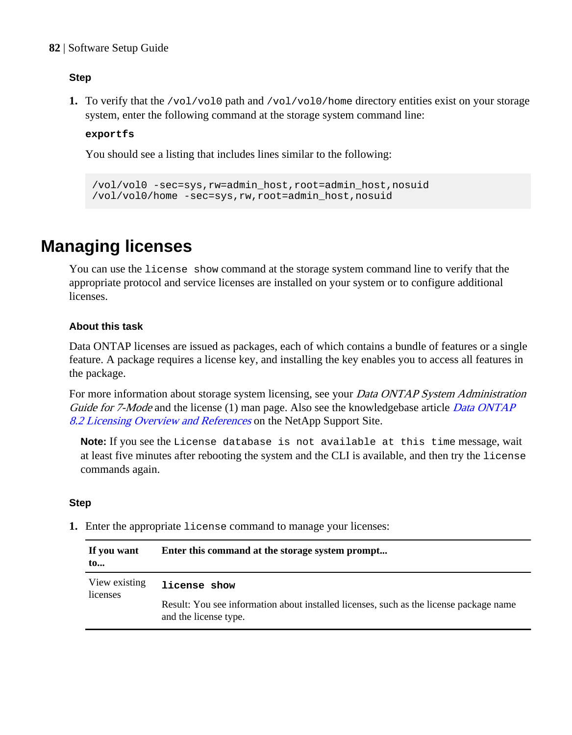#### <span id="page-81-0"></span>**82** | Software Setup Guide

#### **Step**

**1.** To verify that the /vol/vol0 path and /vol/vol0/home directory entities exist on your storage system, enter the following command at the storage system command line:

#### **exportfs**

You should see a listing that includes lines similar to the following:

```
/vol/vol0 -sec=sys,rw=admin_host,root=admin_host,nosuid
/vol/vol0/home -sec=sys,rw,root=admin_host,nosuid
```
## **Managing licenses**

You can use the license show command at the storage system command line to verify that the appropriate protocol and service licenses are installed on your system or to configure additional licenses.

#### **About this task**

Data ONTAP licenses are issued as packages, each of which contains a bundle of features or a single feature. A package requires a license key, and installing the key enables you to access all features in the package.

For more information about storage system licensing, see your *Data ONTAP System Administration* Guide for 7-Mode and the license (1) man page. Also see the knowledgebase article [Data ONTAP](https://kb.netapp.com/support/index?page=content&id=3013749) [8.2 Licensing Overview and References](https://kb.netapp.com/support/index?page=content&id=3013749) on the NetApp Support Site.

**Note:** If you see the License database is not available at this time message, wait at least five minutes after rebooting the system and the CLI is available, and then try the license commands again.

#### **Step**

**1.** Enter the appropriate license command to manage your licenses:

| If you want<br>$\mathbf{to}$ | Enter this command at the storage system prompt                                                                 |
|------------------------------|-----------------------------------------------------------------------------------------------------------------|
| View existing<br>licenses    | license show                                                                                                    |
|                              | Result: You see information about installed licenses, such as the license package name<br>and the license type. |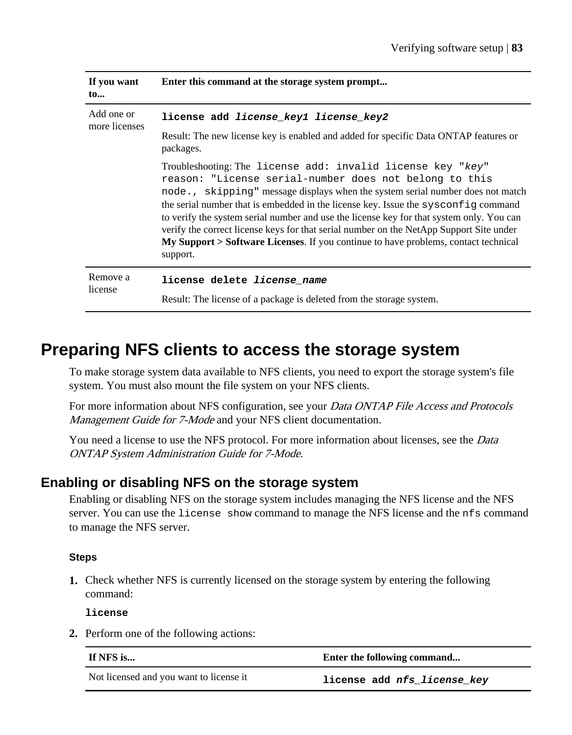| If you want<br>$\mathbf{to}$ | Enter this command at the storage system prompt                                                                                                                                                                                                                                                                                                                                                                                                                                                                                                                                                   |
|------------------------------|---------------------------------------------------------------------------------------------------------------------------------------------------------------------------------------------------------------------------------------------------------------------------------------------------------------------------------------------------------------------------------------------------------------------------------------------------------------------------------------------------------------------------------------------------------------------------------------------------|
| Add one or<br>more licenses  | license add <i>license keyl license key2</i><br>Result: The new license key is enabled and added for specific Data ONTAP features or<br>packages.                                                                                                                                                                                                                                                                                                                                                                                                                                                 |
|                              | Troubleshooting: The license add: invalid license key "key"<br>reason: "License serial-number does not belong to this<br>node., skipping" message displays when the system serial number does not match<br>the serial number that is embedded in the license key. Issue the sysconfig command<br>to verify the system serial number and use the license key for that system only. You can<br>verify the correct license keys for that serial number on the NetApp Support Site under<br><b>My Support &gt; Software Licenses.</b> If you continue to have problems, contact technical<br>support. |
| Remove a<br>license          | license delete <i>license name</i><br>Result: The license of a package is deleted from the storage system.                                                                                                                                                                                                                                                                                                                                                                                                                                                                                        |

## **Preparing NFS clients to access the storage system**

To make storage system data available to NFS clients, you need to export the storage system's file system. You must also mount the file system on your NFS clients.

For more information about NFS configuration, see your *Data ONTAP File Access and Protocols* Management Guide for 7-Mode and your NFS client documentation.

You need a license to use the NFS protocol. For more information about licenses, see the *Data* ONTAP System Administration Guide for 7-Mode.

### **Enabling or disabling NFS on the storage system**

Enabling or disabling NFS on the storage system includes managing the NFS license and the NFS server. You can use the license show command to manage the NFS license and the nfs command to manage the NFS server.

#### **Steps**

**1.** Check whether NFS is currently licensed on the storage system by entering the following command:

**license**

**2.** Perform one of the following actions:

| If NFS is                               | Enter the following command |
|-----------------------------------------|-----------------------------|
| Not licensed and you want to license it | license add nfs license key |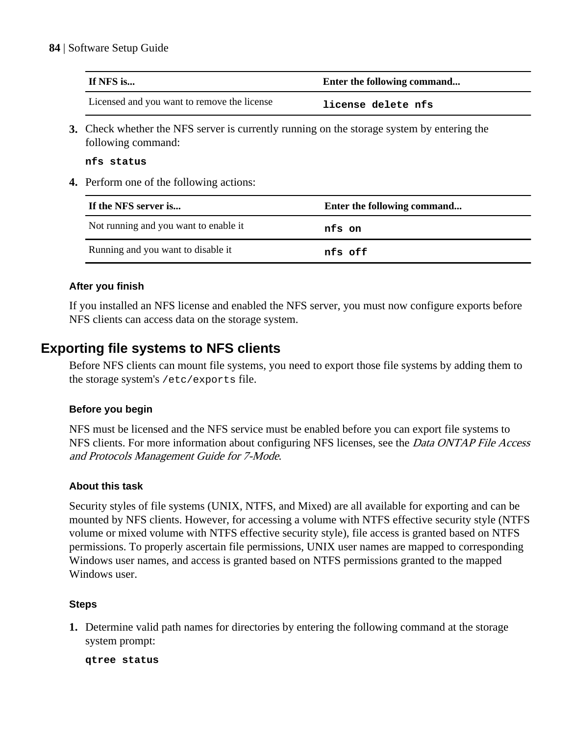#### **84** | Software Setup Guide

| If NFS is                                   | Enter the following command |
|---------------------------------------------|-----------------------------|
| Licensed and you want to remove the license | license delete nfs          |

**3.** Check whether the NFS server is currently running on the storage system by entering the following command:

**nfs status**

**4.** Perform one of the following actions:

| If the NFS server is                  | Enter the following command |
|---------------------------------------|-----------------------------|
| Not running and you want to enable it | nfs on                      |
| Running and you want to disable it    | nfs off                     |

#### **After you finish**

If you installed an NFS license and enabled the NFS server, you must now configure exports before NFS clients can access data on the storage system.

### **Exporting file systems to NFS clients**

Before NFS clients can mount file systems, you need to export those file systems by adding them to the storage system's /etc/exports file.

#### **Before you begin**

NFS must be licensed and the NFS service must be enabled before you can export file systems to NFS clients. For more information about configuring NFS licenses, see the *Data ONTAP File Access* and Protocols Management Guide for 7-Mode.

#### **About this task**

Security styles of file systems (UNIX, NTFS, and Mixed) are all available for exporting and can be mounted by NFS clients. However, for accessing a volume with NTFS effective security style (NTFS volume or mixed volume with NTFS effective security style), file access is granted based on NTFS permissions. To properly ascertain file permissions, UNIX user names are mapped to corresponding Windows user names, and access is granted based on NTFS permissions granted to the mapped Windows user.

#### **Steps**

**1.** Determine valid path names for directories by entering the following command at the storage system prompt:

**qtree status**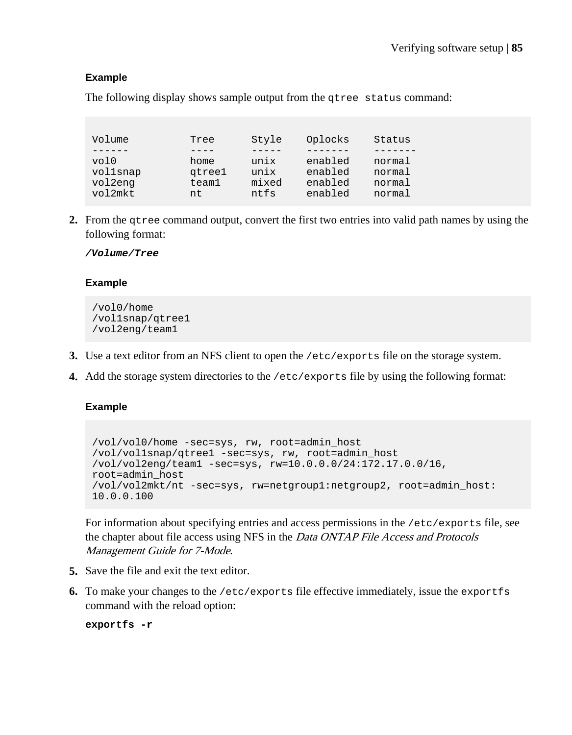#### **Example**

The following display shows sample output from the qtree status command:

| Volume   | Tree   | Style | Oplocks | Status |
|----------|--------|-------|---------|--------|
|          |        |       |         |        |
| vol0     | home   | unix  | enabled | normal |
| vollsnap | gtree1 | unix  | enabled | normal |
| vol2enq  | team1  | mixed | enabled | normal |
| vol2mkt  | nt.    | ntfs  | enabled | normal |

**2.** From the qtree command output, convert the first two entries into valid path names by using the following format:

#### **/Volume/Tree**

#### **Example**

```
/vol0/home
/vol1snap/qtree1
/vol2eng/team1
```
- **3.** Use a text editor from an NFS client to open the /etc/exports file on the storage system.
- **4.** Add the storage system directories to the /etc/exports file by using the following format:

#### **Example**

```
/vol/vol0/home -sec=sys, rw, root=admin_host
/vol/vol1snap/qtree1 -sec=sys, rw, root=admin_host
/vol/vol2eng/team1 -sec=sys, rw=10.0.0.0/24:172.17.0.0/16, 
root=admin_host
/vol/vol2mkt/nt -sec=sys, rw=netgroup1:netgroup2, root=admin_host:
10.0.0.100
```
For information about specifying entries and access permissions in the /etc/exports file, see the chapter about file access using NFS in the Data ONTAP File Access and Protocols Management Guide for 7-Mode.

- **5.** Save the file and exit the text editor.
- **6.** To make your changes to the /etc/exports file effective immediately, issue the exportfs command with the reload option:

```
exportfs -r
```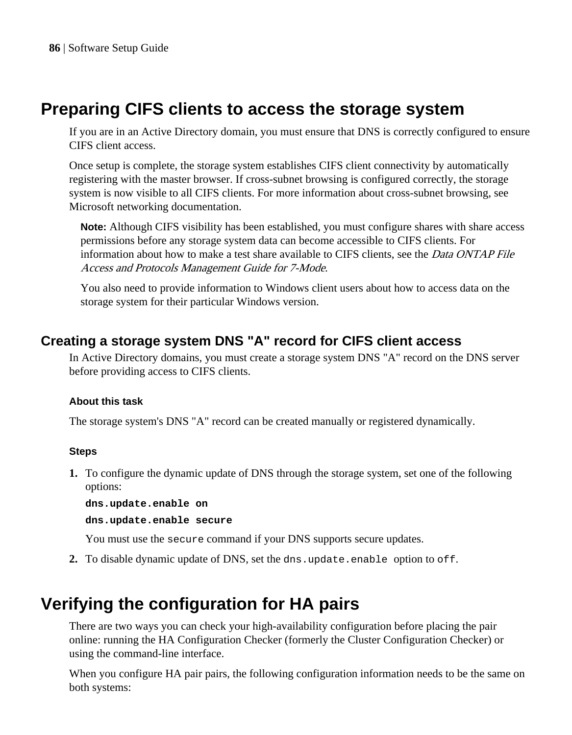## **Preparing CIFS clients to access the storage system**

If you are in an Active Directory domain, you must ensure that DNS is correctly configured to ensure CIFS client access.

Once setup is complete, the storage system establishes CIFS client connectivity by automatically registering with the master browser. If cross-subnet browsing is configured correctly, the storage system is now visible to all CIFS clients. For more information about cross-subnet browsing, see Microsoft networking documentation.

**Note:** Although CIFS visibility has been established, you must configure shares with share access permissions before any storage system data can become accessible to CIFS clients. For information about how to make a test share available to CIFS clients, see the *Data ONTAP File* Access and Protocols Management Guide for 7-Mode.

You also need to provide information to Windows client users about how to access data on the storage system for their particular Windows version.

### **Creating a storage system DNS "A" record for CIFS client access**

In Active Directory domains, you must create a storage system DNS "A" record on the DNS server before providing access to CIFS clients.

#### **About this task**

The storage system's DNS "A" record can be created manually or registered dynamically.

#### **Steps**

**1.** To configure the dynamic update of DNS through the storage system, set one of the following options:

**dns.update.enable on**

**dns.update.enable secure**

You must use the secure command if your DNS supports secure updates.

**2.** To disable dynamic update of DNS, set the dns.update.enable option to off.

## **Verifying the configuration for HA pairs**

There are two ways you can check your high-availability configuration before placing the pair online: running the HA Configuration Checker (formerly the Cluster Configuration Checker) or using the command-line interface.

When you configure HA pair pairs, the following configuration information needs to be the same on both systems: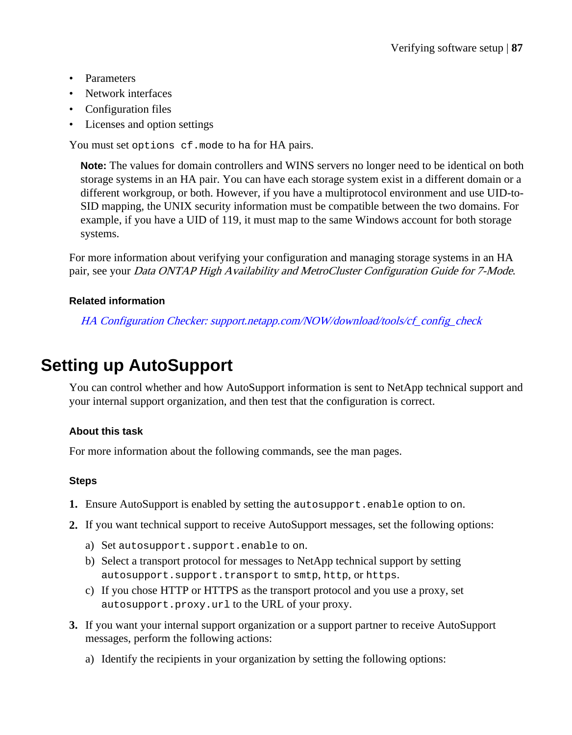- Parameters
- Network interfaces
- Configuration files
- Licenses and option settings

You must set options cf.mode to ha for HA pairs.

**Note:** The values for domain controllers and WINS servers no longer need to be identical on both storage systems in an HA pair. You can have each storage system exist in a different domain or a different workgroup, or both. However, if you have a multiprotocol environment and use UID-to-SID mapping, the UNIX security information must be compatible between the two domains. For example, if you have a UID of 119, it must map to the same Windows account for both storage systems.

For more information about verifying your configuration and managing storage systems in an HA pair, see your Data ONTAP High Availability and MetroCluster Configuration Guide for 7-Mode.

#### **Related information**

[HA Configuration Checker: support.netapp.com/NOW/download/tools/cf\\_config\\_check](http://support.netapp.com/NOW/download/tools/cf_config_check/)

## **Setting up AutoSupport**

You can control whether and how AutoSupport information is sent to NetApp technical support and your internal support organization, and then test that the configuration is correct.

#### **About this task**

For more information about the following commands, see the man pages.

#### **Steps**

- **1.** Ensure AutoSupport is enabled by setting the autosupport.enable option to on.
- **2.** If you want technical support to receive AutoSupport messages, set the following options:
	- a) Set autosupport.support.enable to on.
	- b) Select a transport protocol for messages to NetApp technical support by setting autosupport.support.transport to smtp, http, or https.
	- c) If you chose HTTP or HTTPS as the transport protocol and you use a proxy, set autosupport.proxy.url to the URL of your proxy.
- **3.** If you want your internal support organization or a support partner to receive AutoSupport messages, perform the following actions:
	- a) Identify the recipients in your organization by setting the following options: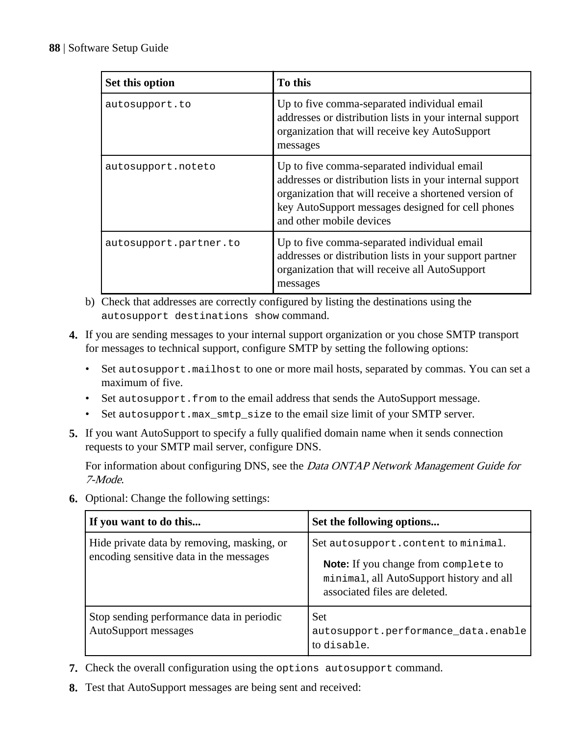| Set this option        | To this                                                                                                                                                                                                                                           |
|------------------------|---------------------------------------------------------------------------------------------------------------------------------------------------------------------------------------------------------------------------------------------------|
| autosupport.to         | Up to five comma-separated individual email<br>addresses or distribution lists in your internal support<br>organization that will receive key AutoSupport<br>messages                                                                             |
| autosupport.noteto     | Up to five comma-separated individual email<br>addresses or distribution lists in your internal support<br>organization that will receive a shortened version of<br>key AutoSupport messages designed for cell phones<br>and other mobile devices |
| autosupport.partner.to | Up to five comma-separated individual email<br>addresses or distribution lists in your support partner<br>organization that will receive all AutoSupport<br>messages                                                                              |

- b) Check that addresses are correctly configured by listing the destinations using the autosupport destinations show command.
- **4.** If you are sending messages to your internal support organization or you chose SMTP transport for messages to technical support, configure SMTP by setting the following options:
	- Set autosupport.mailhost to one or more mail hosts, separated by commas. You can set a maximum of five.
	- Set autosupport.from to the email address that sends the AutoSupport message.
	- Set autosupport.max\_smtp\_size to the email size limit of your SMTP server.
- **5.** If you want AutoSupport to specify a fully qualified domain name when it sends connection requests to your SMTP mail server, configure DNS.

For information about configuring DNS, see the *Data ONTAP Network Management Guide for* 7-Mode.

**6.** Optional: Change the following settings:

| If you want to do this                                                                | Set the following options                                                                                                                                |
|---------------------------------------------------------------------------------------|----------------------------------------------------------------------------------------------------------------------------------------------------------|
| Hide private data by removing, masking, or<br>encoding sensitive data in the messages | Set autosupport.content to minimal.<br>Note: If you change from complete to<br>minimal, all AutoSupport history and all<br>associated files are deleted. |
| Stop sending performance data in periodic<br><b>AutoSupport messages</b>              | <b>Set</b><br>autosupport.performance_data.enable<br>to disable.                                                                                         |

- **7.** Check the overall configuration using the options autosupport command.
- **8.** Test that AutoSupport messages are being sent and received: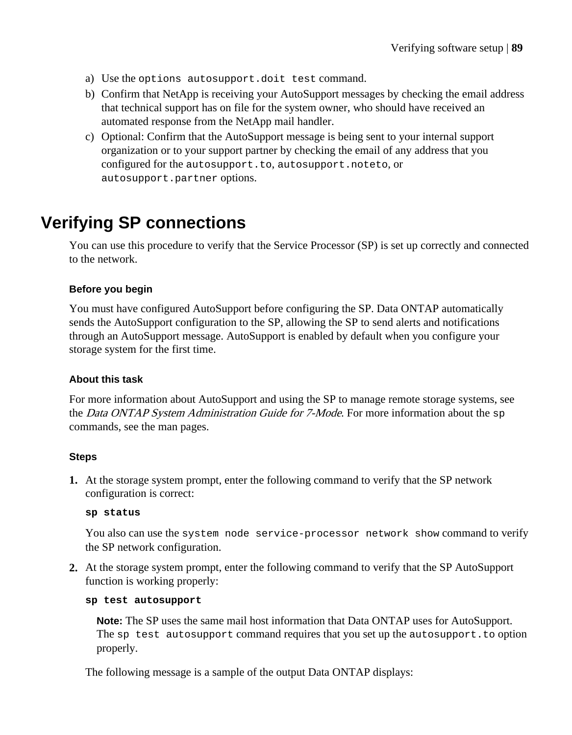- a) Use the options autosupport.doit test command.
- b) Confirm that NetApp is receiving your AutoSupport messages by checking the email address that technical support has on file for the system owner, who should have received an automated response from the NetApp mail handler.
- c) Optional: Confirm that the AutoSupport message is being sent to your internal support organization or to your support partner by checking the email of any address that you configured for the autosupport.to, autosupport.noteto, or autosupport.partner options.

## **Verifying SP connections**

You can use this procedure to verify that the Service Processor (SP) is set up correctly and connected to the network.

#### **Before you begin**

You must have configured AutoSupport before configuring the SP. Data ONTAP automatically sends the AutoSupport configuration to the SP, allowing the SP to send alerts and notifications through an AutoSupport message. AutoSupport is enabled by default when you configure your storage system for the first time.

#### **About this task**

For more information about AutoSupport and using the SP to manage remote storage systems, see the *Data ONTAP System Administration Guide for 7-Mode*. For more information about the sp commands, see the man pages.

#### **Steps**

**1.** At the storage system prompt, enter the following command to verify that the SP network configuration is correct:

#### **sp status**

You also can use the system node service-processor network show command to verify the SP network configuration.

**2.** At the storage system prompt, enter the following command to verify that the SP AutoSupport function is working properly:

#### **sp test autosupport**

**Note:** The SP uses the same mail host information that Data ONTAP uses for AutoSupport. The sp test autosupport command requires that you set up the autosupport. to option properly.

The following message is a sample of the output Data ONTAP displays: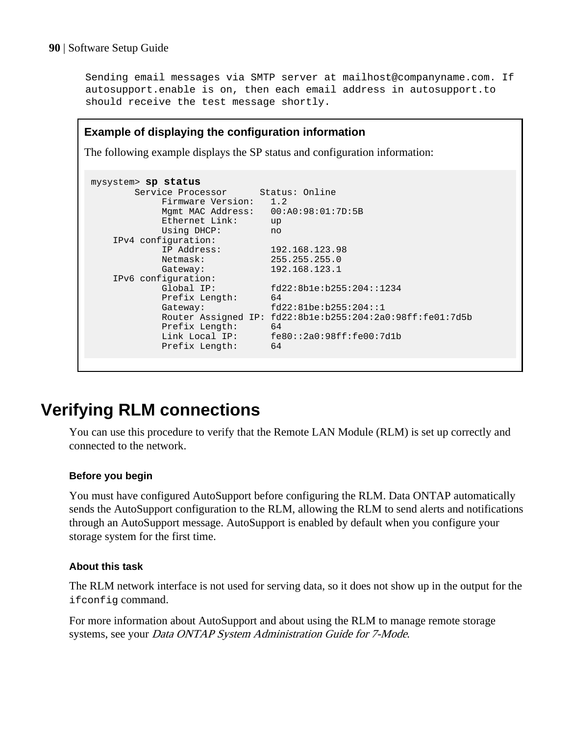Sending email messages via SMTP server at mailhost@companyname.com. If autosupport.enable is on, then each email address in autosupport.to should receive the test message shortly.

#### **Example of displaying the configuration information**

The following example displays the SP status and configuration information:

```
mysystem> sp status
     Service Processor Status: Online
           Firmware Version: 1.2
           Mgmt MAC Address: 00:A0:98:01:7D:5B
           Ethernet Link: up
           Using DHCP: no
    IPv4 configuration:
 IP Address: 192.168.123.98
Netmask: 255.255.255.0
          Netmask: 255.255.255.0<br>Gateway: 192.168.123.1
    IPv6 configuration:
 Global IP: fd22:8b1e:b255:204::1234
Prefix Length: 64
Gateway: fd22:81be:b255:204::1
          Router Assigned IP: fd22:8b1e:b255:204:2a0:98ff:fe01:7d5b
Prefix Length: 64
                          Link Local IP: fe80::2a0:98ff:fe00:7d1b
Prefix Length: 64
```
## **Verifying RLM connections**

You can use this procedure to verify that the Remote LAN Module (RLM) is set up correctly and connected to the network.

#### **Before you begin**

You must have configured AutoSupport before configuring the RLM. Data ONTAP automatically sends the AutoSupport configuration to the RLM, allowing the RLM to send alerts and notifications through an AutoSupport message. AutoSupport is enabled by default when you configure your storage system for the first time.

#### **About this task**

The RLM network interface is not used for serving data, so it does not show up in the output for the ifconfig command.

For more information about AutoSupport and about using the RLM to manage remote storage systems, see your Data ONTAP System Administration Guide for 7-Mode.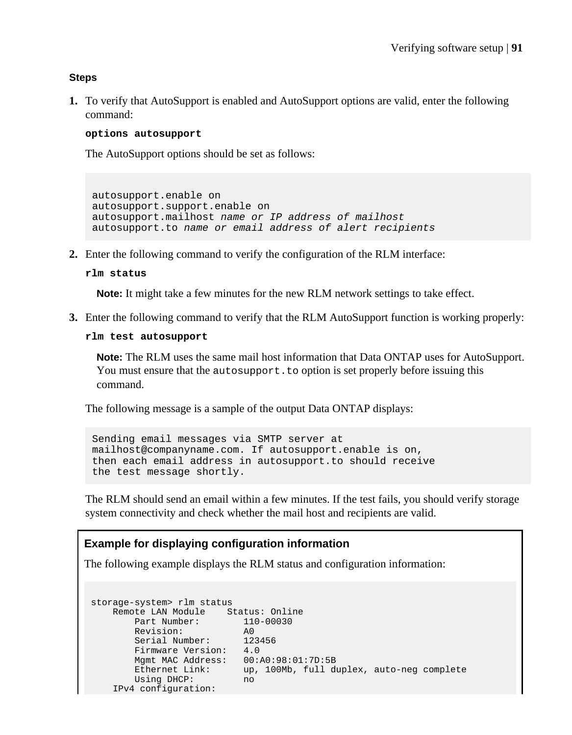#### **Steps**

**1.** To verify that AutoSupport is enabled and AutoSupport options are valid, enter the following command:

#### **options autosupport**

The AutoSupport options should be set as follows:

autosupport.enable on autosupport.support.enable on autosupport.mailhost name or IP address of mailhost autosupport.to name or email address of alert recipients

**2.** Enter the following command to verify the configuration of the RLM interface:

#### **rlm status**

**Note:** It might take a few minutes for the new RLM network settings to take effect.

**3.** Enter the following command to verify that the RLM AutoSupport function is working properly:

```
rlm test autosupport
```
**Note:** The RLM uses the same mail host information that Data ONTAP uses for AutoSupport. You must ensure that the autosupport. to option is set properly before issuing this command.

The following message is a sample of the output Data ONTAP displays:

```
Sending email messages via SMTP server at
mailhost@companyname.com. If autosupport.enable is on, 
then each email address in autosupport.to should receive 
the test message shortly.
```
The RLM should send an email within a few minutes. If the test fails, you should verify storage system connectivity and check whether the mail host and recipients are valid.

#### **Example for displaying configuration information**

The following example displays the RLM status and configuration information:

```
storage-system> rlm status
    Remote LAN Module Status: Online
Part Number: 110-00030
 Revision: A0
 Serial Number: 123456
 Firmware Version: 4.0
      Mgmt MAC Address: 00:A0:98:01:7D:5B
 Ethernet Link: up, 100Mb, full duplex, auto-neg complete
 Using DHCP: no
    IPv4 configuration:
```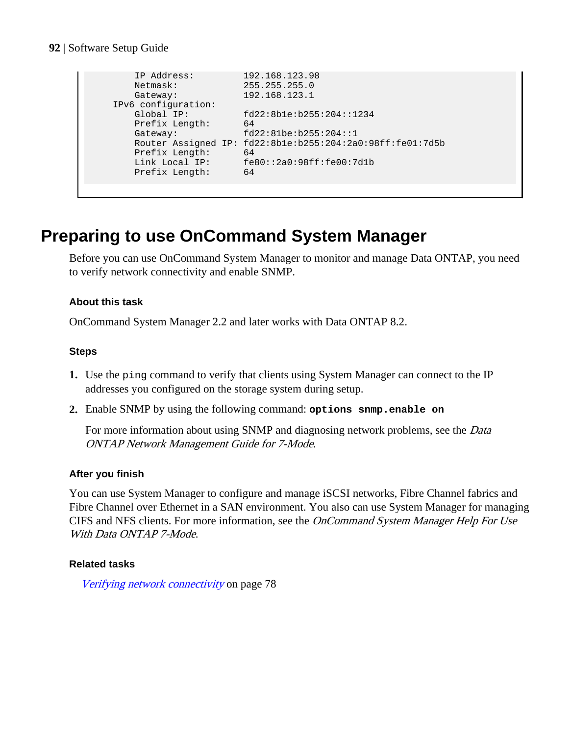```
 IP Address: 192.168.123.98
 Netmask: 255.255.255.0
Gateway: 192.168.123.1
   IPv6 configuration:
 Global IP: fd22:8b1e:b255:204::1234
Prefix Length: 64
     Gateway: fd22:81be:b255:204::1
      Router Assigned IP: fd22:8b1e:b255:204:2a0:98ff:fe01:7d5b
Prefix Length: 64
 Link Local IP: fe80::2a0:98ff:fe00:7d1b
Prefix Length: 64
```
## **Preparing to use OnCommand System Manager**

Before you can use OnCommand System Manager to monitor and manage Data ONTAP, you need to verify network connectivity and enable SNMP.

#### **About this task**

OnCommand System Manager 2.2 and later works with Data ONTAP 8.2.

#### **Steps**

- **1.** Use the ping command to verify that clients using System Manager can connect to the IP addresses you configured on the storage system during setup.
- **2.** Enable SNMP by using the following command: **options snmp.enable on**

For more information about using SNMP and diagnosing network problems, see the *Data* ONTAP Network Management Guide for 7-Mode.

#### **After you finish**

You can use System Manager to configure and manage iSCSI networks, Fibre Channel fabrics and Fibre Channel over Ethernet in a SAN environment. You also can use System Manager for managing CIFS and NFS clients. For more information, see the OnCommand System Manager Help For Use With Data ONTAP 7-Mode.

#### **Related tasks**

[Verifying network connectivity](#page-77-0) on page 78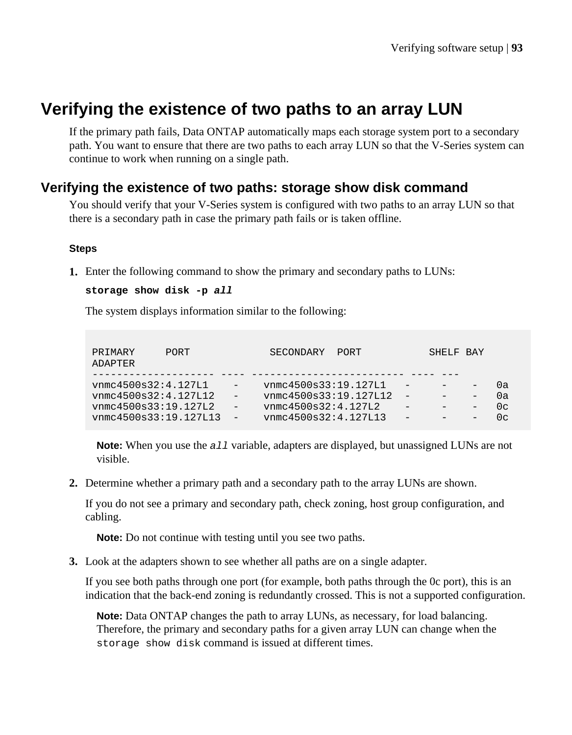## **Verifying the existence of two paths to an array LUN**

If the primary path fails, Data ONTAP automatically maps each storage system port to a secondary path. You want to ensure that there are two paths to each array LUN so that the V-Series system can continue to work when running on a single path.

### **Verifying the existence of two paths: storage show disk command**

You should verify that your V-Series system is configured with two paths to an array LUN so that there is a secondary path in case the primary path fails or is taken offline.

#### **Steps**

**1.** Enter the following command to show the primary and secondary paths to LUNs:

```
storage show disk -p all
```
The system displays information similar to the following:

| PRIMARY<br>ADAPTER    | <b>PORT</b> |                          | SECONDARY             | PORT |     | SHELF BAY                |                   |                |
|-----------------------|-------------|--------------------------|-----------------------|------|-----|--------------------------|-------------------|----------------|
|                       |             |                          |                       |      |     |                          |                   |                |
| vmcc4500s32:4.127L1   |             |                          | vnmc4500s33:19.127L1  |      | -   | $\overline{\phantom{0}}$ |                   | Ωa             |
| vnmc4500s32:4.127L12  |             |                          | vnmc4500s33:19.127L12 |      | $-$ | $\overline{\phantom{0}}$ |                   | Ωa             |
| vnmc4500s33:19.127L2  |             | $-$                      | vnmc4500s32:4.127L2   |      |     | $\overline{\phantom{0}}$ | $\qquad \qquad -$ | 0 <sup>c</sup> |
| vnmc4500s33:19.127L13 |             | $\overline{\phantom{a}}$ | vnmc4500s32:4.127L13  |      | -   | $\overline{\phantom{0}}$ |                   | ∩∼             |

**Note:** When you use the all variable, adapters are displayed, but unassigned LUNs are not visible.

**2.** Determine whether a primary path and a secondary path to the array LUNs are shown.

If you do not see a primary and secondary path, check zoning, host group configuration, and cabling.

**Note:** Do not continue with testing until you see two paths.

**3.** Look at the adapters shown to see whether all paths are on a single adapter.

If you see both paths through one port (for example, both paths through the 0c port), this is an indication that the back-end zoning is redundantly crossed. This is not a supported configuration.

**Note:** Data ONTAP changes the path to array LUNs, as necessary, for load balancing. Therefore, the primary and secondary paths for a given array LUN can change when the storage show disk command is issued at different times.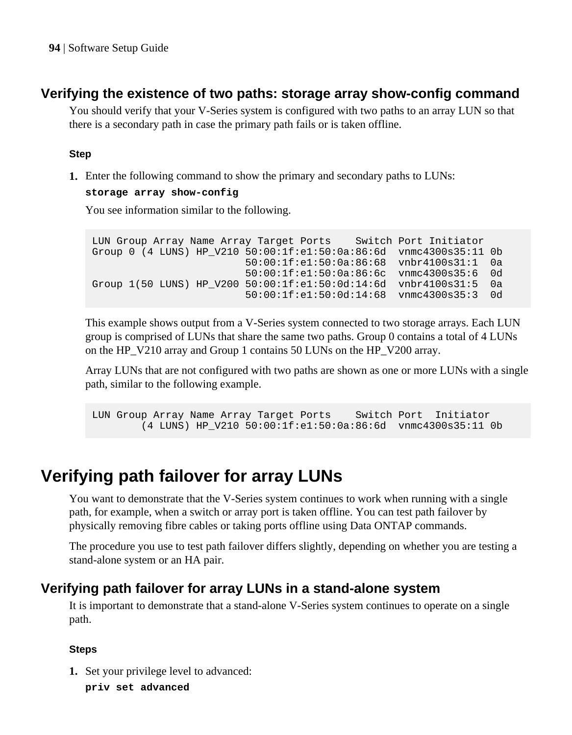### **Verifying the existence of two paths: storage array show-config command**

You should verify that your V-Series system is configured with two paths to an array LUN so that there is a secondary path in case the primary path fails or is taken offline.

#### **Step**

**1.** Enter the following command to show the primary and secondary paths to LUNs:

#### **storage array show-config**

You see information similar to the following.

```
LUN Group Array Name Array Target Ports Switch Port Initiator
Group 0 (4 LUNS) HP_V210 50:00:1f:e1:50:0a:86:6d vnmc4300s35:11 0b
                         50:00:1f:e1:50:0a:86:68 vnbr4100s31:1 0a
                         50:00:1f:e1:50:0a:86:6c vnmc4300s35:6 0d
Group 1(50 LUNS) HP_V200 50:00:1f:e1:50:0d:14:6d vnbr4100s31:5 0a
                         50:00:1f:e1:50:0d:14:68 vnmc4300s35:3 0d
```
This example shows output from a V-Series system connected to two storage arrays. Each LUN group is comprised of LUNs that share the same two paths. Group 0 contains a total of 4 LUNs on the HP\_V210 array and Group 1 contains 50 LUNs on the HP\_V200 array.

Array LUNs that are not configured with two paths are shown as one or more LUNs with a single path, similar to the following example.

LUN Group Array Name Array Target Ports Switch Port Initiator (4 LUNS) HP\_V210 50:00:1f:e1:50:0a:86:6d vnmc4300s35:11 0b

## **Verifying path failover for array LUNs**

You want to demonstrate that the V-Series system continues to work when running with a single path, for example, when a switch or array port is taken offline. You can test path failover by physically removing fibre cables or taking ports offline using Data ONTAP commands.

The procedure you use to test path failover differs slightly, depending on whether you are testing a stand-alone system or an HA pair.

### **Verifying path failover for array LUNs in a stand-alone system**

It is important to demonstrate that a stand-alone V-Series system continues to operate on a single path.

#### **Steps**

- **1.** Set your privilege level to advanced:
	- **priv set advanced**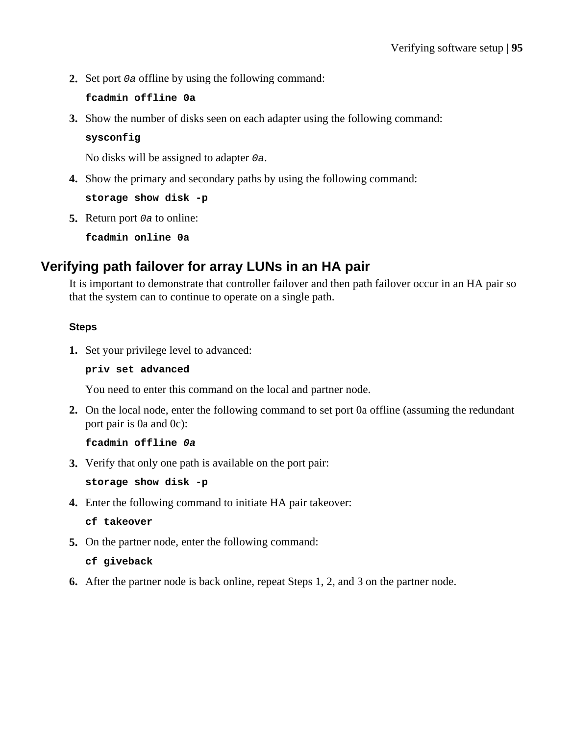**2.** Set port 0a offline by using the following command:

#### **fcadmin offline 0a**

**3.** Show the number of disks seen on each adapter using the following command:

#### **sysconfig**

No disks will be assigned to adapter 0a.

**4.** Show the primary and secondary paths by using the following command:

**storage show disk -p**

**5.** Return port *o* a to online:

**fcadmin online 0a**

### **Verifying path failover for array LUNs in an HA pair**

It is important to demonstrate that controller failover and then path failover occur in an HA pair so that the system can to continue to operate on a single path.

#### **Steps**

**1.** Set your privilege level to advanced:

#### **priv set advanced**

You need to enter this command on the local and partner node.

**2.** On the local node, enter the following command to set port 0a offline (assuming the redundant port pair is 0a and 0c):

#### **fcadmin offline 0a**

**3.** Verify that only one path is available on the port pair:

**storage show disk -p**

**4.** Enter the following command to initiate HA pair takeover:

**cf takeover**

**5.** On the partner node, enter the following command:

#### **cf giveback**

**6.** After the partner node is back online, repeat Steps 1, 2, and 3 on the partner node.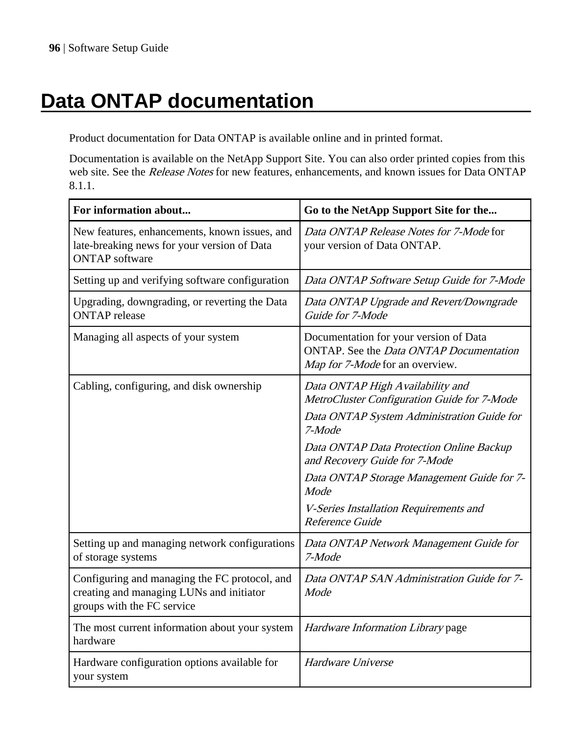# **Data ONTAP documentation**

Product documentation for Data ONTAP is available online and in printed format.

Documentation is available on the NetApp Support Site. You can also order printed copies from this web site. See the Release Notes for new features, enhancements, and known issues for Data ONTAP 8.1.1.

| For information about                                                                                                   | Go to the NetApp Support Site for the                                                                                                                                                                                                                                                                                                   |
|-------------------------------------------------------------------------------------------------------------------------|-----------------------------------------------------------------------------------------------------------------------------------------------------------------------------------------------------------------------------------------------------------------------------------------------------------------------------------------|
| New features, enhancements, known issues, and<br>late-breaking news for your version of Data<br><b>ONTAP</b> software   | Data ONTAP Release Notes for 7-Mode for<br>your version of Data ONTAP.                                                                                                                                                                                                                                                                  |
| Setting up and verifying software configuration                                                                         | Data ONTAP Software Setup Guide for 7-Mode                                                                                                                                                                                                                                                                                              |
| Upgrading, downgrading, or reverting the Data<br><b>ONTAP</b> release                                                   | Data ONTAP Upgrade and Revert/Downgrade<br>Guide for 7-Mode                                                                                                                                                                                                                                                                             |
| Managing all aspects of your system                                                                                     | Documentation for your version of Data<br>ONTAP. See the <i>Data ONTAP Documentation</i><br>Map for 7-Mode for an overview.                                                                                                                                                                                                             |
| Cabling, configuring, and disk ownership                                                                                | Data ONTAP High Availability and<br>MetroCluster Configuration Guide for 7-Mode<br>Data ONTAP System Administration Guide for<br>7-Mode<br>Data ONTAP Data Protection Online Backup<br>and Recovery Guide for 7-Mode<br>Data ONTAP Storage Management Guide for 7-<br>Mode<br>V-Series Installation Requirements and<br>Reference Guide |
| Setting up and managing network configurations<br>of storage systems                                                    | Data ONTAP Network Management Guide for<br>7-Mode                                                                                                                                                                                                                                                                                       |
| Configuring and managing the FC protocol, and<br>creating and managing LUNs and initiator<br>groups with the FC service | Data ONTAP SAN Administration Guide for 7-<br>Mode                                                                                                                                                                                                                                                                                      |
| The most current information about your system<br>hardware                                                              | Hardware Information Library page                                                                                                                                                                                                                                                                                                       |
| Hardware configuration options available for<br>your system                                                             | Hardware Universe                                                                                                                                                                                                                                                                                                                       |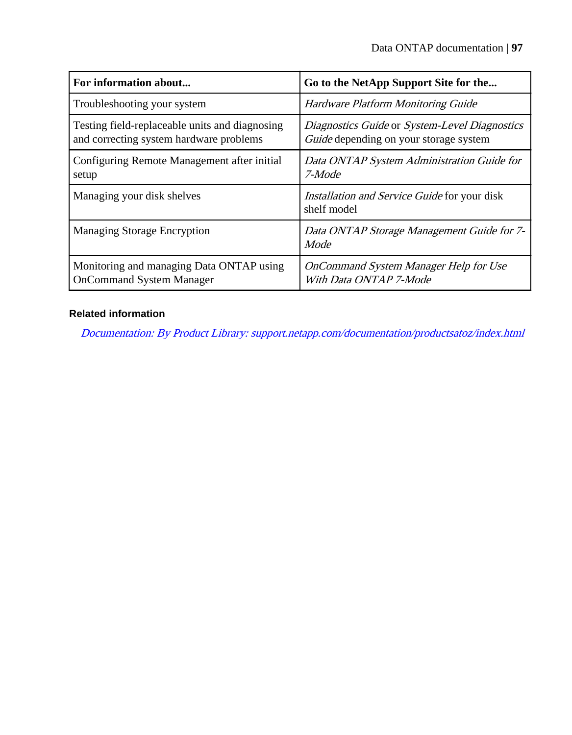| For information about                                                                     | Go to the NetApp Support Site for the                                                          |
|-------------------------------------------------------------------------------------------|------------------------------------------------------------------------------------------------|
| Troubleshooting your system                                                               | <b>Hardware Platform Monitoring Guide</b>                                                      |
| Testing field-replaceable units and diagnosing<br>and correcting system hardware problems | Diagnostics Guide or System-Level Diagnostics<br><i>Guide</i> depending on your storage system |
| Configuring Remote Management after initial<br>setup                                      | Data ONTAP System Administration Guide for<br>7-Mode                                           |
| Managing your disk shelves                                                                | <i>Installation and Service Guide</i> for your disk<br>shelf model                             |
| Managing Storage Encryption                                                               | Data ONTAP Storage Management Guide for 7-<br>Mode                                             |
| Monitoring and managing Data ONTAP using<br><b>OnCommand System Manager</b>               | OnCommand System Manager Help for Use<br>With Data ONTAP 7-Mode                                |

### **Related information**

[Documentation: By Product Library: support.netapp.com/documentation/productsatoz/index.html](https://support.netapp.com/documentation/productsatoz/index.html)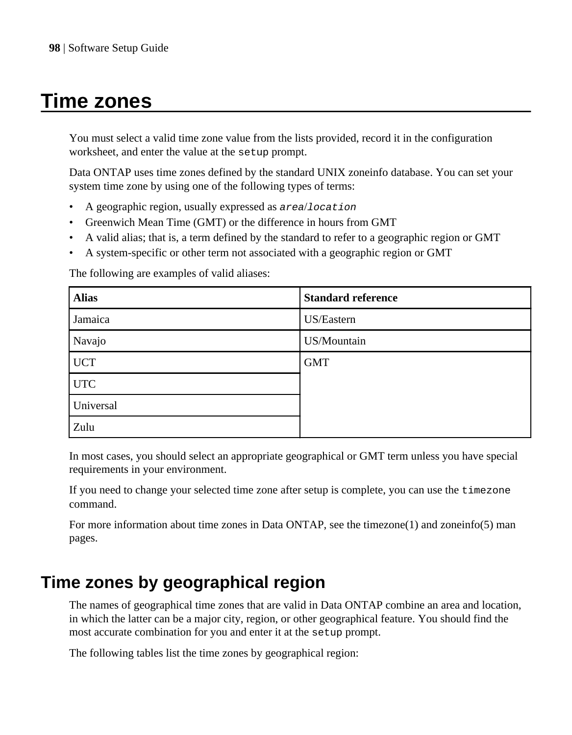## **Time zones**

You must select a valid time zone value from the lists provided, record it in the configuration worksheet, and enter the value at the setup prompt.

Data ONTAP uses time zones defined by the standard UNIX zoneinfo database. You can set your system time zone by using one of the following types of terms:

- A geographic region, usually expressed as area/location
- Greenwich Mean Time (GMT) or the difference in hours from GMT
- A valid alias; that is, a term defined by the standard to refer to a geographic region or GMT
- A system-specific or other term not associated with a geographic region or GMT

The following are examples of valid aliases:

| <b>Alias</b> | <b>Standard reference</b> |
|--------------|---------------------------|
| Jamaica      | US/Eastern                |
| Navajo       | US/Mountain               |
| <b>UCT</b>   | <b>GMT</b>                |
| <b>UTC</b>   |                           |
| Universal    |                           |
| Zulu         |                           |

In most cases, you should select an appropriate geographical or GMT term unless you have special requirements in your environment.

If you need to change your selected time zone after setup is complete, you can use the timezone command.

For more information about time zones in Data ONTAP, see the timezone(1) and zoneinfo(5) man pages.

## **Time zones by geographical region**

The names of geographical time zones that are valid in Data ONTAP combine an area and location, in which the latter can be a major city, region, or other geographical feature. You should find the most accurate combination for you and enter it at the setup prompt.

The following tables list the time zones by geographical region: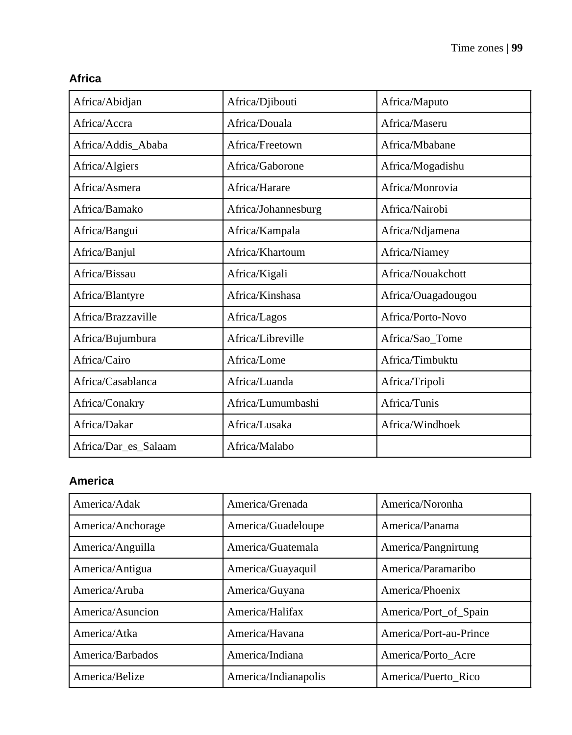| Africa/Abidjan       | Africa/Djibouti     | Africa/Maputo      |
|----------------------|---------------------|--------------------|
| Africa/Accra         | Africa/Douala       | Africa/Maseru      |
| Africa/Addis_Ababa   | Africa/Freetown     | Africa/Mbabane     |
| Africa/Algiers       | Africa/Gaborone     | Africa/Mogadishu   |
| Africa/Asmera        | Africa/Harare       | Africa/Monrovia    |
| Africa/Bamako        | Africa/Johannesburg | Africa/Nairobi     |
| Africa/Bangui        | Africa/Kampala      | Africa/Ndjamena    |
| Africa/Banjul        | Africa/Khartoum     | Africa/Niamey      |
| Africa/Bissau        | Africa/Kigali       | Africa/Nouakchott  |
| Africa/Blantyre      | Africa/Kinshasa     | Africa/Ouagadougou |
| Africa/Brazzaville   | Africa/Lagos        | Africa/Porto-Novo  |
| Africa/Bujumbura     | Africa/Libreville   | Africa/Sao_Tome    |
| Africa/Cairo         | Africa/Lome         | Africa/Timbuktu    |
| Africa/Casablanca    | Africa/Luanda       | Africa/Tripoli     |
| Africa/Conakry       | Africa/Lumumbashi   | Africa/Tunis       |
| Africa/Dakar         | Africa/Lusaka       | Africa/Windhoek    |
| Africa/Dar_es_Salaam | Africa/Malabo       |                    |

### **Africa**

## **America**

| America/Adak      | America/Grenada      | America/Noronha        |
|-------------------|----------------------|------------------------|
| America/Anchorage | America/Guadeloupe   | America/Panama         |
| America/Anguilla  | America/Guatemala    | America/Pangnirtung    |
| America/Antigua   | America/Guayaquil    | America/Paramaribo     |
| America/Aruba     | America/Guyana       | America/Phoenix        |
| America/Asuncion  | America/Halifax      | America/Port_of_Spain  |
| America/Atka      | America/Havana       | America/Port-au-Prince |
| America/Barbados  | America/Indiana      | America/Porto Acre     |
| America/Belize    | America/Indianapolis | America/Puerto Rico    |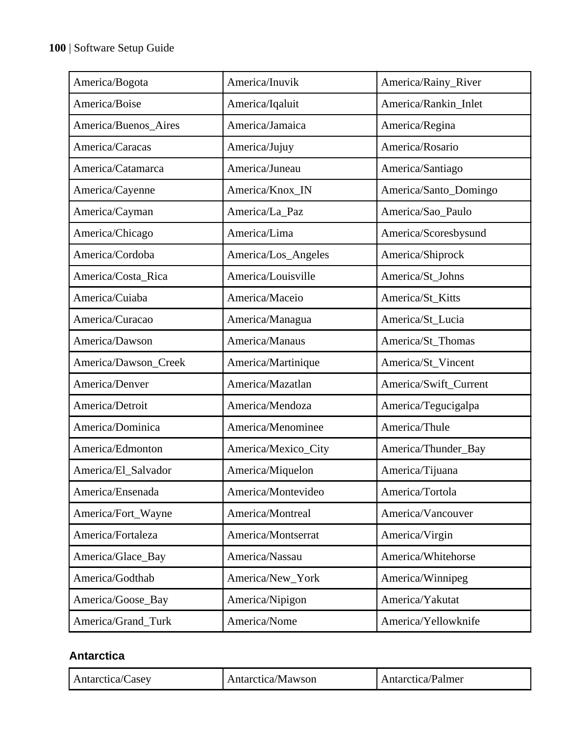| America/Bogota       | America/Inuvik      | America/Rainy_River   |
|----------------------|---------------------|-----------------------|
| America/Boise        | America/Iqaluit     | America/Rankin_Inlet  |
| America/Buenos_Aires | America/Jamaica     | America/Regina        |
| America/Caracas      | America/Jujuy       | America/Rosario       |
| America/Catamarca    | America/Juneau      | America/Santiago      |
| America/Cayenne      | America/Knox_IN     | America/Santo_Domingo |
| America/Cayman       | America/La_Paz      | America/Sao_Paulo     |
| America/Chicago      | America/Lima        | America/Scoresbysund  |
| America/Cordoba      | America/Los_Angeles | America/Shiprock      |
| America/Costa_Rica   | America/Louisville  | America/St_Johns      |
| America/Cuiaba       | America/Maceio      | America/St_Kitts      |
| America/Curacao      | America/Managua     | America/St_Lucia      |
| America/Dawson       | America/Manaus      | America/St_Thomas     |
| America/Dawson_Creek | America/Martinique  | America/St_Vincent    |
| America/Denver       | America/Mazatlan    | America/Swift_Current |
| America/Detroit      | America/Mendoza     | America/Tegucigalpa   |
| America/Dominica     | America/Menominee   | America/Thule         |
| America/Edmonton     | America/Mexico_City | America/Thunder_Bay   |
| America/El_Salvador  | America/Miquelon    | America/Tijuana       |
| America/Ensenada     | America/Montevideo  | America/Tortola       |
| America/Fort_Wayne   | America/Montreal    | America/Vancouver     |
| America/Fortaleza    | America/Montserrat  | America/Virgin        |
| America/Glace_Bay    | America/Nassau      | America/Whitehorse    |
| America/Godthab      | America/New_York    | America/Winnipeg      |
| America/Goose_Bay    | America/Nipigon     | America/Yakutat       |
| America/Grand_Turk   | America/Nome        | America/Yellowknife   |

### **Antarctica**

| Antarctica/Casev | Antarctica/Mawson | Antarctica/Palmer |  |
|------------------|-------------------|-------------------|--|
|------------------|-------------------|-------------------|--|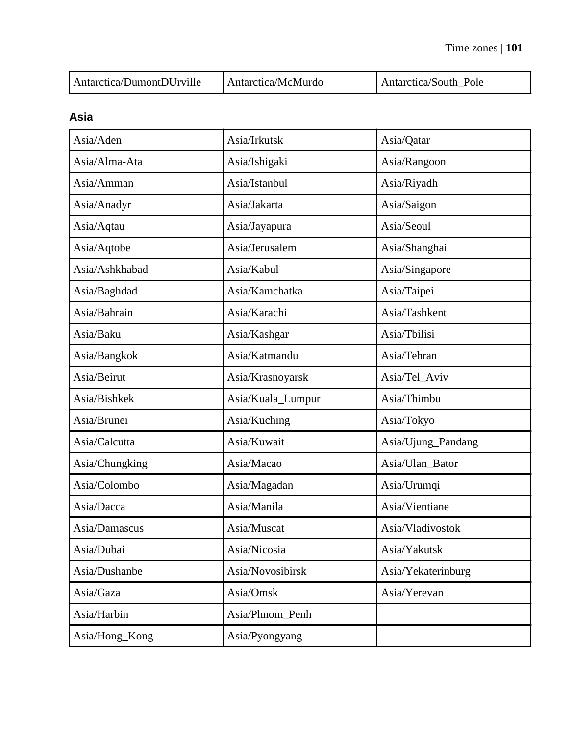| Antarctica/DumontDUrville | Antarctica/McMurdo | Antarctica/South Pole |
|---------------------------|--------------------|-----------------------|
|---------------------------|--------------------|-----------------------|

### **Asia**

| Asia/Aden      | Asia/Irkutsk      | Asia/Qatar         |
|----------------|-------------------|--------------------|
| Asia/Alma-Ata  | Asia/Ishigaki     | Asia/Rangoon       |
| Asia/Amman     | Asia/Istanbul     | Asia/Riyadh        |
| Asia/Anadyr    | Asia/Jakarta      | Asia/Saigon        |
| Asia/Aqtau     | Asia/Jayapura     | Asia/Seoul         |
| Asia/Aqtobe    | Asia/Jerusalem    | Asia/Shanghai      |
| Asia/Ashkhabad | Asia/Kabul        | Asia/Singapore     |
| Asia/Baghdad   | Asia/Kamchatka    | Asia/Taipei        |
| Asia/Bahrain   | Asia/Karachi      | Asia/Tashkent      |
| Asia/Baku      | Asia/Kashgar      | Asia/Tbilisi       |
| Asia/Bangkok   | Asia/Katmandu     | Asia/Tehran        |
| Asia/Beirut    | Asia/Krasnoyarsk  | Asia/Tel_Aviv      |
| Asia/Bishkek   | Asia/Kuala_Lumpur | Asia/Thimbu        |
| Asia/Brunei    | Asia/Kuching      | Asia/Tokyo         |
| Asia/Calcutta  | Asia/Kuwait       | Asia/Ujung_Pandang |
| Asia/Chungking | Asia/Macao        | Asia/Ulan_Bator    |
| Asia/Colombo   | Asia/Magadan      | Asia/Urumqi        |
| Asia/Dacca     | Asia/Manila       | Asia/Vientiane     |
| Asia/Damascus  | Asia/Muscat       | Asia/Vladivostok   |
| Asia/Dubai     | Asia/Nicosia      | Asia/Yakutsk       |
| Asia/Dushanbe  | Asia/Novosibirsk  | Asia/Yekaterinburg |
| Asia/Gaza      | Asia/Omsk         | Asia/Yerevan       |
| Asia/Harbin    | Asia/Phnom_Penh   |                    |
| Asia/Hong_Kong | Asia/Pyongyang    |                    |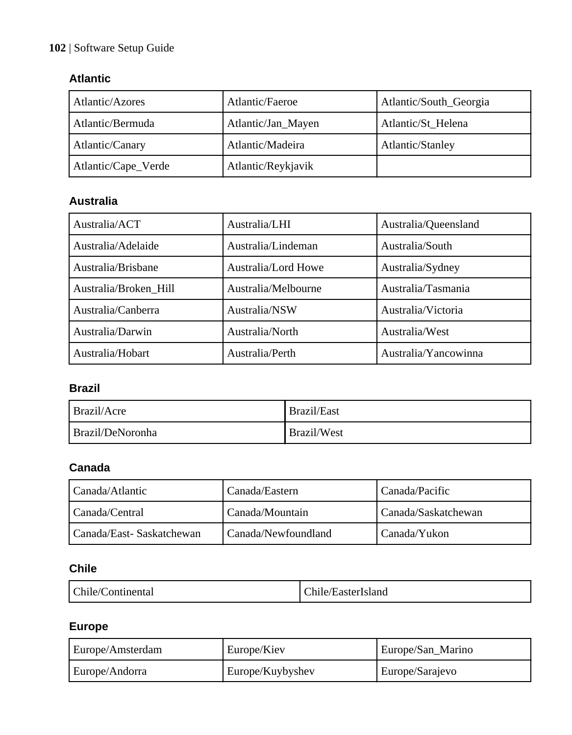### **102** | Software Setup Guide

### **Atlantic**

| Atlantic/Azores     | Atlantic/Faeroe    | Atlantic/South_Georgia |
|---------------------|--------------------|------------------------|
| l Atlantic/Bermuda  | Atlantic/Jan_Mayen | Atlantic/St Helena     |
| Atlantic/Canary     | Atlantic/Madeira   | Atlantic/Stanley       |
| Atlantic/Cape_Verde | Atlantic/Reykjavik |                        |

## **Australia**

| Australia/ACT         | Australia/LHI       | Australia/Queensland |
|-----------------------|---------------------|----------------------|
| Australia/Adelaide    | Australia/Lindeman  | Australia/South      |
| Australia/Brisbane    | Australia/Lord Howe | Australia/Sydney     |
| Australia/Broken Hill | Australia/Melbourne | Australia/Tasmania   |
| Australia/Canberra    | Australia/NSW       | Australia/Victoria   |
| Australia/Darwin      | Australia/North     | Australia/West       |
| Australia/Hobart      | Australia/Perth     | Australia/Yancowinna |

### **Brazil**

| Brazil/Acre      | Brazil/East |
|------------------|-------------|
| Brazil/DeNoronha | Brazil/West |

## **Canada**

| l Canada/Atlantic           | Canada/Eastern      | Canada/Pacific        |
|-----------------------------|---------------------|-----------------------|
| l Canada/Central            | Canada/Mountain     | l Canada/Saskatchewan |
| l Canada/East- Saskatchewan | Canada/Newfoundland | l Canada/Yukon        |

## **Chile**

| I Chile/C<br>/Continental | $\sim$<br>/EasterIsland<br>hile/ |
|---------------------------|----------------------------------|
|---------------------------|----------------------------------|

### **Europe**

| Europe/Amsterdam | Europe/Kiev      | Europe/San_Marino |
|------------------|------------------|-------------------|
| Europe/Andorra   | Europe/Kuybyshev | Europe/Sarajevo   |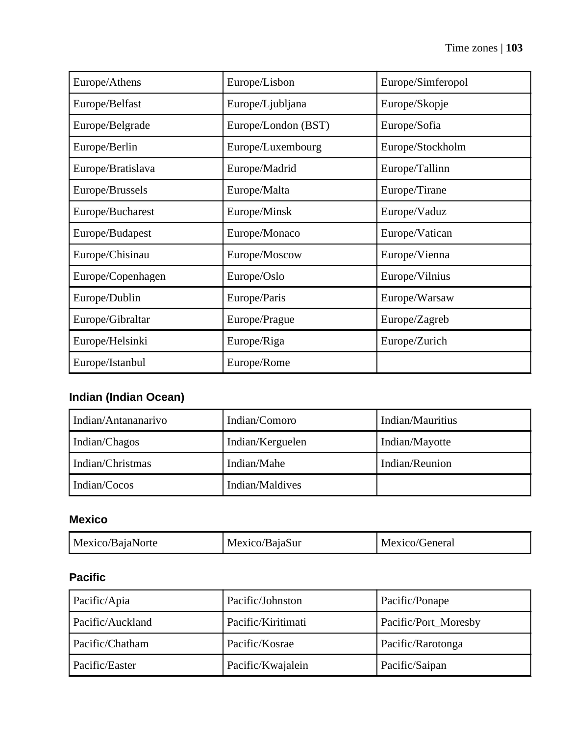| Europe/Athens     | Europe/Lisbon       | Europe/Simferopol |
|-------------------|---------------------|-------------------|
| Europe/Belfast    | Europe/Ljubljana    | Europe/Skopje     |
| Europe/Belgrade   | Europe/London (BST) | Europe/Sofia      |
| Europe/Berlin     | Europe/Luxembourg   | Europe/Stockholm  |
| Europe/Bratislava | Europe/Madrid       | Europe/Tallinn    |
| Europe/Brussels   | Europe/Malta        | Europe/Tirane     |
| Europe/Bucharest  | Europe/Minsk        | Europe/Vaduz      |
| Europe/Budapest   | Europe/Monaco       | Europe/Vatican    |
| Europe/Chisinau   | Europe/Moscow       | Europe/Vienna     |
| Europe/Copenhagen | Europe/Oslo         | Europe/Vilnius    |
| Europe/Dublin     | Europe/Paris        | Europe/Warsaw     |
| Europe/Gibraltar  | Europe/Prague       | Europe/Zagreb     |
| Europe/Helsinki   | Europe/Riga         | Europe/Zurich     |
| Europe/Istanbul   | Europe/Rome         |                   |

## **Indian (Indian Ocean)**

| l Indian/Antananarivo | Indian/Comoro    | Indian/Mauritius |
|-----------------------|------------------|------------------|
| Indian/Chagos         | Indian/Kerguelen | Indian/Mayotte   |
| l Indian/Christmas    | Indian/Mahe      | Indian/Reunion   |
| Indian/Cocos          | Indian/Maldives  |                  |

### **Mexico**

| Mexico/BajaNorte | Mexico/BajaSur | Mexico/General |
|------------------|----------------|----------------|
|------------------|----------------|----------------|

## **Pacific**

| Pacific/Apia     | Pacific/Johnston   | Pacific/Ponape       |
|------------------|--------------------|----------------------|
| Pacific/Auckland | Pacific/Kiritimati | Pacific/Port_Moresby |
| Pacific/Chatham  | Pacific/Kosrae     | Pacific/Rarotonga    |
| Pacific/Easter   | Pacific/Kwajalein  | Pacific/Saipan       |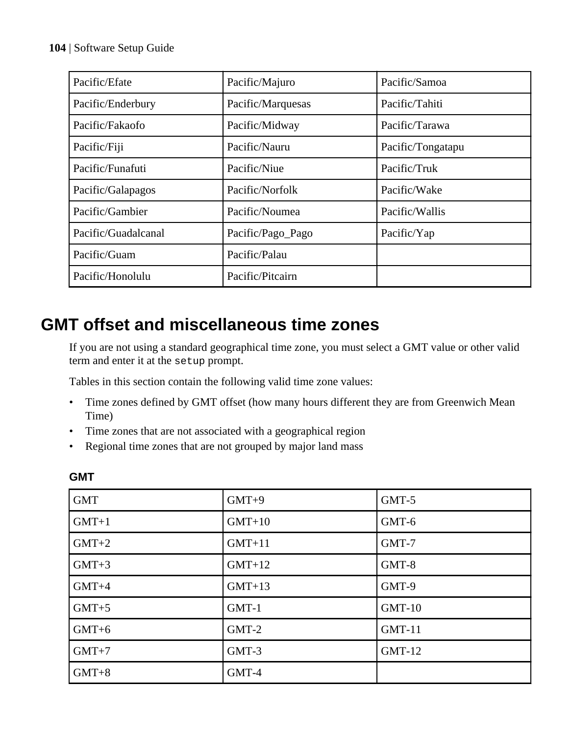#### **104** | Software Setup Guide

| Pacific/Efate       | Pacific/Majuro    | Pacific/Samoa     |
|---------------------|-------------------|-------------------|
| Pacific/Enderbury   | Pacific/Marquesas | Pacific/Tahiti    |
| Pacific/Fakaofo     | Pacific/Midway    | Pacific/Tarawa    |
| Pacific/Fiji        | Pacific/Nauru     | Pacific/Tongatapu |
| Pacific/Funafuti    | Pacific/Niue      | Pacific/Truk      |
| Pacific/Galapagos   | Pacific/Norfolk   | Pacific/Wake      |
| Pacific/Gambier     | Pacific/Noumea    | Pacific/Wallis    |
| Pacific/Guadalcanal | Pacific/Pago_Pago | Pacific/Yap       |
| Pacific/Guam        | Pacific/Palau     |                   |
| Pacific/Honolulu    | Pacific/Pitcairn  |                   |

## **GMT offset and miscellaneous time zones**

If you are not using a standard geographical time zone, you must select a GMT value or other valid term and enter it at the setup prompt.

Tables in this section contain the following valid time zone values:

- Time zones defined by GMT offset (how many hours different they are from Greenwich Mean Time)
- Time zones that are not associated with a geographical region
- Regional time zones that are not grouped by major land mass

| <b>GMT</b> | $GMT+9$  | GMT-5    |
|------------|----------|----------|
| $GMT+1$    | $GMT+10$ | GMT-6    |
| $GMT+2$    | $GMT+11$ | GMT-7    |
| $GMT+3$    | $GMT+12$ | GMT-8    |
| $GMT+4$    | $GMT+13$ | GMT-9    |
| $GMT+5$    | $GMT-1$  | $GMT-10$ |
| $GMT+6$    | $GMT-2$  | $GMT-11$ |
| $GMT+7$    | GMT-3    | $GMT-12$ |
| $GMT+8$    | GMT-4    |          |

#### **GMT**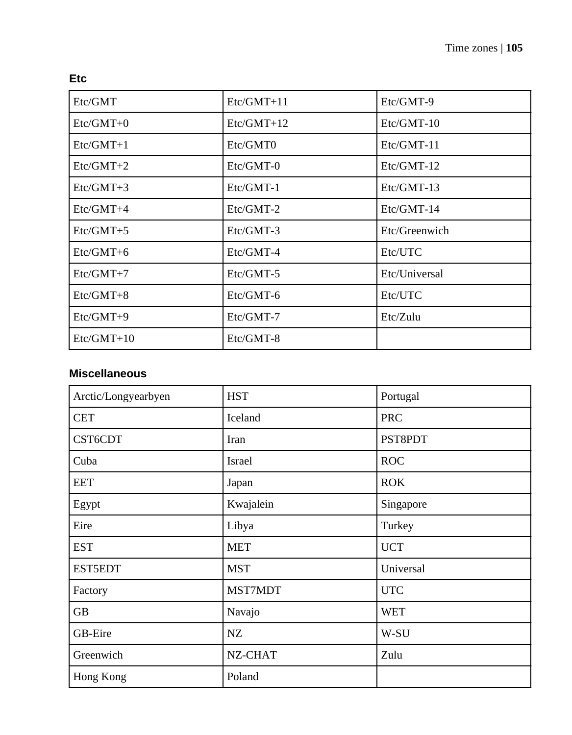|  | ٠            |
|--|--------------|
|  |              |
|  | I<br>×<br>۰. |

| Etc/GMT      | $Etc/GMT+11$ | Etc/GMT-9     |
|--------------|--------------|---------------|
| $Etc/GMT+0$  | $Etc/GMT+12$ | $Etc/GMT-10$  |
| $Etc/GMT+1$  | Etc/GMT0     | Etc/GMT-11    |
| $Etc/GMT+2$  | $Etc/GMT-0$  | $Etc/GMT-12$  |
| $Etc/GMT+3$  | $Etc/GMT-1$  | Etc/GMT-13    |
| $Etc/GMT+4$  | $Etc/GMT-2$  | Etc/GMT-14    |
| $Etc/GMT+5$  | $Etc/GMT-3$  | Etc/Greenwich |
| $Etc/GMT+6$  | $Etc/GMT-4$  | Etc/UTC       |
| $Etc/GMT+7$  | $Etc/GMT-5$  | Etc/Universal |
| $Etc/GMT+8$  | $Etc/GMT-6$  | Etc/UTC       |
| Etc/GMT+9    | $Etc/GMT-7$  | Etc/Zulu      |
| $Etc/GMT+10$ | $Etc/GMT-8$  |               |

### **Miscellaneous**

| Arctic/Longyearbyen | <b>HST</b> | Portugal   |
|---------------------|------------|------------|
| <b>CET</b>          | Iceland    | <b>PRC</b> |
| CST6CDT             | Iran       | PST8PDT    |
| Cuba                | Israel     | <b>ROC</b> |
| <b>EET</b>          | Japan      | <b>ROK</b> |
| Egypt               | Kwajalein  | Singapore  |
| Eire                | Libya      | Turkey     |
| <b>EST</b>          | <b>MET</b> | <b>UCT</b> |
| <b>EST5EDT</b>      | <b>MST</b> | Universal  |
| Factory             | MST7MDT    | <b>UTC</b> |
| <b>GB</b>           | Navajo     | <b>WET</b> |
| GB-Eire             | NZ         | W-SU       |
| Greenwich           | NZ-CHAT    | Zulu       |
| Hong Kong           | Poland     |            |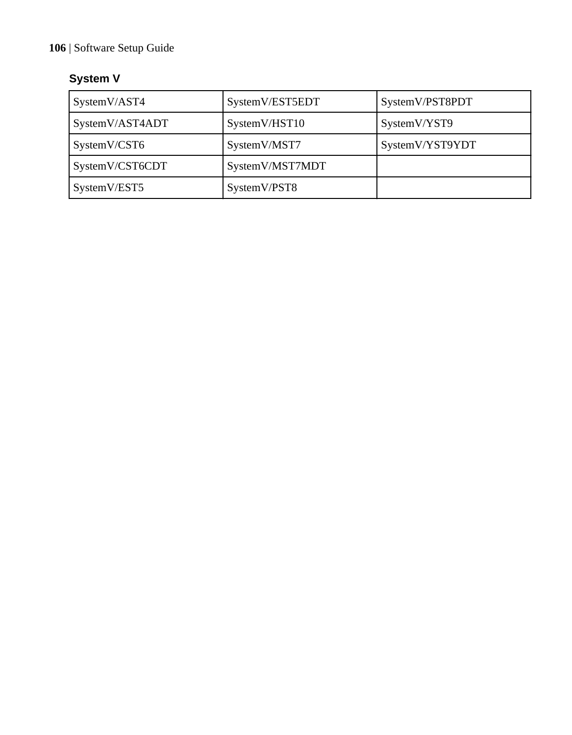### **106** | Software Setup Guide

## **System V**

| SystemV/AST4    | SystemV/EST5EDT | SystemV/PST8PDT |
|-----------------|-----------------|-----------------|
| SystemV/AST4ADT | SystemV/HST10   | SystemV/YST9    |
| SystemV/CST6    | SystemV/MST7    | SystemV/YST9YDT |
| SystemV/CST6CDT | SystemV/MST7MDT |                 |
| SystemV/EST5    | SystemV/PST8    |                 |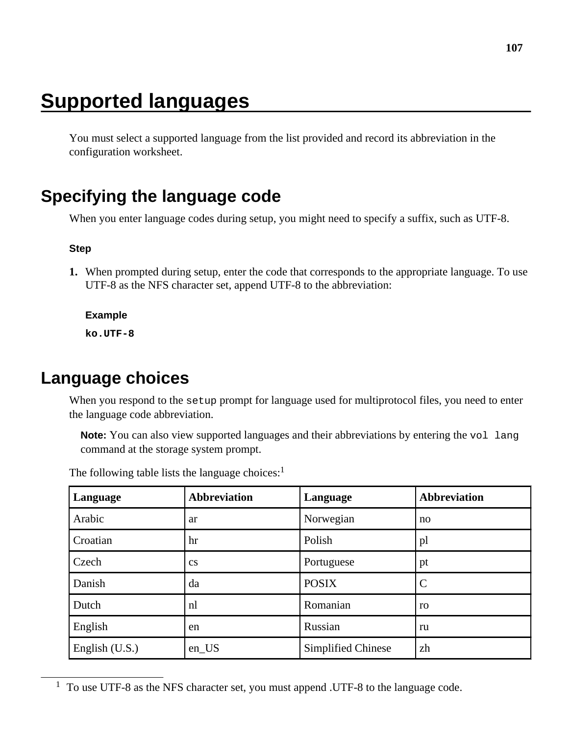# **Supported languages**

You must select a supported language from the list provided and record its abbreviation in the configuration worksheet.

## **Specifying the language code**

When you enter language codes during setup, you might need to specify a suffix, such as UTF-8.

#### **Step**

**1.** When prompted during setup, enter the code that corresponds to the appropriate language. To use UTF-8 as the NFS character set, append UTF-8 to the abbreviation:

#### **Example**

**ko.UTF-8**

## **Language choices**

When you respond to the setup prompt for language used for multiprotocol files, you need to enter the language code abbreviation.

**Note:** You can also view supported languages and their abbreviations by entering the vol lang command at the storage system prompt.

| Language         | <b>Abbreviation</b>    | Language           | <b>Abbreviation</b> |
|------------------|------------------------|--------------------|---------------------|
| Arabic           | ar                     | Norwegian          | no                  |
| Croatian         | hr                     | Polish             | pl                  |
| Czech            | $\mathbf{c}\mathbf{s}$ | Portuguese         | pt                  |
| Danish           | da                     | <b>POSIX</b>       | C                   |
| Dutch            | nl                     | Romanian           | ro                  |
| English          | en                     | Russian            | ru                  |
| English $(U.S.)$ | en_US                  | Simplified Chinese | zh                  |

The following table lists the language choices: $<sup>1</sup>$ </sup>

<sup>1</sup> To use UTF-8 as the NFS character set, you must append .UTF-8 to the language code.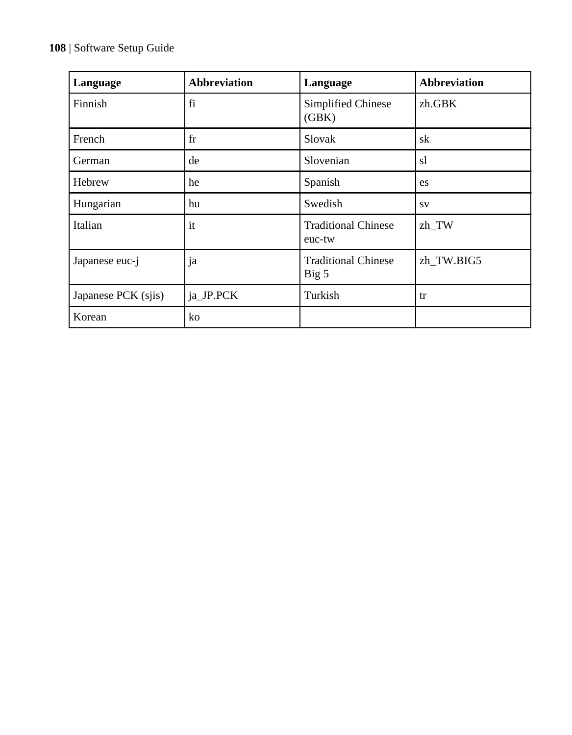### **108** | Software Setup Guide

| Language            | <b>Abbreviation</b> | Language                             | <b>Abbreviation</b> |
|---------------------|---------------------|--------------------------------------|---------------------|
| Finnish             | fi                  | Simplified Chinese<br>(GBK)          | zh.GBK              |
| French              | fr                  | Slovak                               | sk                  |
| German              | de                  | Slovenian                            | sl                  |
| Hebrew              | he                  | Spanish                              | es                  |
| Hungarian           | hu                  | Swedish                              | <b>SV</b>           |
| Italian             | it                  | <b>Traditional Chinese</b><br>euc-tw | zh_TW               |
| Japanese euc-j      | ja                  | <b>Traditional Chinese</b><br>Big 5  | zh TW.BIG5          |
| Japanese PCK (sjis) | ja_JP.PCK           | Turkish                              | tr                  |
| Korean              | ko                  |                                      |                     |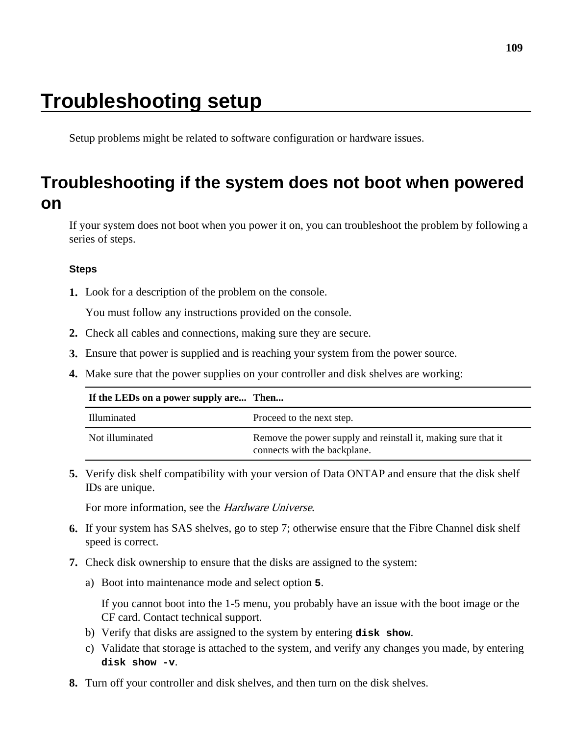# <span id="page-108-0"></span>**Troubleshooting setup**

Setup problems might be related to software configuration or hardware issues.

## **Troubleshooting if the system does not boot when powered on**

If your system does not boot when you power it on, you can troubleshoot the problem by following a series of steps.

#### **Steps**

**1.** Look for a description of the problem on the console.

You must follow any instructions provided on the console.

- **2.** Check all cables and connections, making sure they are secure.
- **3.** Ensure that power is supplied and is reaching your system from the power source.
- **4.** Make sure that the power supplies on your controller and disk shelves are working:

| If the LEDs on a power supply are Then |                                                                                               |
|----------------------------------------|-----------------------------------------------------------------------------------------------|
| Illuminated                            | Proceed to the next step.                                                                     |
| Not illuminated                        | Remove the power supply and reinstall it, making sure that it<br>connects with the backplane. |

**5.** Verify disk shelf compatibility with your version of Data ONTAP and ensure that the disk shelf IDs are unique.

For more information, see the Hardware Universe.

- **6.** If your system has SAS shelves, go to step 7; otherwise ensure that the Fibre Channel disk shelf speed is correct.
- **7.** Check disk ownership to ensure that the disks are assigned to the system:
	- a) Boot into maintenance mode and select option **5**.

If you cannot boot into the 1-5 menu, you probably have an issue with the boot image or the CF card. Contact technical support.

- b) Verify that disks are assigned to the system by entering **disk show**.
- c) Validate that storage is attached to the system, and verify any changes you made, by entering **disk show -v**.
- **8.** Turn off your controller and disk shelves, and then turn on the disk shelves.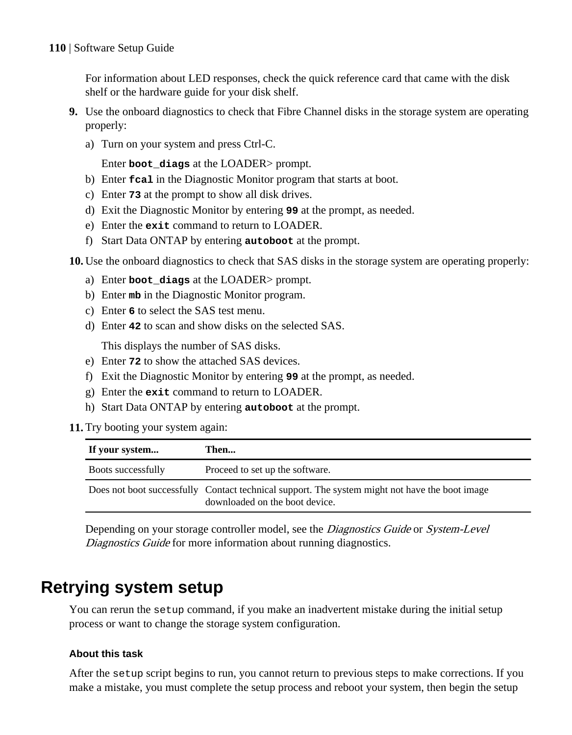#### <span id="page-109-0"></span>**110** | Software Setup Guide

For information about LED responses, check the quick reference card that came with the disk shelf or the hardware guide for your disk shelf.

- **9.** Use the onboard diagnostics to check that Fibre Channel disks in the storage system are operating properly:
	- a) Turn on your system and press Ctrl-C.

Enter **boot\_diags** at the LOADER> prompt.

- b) Enter **fcal** in the Diagnostic Monitor program that starts at boot.
- c) Enter **73** at the prompt to show all disk drives.
- d) Exit the Diagnostic Monitor by entering **99** at the prompt, as needed.
- e) Enter the **exit** command to return to LOADER.
- f) Start Data ONTAP by entering **autoboot** at the prompt.

**10.** Use the onboard diagnostics to check that SAS disks in the storage system are operating properly:

- a) Enter **boot\_diags** at the LOADER> prompt.
- b) Enter **mb** in the Diagnostic Monitor program.
- c) Enter **6** to select the SAS test menu.
- d) Enter **42** to scan and show disks on the selected SAS.

This displays the number of SAS disks.

- e) Enter **72** to show the attached SAS devices.
- f) Exit the Diagnostic Monitor by entering **99** at the prompt, as needed.
- g) Enter the **exit** command to return to LOADER.
- h) Start Data ONTAP by entering **autoboot** at the prompt.
- **11.** Try booting your system again:

| If your system     | Then                                                                                                                             |
|--------------------|----------------------------------------------------------------------------------------------------------------------------------|
| Boots successfully | Proceed to set up the software.                                                                                                  |
|                    | Does not boot successfully Contact technical support. The system might not have the boot image<br>downloaded on the boot device. |

Depending on your storage controller model, see the *Diagnostics Guide* or *System-Level* Diagnostics Guide for more information about running diagnostics.

## **Retrying system setup**

You can rerun the setup command, if you make an inadvertent mistake during the initial setup process or want to change the storage system configuration.

#### **About this task**

After the setup script begins to run, you cannot return to previous steps to make corrections. If you make a mistake, you must complete the setup process and reboot your system, then begin the setup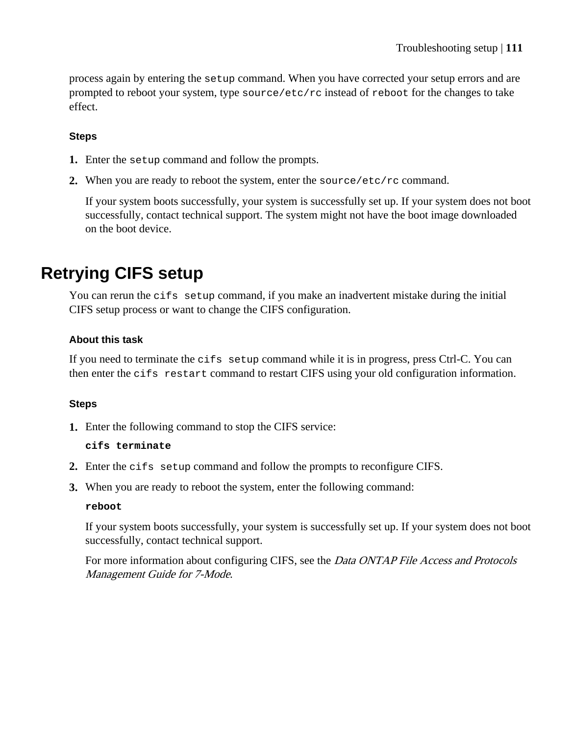<span id="page-110-0"></span>process again by entering the setup command. When you have corrected your setup errors and are prompted to reboot your system, type source/etc/rc instead of reboot for the changes to take effect.

#### **Steps**

- **1.** Enter the setup command and follow the prompts.
- **2.** When you are ready to reboot the system, enter the source/etc/rc command.

If your system boots successfully, your system is successfully set up. If your system does not boot successfully, contact technical support. The system might not have the boot image downloaded on the boot device.

## **Retrying CIFS setup**

You can rerun the cifs setup command, if you make an inadvertent mistake during the initial CIFS setup process or want to change the CIFS configuration.

#### **About this task**

If you need to terminate the cifs setup command while it is in progress, press Ctrl-C. You can then enter the cifs restart command to restart CIFS using your old configuration information.

#### **Steps**

**1.** Enter the following command to stop the CIFS service:

#### **cifs terminate**

- **2.** Enter the cifs setup command and follow the prompts to reconfigure CIFS.
- **3.** When you are ready to reboot the system, enter the following command:

#### **reboot**

If your system boots successfully, your system is successfully set up. If your system does not boot successfully, contact technical support.

For more information about configuring CIFS, see the *Data ONTAP File Access and Protocols* Management Guide for 7-Mode.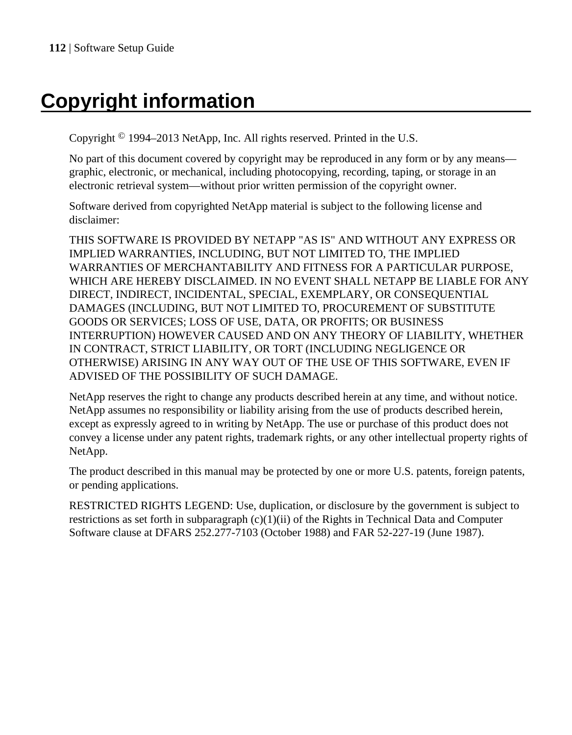# **Copyright information**

Copyright © 1994–2013 NetApp, Inc. All rights reserved. Printed in the U.S.

No part of this document covered by copyright may be reproduced in any form or by any means graphic, electronic, or mechanical, including photocopying, recording, taping, or storage in an electronic retrieval system—without prior written permission of the copyright owner.

Software derived from copyrighted NetApp material is subject to the following license and disclaimer:

THIS SOFTWARE IS PROVIDED BY NETAPP "AS IS" AND WITHOUT ANY EXPRESS OR IMPLIED WARRANTIES, INCLUDING, BUT NOT LIMITED TO, THE IMPLIED WARRANTIES OF MERCHANTABILITY AND FITNESS FOR A PARTICULAR PURPOSE, WHICH ARE HEREBY DISCLAIMED. IN NO EVENT SHALL NETAPP BE LIABLE FOR ANY DIRECT, INDIRECT, INCIDENTAL, SPECIAL, EXEMPLARY, OR CONSEQUENTIAL DAMAGES (INCLUDING, BUT NOT LIMITED TO, PROCUREMENT OF SUBSTITUTE GOODS OR SERVICES; LOSS OF USE, DATA, OR PROFITS; OR BUSINESS INTERRUPTION) HOWEVER CAUSED AND ON ANY THEORY OF LIABILITY, WHETHER IN CONTRACT, STRICT LIABILITY, OR TORT (INCLUDING NEGLIGENCE OR OTHERWISE) ARISING IN ANY WAY OUT OF THE USE OF THIS SOFTWARE, EVEN IF ADVISED OF THE POSSIBILITY OF SUCH DAMAGE.

NetApp reserves the right to change any products described herein at any time, and without notice. NetApp assumes no responsibility or liability arising from the use of products described herein, except as expressly agreed to in writing by NetApp. The use or purchase of this product does not convey a license under any patent rights, trademark rights, or any other intellectual property rights of NetApp.

The product described in this manual may be protected by one or more U.S. patents, foreign patents, or pending applications.

RESTRICTED RIGHTS LEGEND: Use, duplication, or disclosure by the government is subject to restrictions as set forth in subparagraph  $(c)(1)(ii)$  of the Rights in Technical Data and Computer Software clause at DFARS 252.277-7103 (October 1988) and FAR 52-227-19 (June 1987).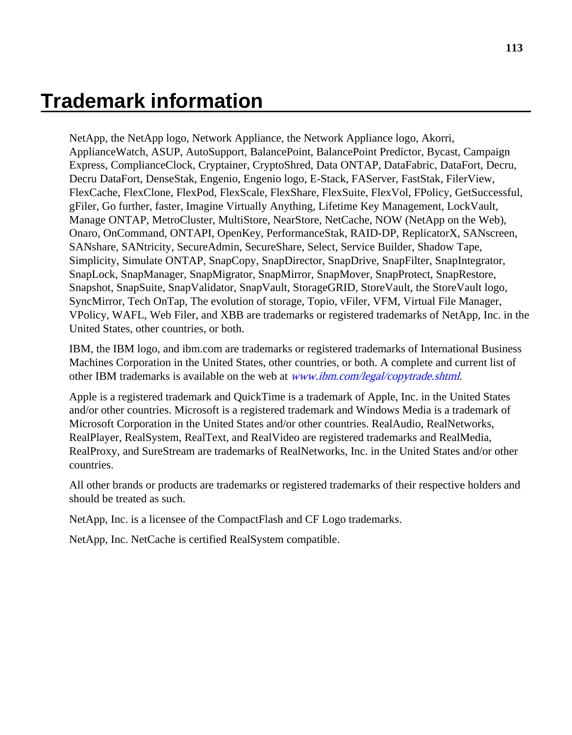## **Trademark information**

NetApp, the NetApp logo, Network Appliance, the Network Appliance logo, Akorri, ApplianceWatch, ASUP, AutoSupport, BalancePoint, BalancePoint Predictor, Bycast, Campaign Express, ComplianceClock, Cryptainer, CryptoShred, Data ONTAP, DataFabric, DataFort, Decru, Decru DataFort, DenseStak, Engenio, Engenio logo, E-Stack, FAServer, FastStak, FilerView, FlexCache, FlexClone, FlexPod, FlexScale, FlexShare, FlexSuite, FlexVol, FPolicy, GetSuccessful, gFiler, Go further, faster, Imagine Virtually Anything, Lifetime Key Management, LockVault, Manage ONTAP, MetroCluster, MultiStore, NearStore, NetCache, NOW (NetApp on the Web), Onaro, OnCommand, ONTAPI, OpenKey, PerformanceStak, RAID-DP, ReplicatorX, SANscreen, SANshare, SANtricity, SecureAdmin, SecureShare, Select, Service Builder, Shadow Tape, Simplicity, Simulate ONTAP, SnapCopy, SnapDirector, SnapDrive, SnapFilter, SnapIntegrator, SnapLock, SnapManager, SnapMigrator, SnapMirror, SnapMover, SnapProtect, SnapRestore, Snapshot, SnapSuite, SnapValidator, SnapVault, StorageGRID, StoreVault, the StoreVault logo, SyncMirror, Tech OnTap, The evolution of storage, Topio, vFiler, VFM, Virtual File Manager, VPolicy, WAFL, Web Filer, and XBB are trademarks or registered trademarks of NetApp, Inc. in the United States, other countries, or both.

IBM, the IBM logo, and ibm.com are trademarks or registered trademarks of International Business Machines Corporation in the United States, other countries, or both. A complete and current list of other IBM trademarks is available on the web at *[www.ibm.com/legal/copytrade.shtml](http://www.ibm.com/legal/copytrade.shtml).* 

Apple is a registered trademark and QuickTime is a trademark of Apple, Inc. in the United States and/or other countries. Microsoft is a registered trademark and Windows Media is a trademark of Microsoft Corporation in the United States and/or other countries. RealAudio, RealNetworks, RealPlayer, RealSystem, RealText, and RealVideo are registered trademarks and RealMedia, RealProxy, and SureStream are trademarks of RealNetworks, Inc. in the United States and/or other countries.

All other brands or products are trademarks or registered trademarks of their respective holders and should be treated as such.

NetApp, Inc. is a licensee of the CompactFlash and CF Logo trademarks.

NetApp, Inc. NetCache is certified RealSystem compatible.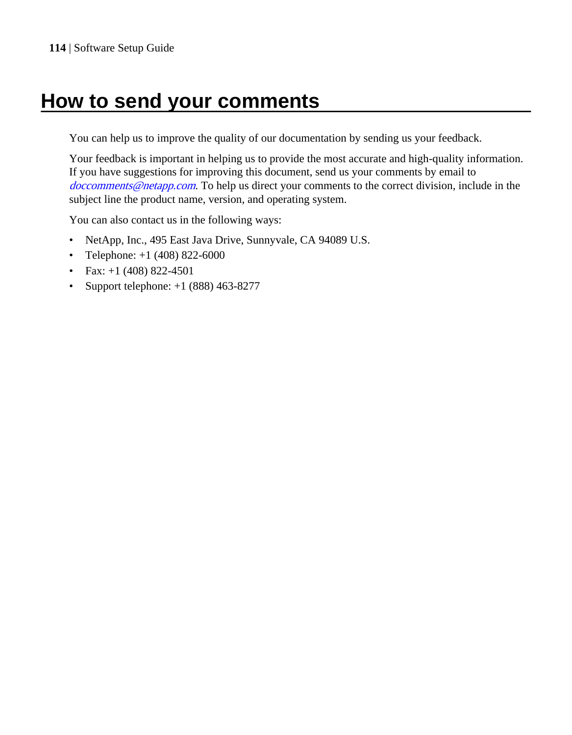# **How to send your comments**

You can help us to improve the quality of our documentation by sending us your feedback.

Your feedback is important in helping us to provide the most accurate and high-quality information. If you have suggestions for improving this document, send us your comments by email to [doccomments@netapp.com](mailto:doccomments@netapp.com). To help us direct your comments to the correct division, include in the subject line the product name, version, and operating system.

You can also contact us in the following ways:

- NetApp, Inc., 495 East Java Drive, Sunnyvale, CA 94089 U.S.
- Telephone:  $+1$  (408) 822-6000
- Fax:  $+1$  (408) 822-4501
- Support telephone: +1 (888) 463-8277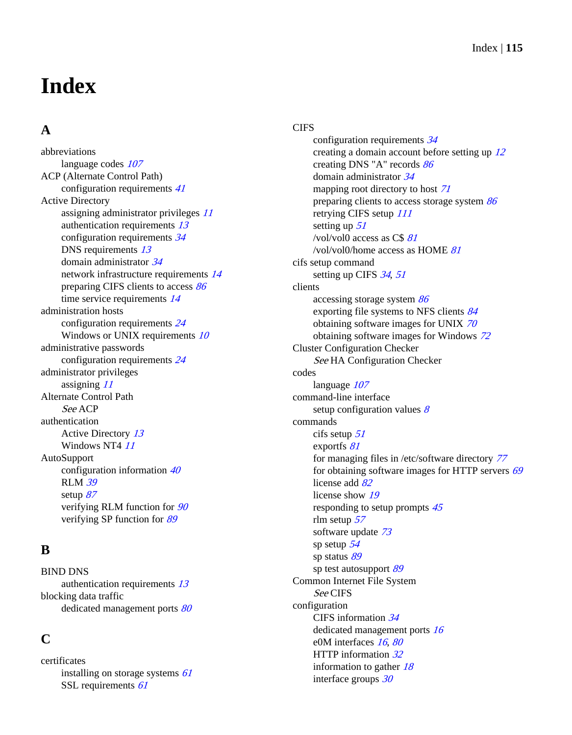# **Index**

## **A**

abbreviations language codes  $107$ ACP (Alternate Control Path) configuration requirements [41](#page-40-0) Active Directory assigning administrator privileges [11](#page-10-0) authentication requirements [13](#page-12-0) configuration requirements [34](#page-33-0) DNS requirements [13](#page-12-0) domain administrator [34](#page-33-0) network infrastructure requirements [14](#page-13-0) preparing CIFS clients to access [86](#page-85-0) time service requirements [14](#page-13-0) administration hosts configuration requirements [24](#page-23-0) Windows or UNIX requirements  $10$ administrative passwords configuration requirements [24](#page-23-0) administrator privileges assigning [11](#page-10-0) Alternate Control Path See ACP authentication Active Directory [13](#page-12-0) Windows NT4  $11$ **AutoSupport** configuration information [40](#page-39-0) RLM [39](#page-38-0) setup [87](#page-86-0) verifying RLM function for [90](#page-89-0) verifying SP function for [89](#page-88-0)

## **B**

BIND DNS authentication requirements [13](#page-12-0) blocking data traffic dedicated management ports [80](#page-79-0)

## **C**

certificates installing on storage systems [61](#page-60-0) SSL requirements [61](#page-60-0)

#### **CIFS**

configuration requirements [34](#page-33-0) creating a domain account before setting up [12](#page-11-0) creating DNS "A" records [86](#page-85-0) domain administrator [34](#page-33-0) mapping root directory to host [71](#page-70-0) preparing clients to access storage system [86](#page-85-0) retrying CIFS setup [111](#page-110-0) setting up [51](#page-50-0) /vol/vol0 access as  $CS 81$  $CS 81$ /vol/vol0/home access as HOME [81](#page-80-0) cifs setup command setting up CIFS [34](#page-33-0), [51](#page-50-0) clients accessing storage system [86](#page-85-0) exporting file systems to NFS clients [84](#page-83-0) obtaining software images for UNIX [70](#page-69-0) obtaining software images for Windows [72](#page-71-0) Cluster Configuration Checker See [HA Configuration Checker](#page-116-0) codes language [107](#page-106-0) command-line interface setup configuration values  $8$ commands cifs setup [51](#page-50-0) exportfs [81](#page-80-0) for managing files in /etc/software directory [77](#page-76-0) for obtaining software images for HTTP servers [69](#page-68-0) license add [82](#page-81-0) license show [19](#page-18-0) responding to setup prompts [45](#page-44-0) rlm setup [57](#page-56-0) software update [73](#page-72-0) sp setup [54](#page-53-0) sp status [89](#page-88-0) sp test autosupport [89](#page-88-0) Common Internet File System See CIFS configuration CIFS information [34](#page-33-0) dedicated management ports [16](#page-15-0) e0M interfaces [16](#page-15-0), [80](#page-79-0) HTTP information [32](#page-31-0) information to gather  $18$ interface groups [30](#page-29-0)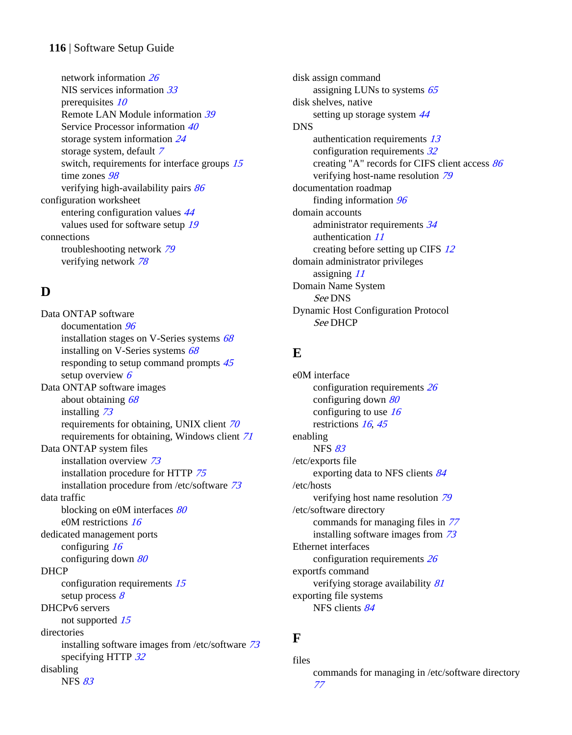#### **116** | Software Setup Guide

network information [26](#page-25-0) NIS services information [33](#page-32-0) prerequisites [10](#page-9-0) Remote LAN Module information [39](#page-38-0) Service Processor information [40](#page-39-0) storage system information [24](#page-23-0) storage system, default [7](#page-6-0) switch, requirements for interface groups  $15$ time zones [98](#page-97-0) verifying high-availability pairs [86](#page-85-0) configuration worksheet entering configuration values [44](#page-43-0) values used for software setup [19](#page-18-0) connections troubleshooting network [79](#page-78-0) verifying network [78](#page-77-0)

### **D**

Data ONTAP software documentation [96](#page-95-0) installation stages on V-Series systems [68](#page-67-0) installing on V-Series systems [68](#page-67-0) responding to setup command prompts  $45$ setup overview  $6$ Data ONTAP software images about obtaining [68](#page-67-0) installing [73](#page-72-0) requirements for obtaining, UNIX client [70](#page-69-0) requirements for obtaining, Windows client [71](#page-70-0) Data ONTAP system files installation overview [73](#page-72-0) installation procedure for HTTP [75](#page-74-0) installation procedure from /etc/software [73](#page-72-0) data traffic blocking on e0M interfaces [80](#page-79-0) e0M restrictions [16](#page-15-0) dedicated management ports configuring [16](#page-15-0) configuring down [80](#page-79-0) DHCP configuration requirements [15](#page-14-0) setup process  $8$ DHCPv6 servers not supported [15](#page-14-0) directories installing software images from /etc/software [73](#page-72-0) specifying HTTP [32](#page-31-0) disabling NFS [83](#page-82-0)

disk assign command assigning LUNs to systems [65](#page-64-0) disk shelves, native setting up storage system  $44$ DNS authentication requirements [13](#page-12-0) configuration requirements [32](#page-31-0) creating "A" records for CIFS client access [86](#page-85-0) verifying host-name resolution [79](#page-78-0) documentation roadmap finding information [96](#page-95-0) domain accounts administrator requirements [34](#page-33-0) authentication [11](#page-10-0) creating before setting up CIFS [12](#page-11-0) domain administrator privileges assigning [11](#page-10-0) Domain Name System See DNS Dynamic Host Configuration Protocol See DHCP

#### **E**

e0M interface configuration requirements [26](#page-25-0) configuring down [80](#page-79-0) configuring to use  $16$ restrictions [16](#page-15-0), [45](#page-44-0) enabling NFS [83](#page-82-0) /etc/exports file exporting data to NFS clients [84](#page-83-0) /etc/hosts verifying host name resolution [79](#page-78-0) /etc/software directory commands for managing files in [77](#page-76-0) installing software images from [73](#page-72-0) Ethernet interfaces configuration requirements [26](#page-25-0) exportfs command verifying storage availability [81](#page-80-0) exporting file systems NFS clients [84](#page-83-0)

#### **F**

files commands for managing in /etc/software directory [77](#page-76-0)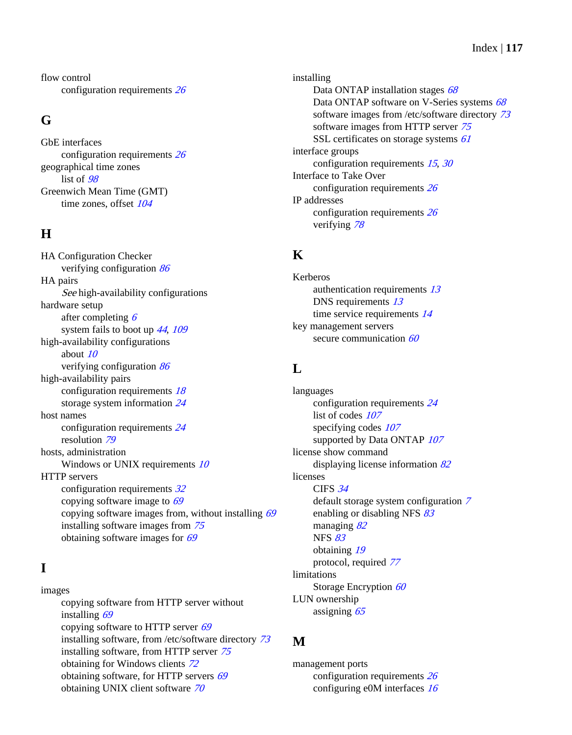<span id="page-116-0"></span>flow control configuration requirements [26](#page-25-0)

#### **G**

GbE interfaces configuration requirements [26](#page-25-0) geographical time zones list of [98](#page-97-0) Greenwich Mean Time (GMT) time zones, offset  $104$ 

## **H**

HA Configuration Checker verifying configuration [86](#page-85-0) HA pairs See high-availability configurations hardware setup after completing [6](#page-5-0) system fails to boot up [44](#page-43-0), [109](#page-108-0) high-availability configurations about  $10$ verifying configuration [86](#page-85-0) high-availability pairs configuration requirements [18](#page-17-0) storage system information [24](#page-23-0) host names configuration requirements [24](#page-23-0) resolution [79](#page-78-0) hosts, administration Windows or UNIX requirements  $10$ HTTP servers configuration requirements [32](#page-31-0) copying software image to  $69$ copying software images from, without installing [69](#page-68-0) installing software images from [75](#page-74-0) obtaining software images for [69](#page-68-0)

## **I**

images copying software from HTTP server without installing [69](#page-68-0) copying software to HTTP server [69](#page-68-0) installing software, from /etc/software directory [73](#page-72-0) installing software, from HTTP server [75](#page-74-0) obtaining for Windows clients [72](#page-71-0) obtaining software, for HTTP servers [69](#page-68-0) obtaining UNIX client software [70](#page-69-0)

installing Data ONTAP installation stages [68](#page-67-0) Data ONTAP software on V-Series systems [68](#page-67-0) software images from /etc/software directory [73](#page-72-0) software images from HTTP server [75](#page-74-0) SSL certificates on storage systems [61](#page-60-0) interface groups configuration requirements [15](#page-14-0), [30](#page-29-0) Interface to Take Over configuration requirements [26](#page-25-0) IP addresses configuration requirements [26](#page-25-0) verifying [78](#page-77-0)

#### **K**

Kerberos authentication requirements [13](#page-12-0) DNS requirements [13](#page-12-0) time service requirements [14](#page-13-0) key management servers secure communication [60](#page-59-0)

### **L**

languages configuration requirements [24](#page-23-0) list of codes  $107$ specifying codes  $107$ supported by Data ONTAP  $107$ license show command displaying license information [82](#page-81-0) licenses CIFS [34](#page-33-0) default storage system configuration [7](#page-6-0) enabling or disabling NFS [83](#page-82-0) managing [82](#page-81-0) NFS [83](#page-82-0) obtaining [19](#page-18-0) protocol, required [77](#page-76-0) limitations Storage Encryption [60](#page-59-0) LUN ownership assigning [65](#page-64-0)

#### **M**

management ports configuration requirements [26](#page-25-0) configuring e0M interfaces [16](#page-15-0)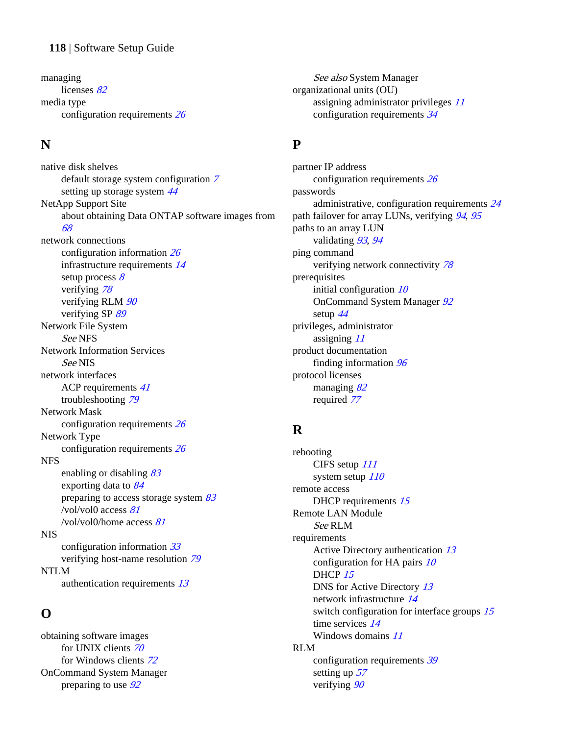#### **118** | Software Setup Guide

managing licenses [82](#page-81-0) media type configuration requirements [26](#page-25-0)

### **N**

native disk shelves default storage system configuration [7](#page-6-0) setting up storage system  $44$ NetApp Support Site about obtaining Data ONTAP software images from [68](#page-67-0) network connections configuration information [26](#page-25-0) infrastructure requirements [14](#page-13-0) setup process  $8$ verifying [78](#page-77-0) verifying RLM  $90$ verifying SP [89](#page-88-0) Network File System See NFS Network Information Services See NIS network interfaces ACP requirements [41](#page-40-0) troubleshooting [79](#page-78-0) Network Mask configuration requirements [26](#page-25-0) Network Type configuration requirements [26](#page-25-0) NFS enabling or disabling  $83$ exporting data to [84](#page-83-0) preparing to access storage system  $83$ /vol/vol0 access [81](#page-80-0) /vol/vol0/home access [81](#page-80-0) NIS configuration information [33](#page-32-0) verifying host-name resolution [79](#page-78-0) NTLM authentication requirements [13](#page-12-0)

#### **O**

obtaining software images for UNIX clients [70](#page-69-0) for Windows clients [72](#page-71-0) OnCommand System Manager preparing to use  $92$ 

See also [System Manager](#page-119-0) organizational units (OU) assigning administrator privileges [11](#page-10-0) configuration requirements [34](#page-33-0)

### **P**

partner IP address configuration requirements [26](#page-25-0) passwords administrative, configuration requirements [24](#page-23-0) path failover for array LUNs, verifying [94](#page-93-0), [95](#page-94-0) paths to an array LUN validating [93](#page-92-0), [94](#page-93-0) ping command verifying network connectivity [78](#page-77-0) prerequisites initial configuration  $10$ OnCommand System Manager [92](#page-91-0) setup [44](#page-43-0) privileges, administrator assigning [11](#page-10-0) product documentation finding information [96](#page-95-0) protocol licenses managing [82](#page-81-0) required [77](#page-76-0)

#### **R**

rebooting CIFS setup [111](#page-110-0) system setup  $110$ remote access DHCP requirements [15](#page-14-0) Remote LAN Module See RLM requirements Active Directory authentication [13](#page-12-0) configuration for HA pairs  $10$ DHCP [15](#page-14-0) DNS for Active Directory [13](#page-12-0) network infrastructure [14](#page-13-0) switch configuration for interface groups [15](#page-14-0) time services [14](#page-13-0) Windows domains [11](#page-10-0) RLM configuration requirements [39](#page-38-0) setting up [57](#page-56-0)

verifying  $90$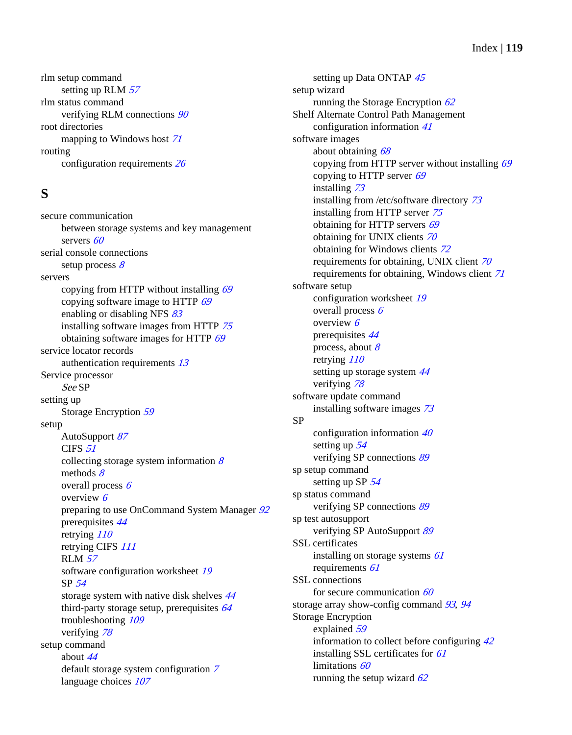Index | **119**

rlm setup command setting up RLM  $57$ rlm status command verifying RLM connections [90](#page-89-0) root directories mapping to Windows host [71](#page-70-0) routing configuration requirements [26](#page-25-0)

### **S**

secure communication between storage systems and key management servers [60](#page-59-0) serial console connections setup process  $8$ servers copying from HTTP without installing  $69$ copying software image to HTTP [69](#page-68-0) enabling or disabling NFS [83](#page-82-0) installing software images from HTTP [75](#page-74-0) obtaining software images for HTTP [69](#page-68-0) service locator records authentication requirements [13](#page-12-0) Service processor See SP setting up Storage Encryption [59](#page-58-0) setup AutoSupport [87](#page-86-0) CIFS [51](#page-50-0) collecting storage system information  $8$ methods  $8$ overall process  $6$ overview [6](#page-5-0) preparing to use OnCommand System Manager  $92$ prerequisites [44](#page-43-0) retrying [110](#page-109-0) retrying CIFS [111](#page-110-0) RLM [57](#page-56-0) software configuration worksheet [19](#page-18-0) SP [54](#page-53-0) storage system with native disk shelves [44](#page-43-0) third-party storage setup, prerequisites [64](#page-63-0) troubleshooting [109](#page-108-0) verifying [78](#page-77-0) setup command about [44](#page-43-0) default storage system configuration [7](#page-6-0) language choices  $107$ 

setting up Data ONTAP [45](#page-44-0) setup wizard running the Storage Encryption  $62$ Shelf Alternate Control Path Management configuration information [41](#page-40-0) software images about obtaining [68](#page-67-0) copying from HTTP server without installing [69](#page-68-0) copying to HTTP server  $69$ installing [73](#page-72-0) installing from /etc/software directory [73](#page-72-0) installing from HTTP server [75](#page-74-0) obtaining for HTTP servers [69](#page-68-0) obtaining for UNIX clients [70](#page-69-0) obtaining for Windows clients [72](#page-71-0) requirements for obtaining, UNIX client [70](#page-69-0) requirements for obtaining, Windows client [71](#page-70-0) software setup configuration worksheet [19](#page-18-0) overall process [6](#page-5-0) overview [6](#page-5-0) prerequisites [44](#page-43-0) process, about  $8$ retrying [110](#page-109-0) setting up storage system [44](#page-43-0) verifying [78](#page-77-0) software update command installing software images [73](#page-72-0) SP configuration information [40](#page-39-0) setting up [54](#page-53-0) verifying SP connections [89](#page-88-0) sp setup command setting up SP [54](#page-53-0) sp status command verifying SP connections [89](#page-88-0) sp test autosupport verifying SP AutoSupport [89](#page-88-0) SSL certificates installing on storage systems [61](#page-60-0) requirements [61](#page-60-0) SSL connections for secure communication  $60$ storage array show-config command [93](#page-92-0), [94](#page-93-0) Storage Encryption explained [59](#page-58-0) information to collect before configuring [42](#page-41-0) installing SSL certificates for [61](#page-60-0) limitations [60](#page-59-0) running the setup wizard  $62$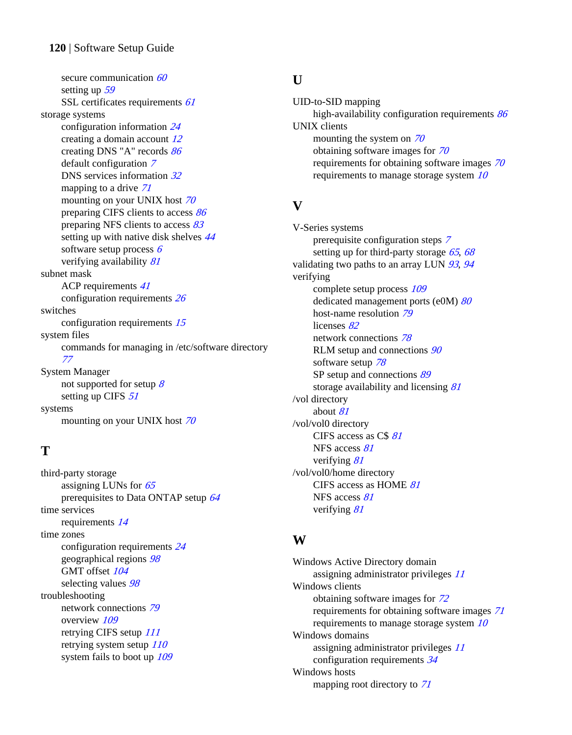<span id="page-119-0"></span>secure communication [60](#page-59-0) setting up [59](#page-58-0) SSL certificates requirements [61](#page-60-0) storage systems configuration information [24](#page-23-0) creating a domain account [12](#page-11-0) creating DNS "A" records [86](#page-85-0) default configuration [7](#page-6-0) DNS services information [32](#page-31-0) mapping to a drive [71](#page-70-0) mounting on your UNIX host [70](#page-69-0) preparing CIFS clients to access [86](#page-85-0) preparing NFS clients to access [83](#page-82-0) setting up with native disk shelves  $44$ software setup process  $6$ verifying availability [81](#page-80-0) subnet mask ACP requirements [41](#page-40-0) configuration requirements [26](#page-25-0) switches configuration requirements [15](#page-14-0) system files commands for managing in /etc/software directory [77](#page-76-0) System Manager not supported for setup  $\frac{8}{3}$  $\frac{8}{3}$  $\frac{8}{3}$ setting up CIFS [51](#page-50-0) systems mounting on your UNIX host [70](#page-69-0)

## **T**

third-party storage assigning LUNs for [65](#page-64-0) prerequisites to Data ONTAP setup [64](#page-63-0) time services requirements [14](#page-13-0) time zones configuration requirements [24](#page-23-0) geographical regions [98](#page-97-0) GMT offset  $104$ selecting values  $98$ troubleshooting network connections [79](#page-78-0) overview [109](#page-108-0) retrying CIFS setup [111](#page-110-0) retrying system setup  $110$ system fails to boot up  $109$ 

#### **U**

UID-to-SID mapping high-availability configuration requirements [86](#page-85-0) UNIX clients mounting the system on  $70$ obtaining software images for [70](#page-69-0) requirements for obtaining software images [70](#page-69-0) requirements to manage storage system [10](#page-9-0)

## **V**

V-Series systems prerequisite configuration steps [7](#page-6-0) setting up for third-party storage  $65, 68$  $65, 68$  $65, 68$ validating two paths to an array LUN  $93, 94$  $93, 94$  $93, 94$ verifying complete setup process [109](#page-108-0) dedicated management ports (e0M) [80](#page-79-0) host-name resolution [79](#page-78-0) licenses [82](#page-81-0) network connections [78](#page-77-0) RLM setup and connections  $90$ software setup [78](#page-77-0) SP setup and connections [89](#page-88-0) storage availability and licensing [81](#page-80-0) /vol directory about [81](#page-80-0) /vol/vol0 directory CIFS access as C\$ [81](#page-80-0) NFS access [81](#page-80-0) verifying [81](#page-80-0) /vol/vol0/home directory CIFS access as HOME [81](#page-80-0) NFS access [81](#page-80-0) verifying [81](#page-80-0)

### **W**

Windows Active Directory domain assigning administrator privileges [11](#page-10-0) Windows clients obtaining software images for [72](#page-71-0) requirements for obtaining software images [71](#page-70-0) requirements to manage storage system [10](#page-9-0) Windows domains assigning administrator privileges [11](#page-10-0) configuration requirements [34](#page-33-0) Windows hosts mapping root directory to [71](#page-70-0)